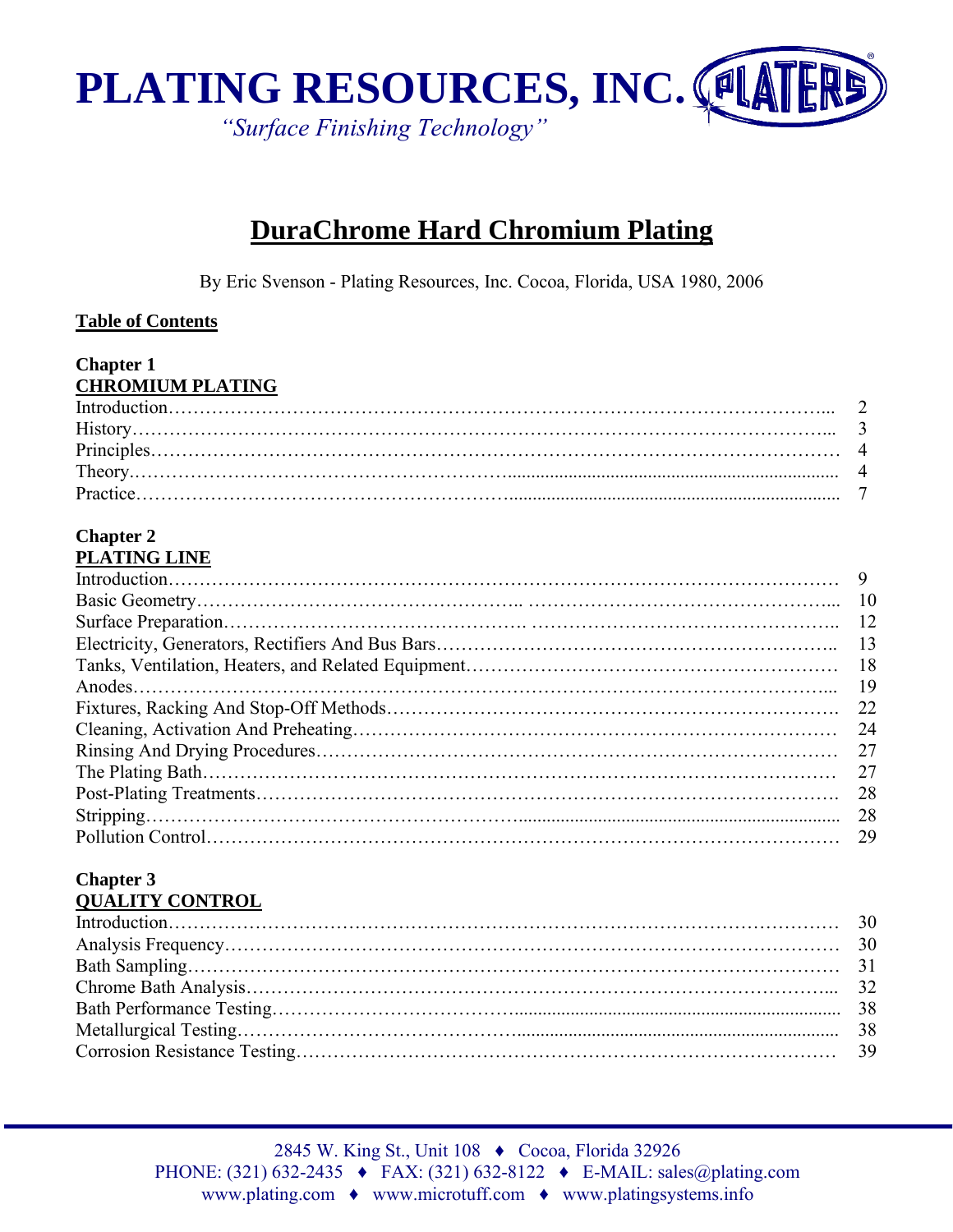

# **DuraChrome Hard Chromium Plating**

By Eric Svenson - Plating Resources, Inc. Cocoa, Florida, USA 1980, 2006

#### **Table of Contents**

#### **Chapter 1 CHROMIUM PLATING**

#### **Chapter 2 PLATING LINE**

| - 18 |
|------|
| -19  |
|      |
| -24  |
| 27   |
| 27   |
| -28  |
| 28   |
|      |

#### **Chapter 3 QUALITY CONTROL**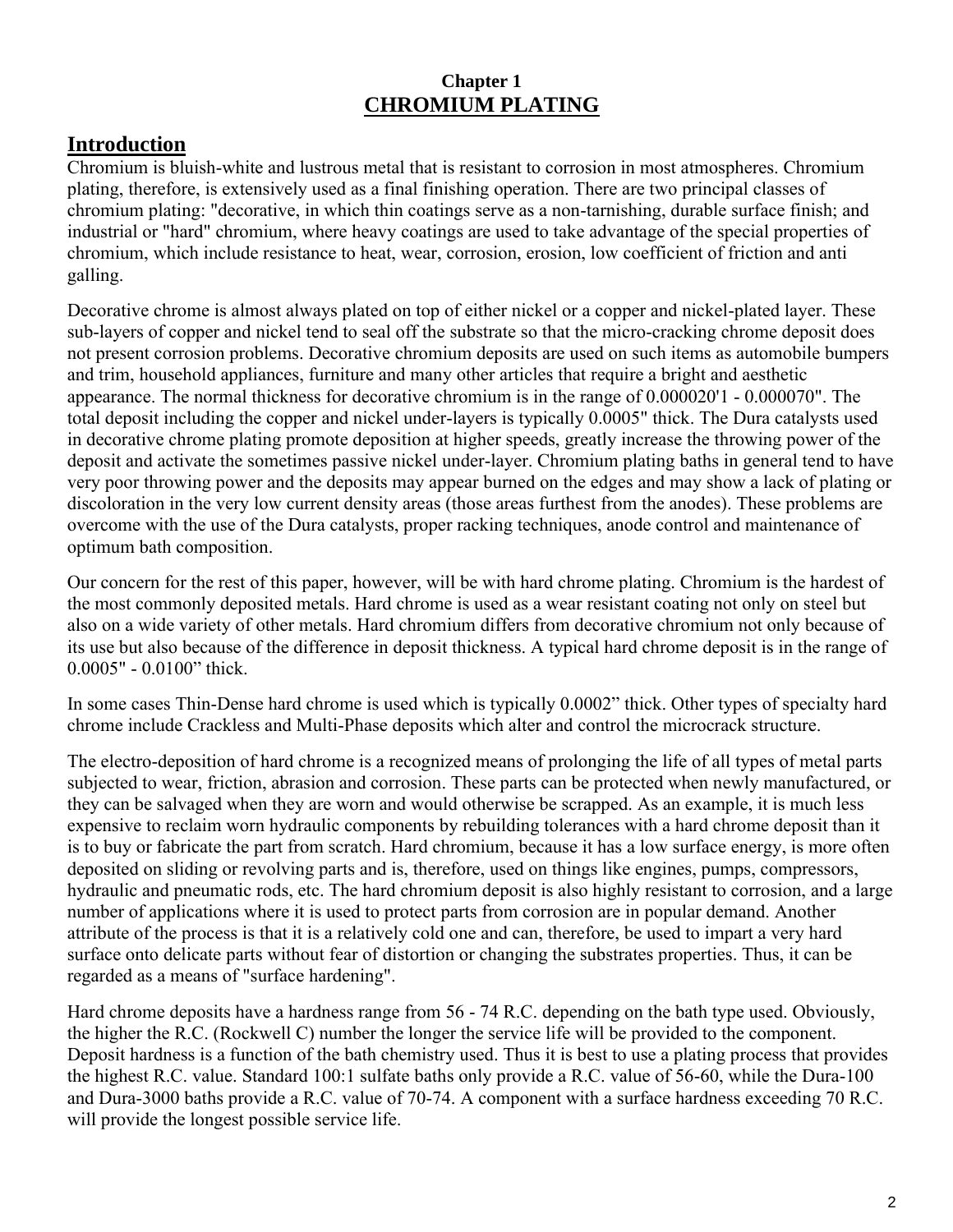### **Chapter 1 CHROMIUM PLATING**

## **Introduction**

Chromium is bluish-white and lustrous metal that is resistant to corrosion in most atmospheres. Chromium plating, therefore, is extensively used as a final finishing operation. There are two principal classes of chromium plating: "decorative, in which thin coatings serve as a non-tarnishing, durable surface finish; and industrial or "hard" chromium, where heavy coatings are used to take advantage of the special properties of chromium, which include resistance to heat, wear, corrosion, erosion, low coefficient of friction and anti galling.

Decorative chrome is almost always plated on top of either nickel or a copper and nickel-plated layer. These sub-layers of copper and nickel tend to seal off the substrate so that the micro-cracking chrome deposit does not present corrosion problems. Decorative chromium deposits are used on such items as automobile bumpers and trim, household appliances, furniture and many other articles that require a bright and aesthetic appearance. The normal thickness for decorative chromium is in the range of 0.000020'1 - 0.000070". The total deposit including the copper and nickel under-layers is typically 0.0005" thick. The Dura catalysts used in decorative chrome plating promote deposition at higher speeds, greatly increase the throwing power of the deposit and activate the sometimes passive nickel under-layer. Chromium plating baths in general tend to have very poor throwing power and the deposits may appear burned on the edges and may show a lack of plating or discoloration in the very low current density areas (those areas furthest from the anodes). These problems are overcome with the use of the Dura catalysts, proper racking techniques, anode control and maintenance of optimum bath composition.

Our concern for the rest of this paper, however, will be with hard chrome plating. Chromium is the hardest of the most commonly deposited metals. Hard chrome is used as a wear resistant coating not only on steel but also on a wide variety of other metals. Hard chromium differs from decorative chromium not only because of its use but also because of the difference in deposit thickness. A typical hard chrome deposit is in the range of 0.0005" - 0.0100" thick.

In some cases Thin-Dense hard chrome is used which is typically 0.0002" thick. Other types of specialty hard chrome include Crackless and Multi-Phase deposits which alter and control the microcrack structure.

The electro-deposition of hard chrome is a recognized means of prolonging the life of all types of metal parts subjected to wear, friction, abrasion and corrosion. These parts can be protected when newly manufactured, or they can be salvaged when they are worn and would otherwise be scrapped. As an example, it is much less expensive to reclaim worn hydraulic components by rebuilding tolerances with a hard chrome deposit than it is to buy or fabricate the part from scratch. Hard chromium, because it has a low surface energy, is more often deposited on sliding or revolving parts and is, therefore, used on things like engines, pumps, compressors, hydraulic and pneumatic rods, etc. The hard chromium deposit is also highly resistant to corrosion, and a large number of applications where it is used to protect parts from corrosion are in popular demand. Another attribute of the process is that it is a relatively cold one and can, therefore, be used to impart a very hard surface onto delicate parts without fear of distortion or changing the substrates properties. Thus, it can be regarded as a means of "surface hardening".

Hard chrome deposits have a hardness range from 56 - 74 R.C. depending on the bath type used. Obviously, the higher the R.C. (Rockwell C) number the longer the service life will be provided to the component. Deposit hardness is a function of the bath chemistry used. Thus it is best to use a plating process that provides the highest R.C. value. Standard 100:1 sulfate baths only provide a R.C. value of 56-60, while the Dura-100 and Dura-3000 baths provide a R.C. value of 70-74. A component with a surface hardness exceeding 70 R.C. will provide the longest possible service life.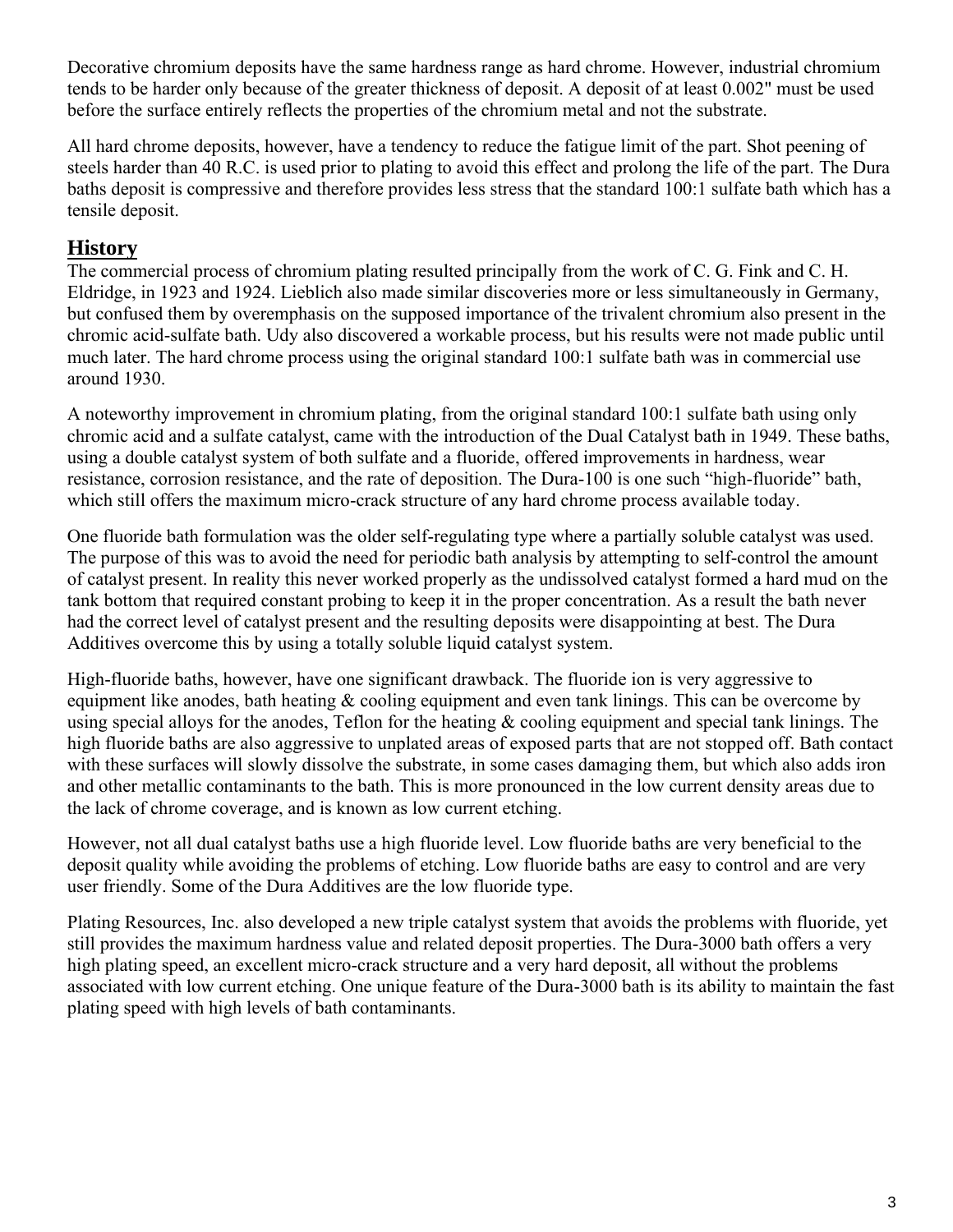Decorative chromium deposits have the same hardness range as hard chrome. However, industrial chromium tends to be harder only because of the greater thickness of deposit. A deposit of at least 0.002" must be used before the surface entirely reflects the properties of the chromium metal and not the substrate.

All hard chrome deposits, however, have a tendency to reduce the fatigue limit of the part. Shot peening of steels harder than 40 R.C. is used prior to plating to avoid this effect and prolong the life of the part. The Dura baths deposit is compressive and therefore provides less stress that the standard 100:1 sulfate bath which has a tensile deposit.

### **History**

The commercial process of chromium plating resulted principally from the work of C. G. Fink and C. H. Eldridge, in 1923 and 1924. Lieblich also made similar discoveries more or less simultaneously in Germany, but confused them by overemphasis on the supposed importance of the trivalent chromium also present in the chromic acid-sulfate bath. Udy also discovered a workable process, but his results were not made public until much later. The hard chrome process using the original standard 100:1 sulfate bath was in commercial use around 1930.

A noteworthy improvement in chromium plating, from the original standard 100:1 sulfate bath using only chromic acid and a sulfate catalyst, came with the introduction of the Dual Catalyst bath in 1949. These baths, using a double catalyst system of both sulfate and a fluoride, offered improvements in hardness, wear resistance, corrosion resistance, and the rate of deposition. The Dura-100 is one such "high-fluoride" bath, which still offers the maximum micro-crack structure of any hard chrome process available today.

One fluoride bath formulation was the older self-regulating type where a partially soluble catalyst was used. The purpose of this was to avoid the need for periodic bath analysis by attempting to self-control the amount of catalyst present. In reality this never worked properly as the undissolved catalyst formed a hard mud on the tank bottom that required constant probing to keep it in the proper concentration. As a result the bath never had the correct level of catalyst present and the resulting deposits were disappointing at best. The Dura Additives overcome this by using a totally soluble liquid catalyst system.

High-fluoride baths, however, have one significant drawback. The fluoride ion is very aggressive to equipment like anodes, bath heating  $\&$  cooling equipment and even tank linings. This can be overcome by using special alloys for the anodes, Teflon for the heating & cooling equipment and special tank linings. The high fluoride baths are also aggressive to unplated areas of exposed parts that are not stopped off. Bath contact with these surfaces will slowly dissolve the substrate, in some cases damaging them, but which also adds iron and other metallic contaminants to the bath. This is more pronounced in the low current density areas due to the lack of chrome coverage, and is known as low current etching.

However, not all dual catalyst baths use a high fluoride level. Low fluoride baths are very beneficial to the deposit quality while avoiding the problems of etching. Low fluoride baths are easy to control and are very user friendly. Some of the Dura Additives are the low fluoride type.

Plating Resources, Inc. also developed a new triple catalyst system that avoids the problems with fluoride, yet still provides the maximum hardness value and related deposit properties. The Dura-3000 bath offers a very high plating speed, an excellent micro-crack structure and a very hard deposit, all without the problems associated with low current etching. One unique feature of the Dura-3000 bath is its ability to maintain the fast plating speed with high levels of bath contaminants.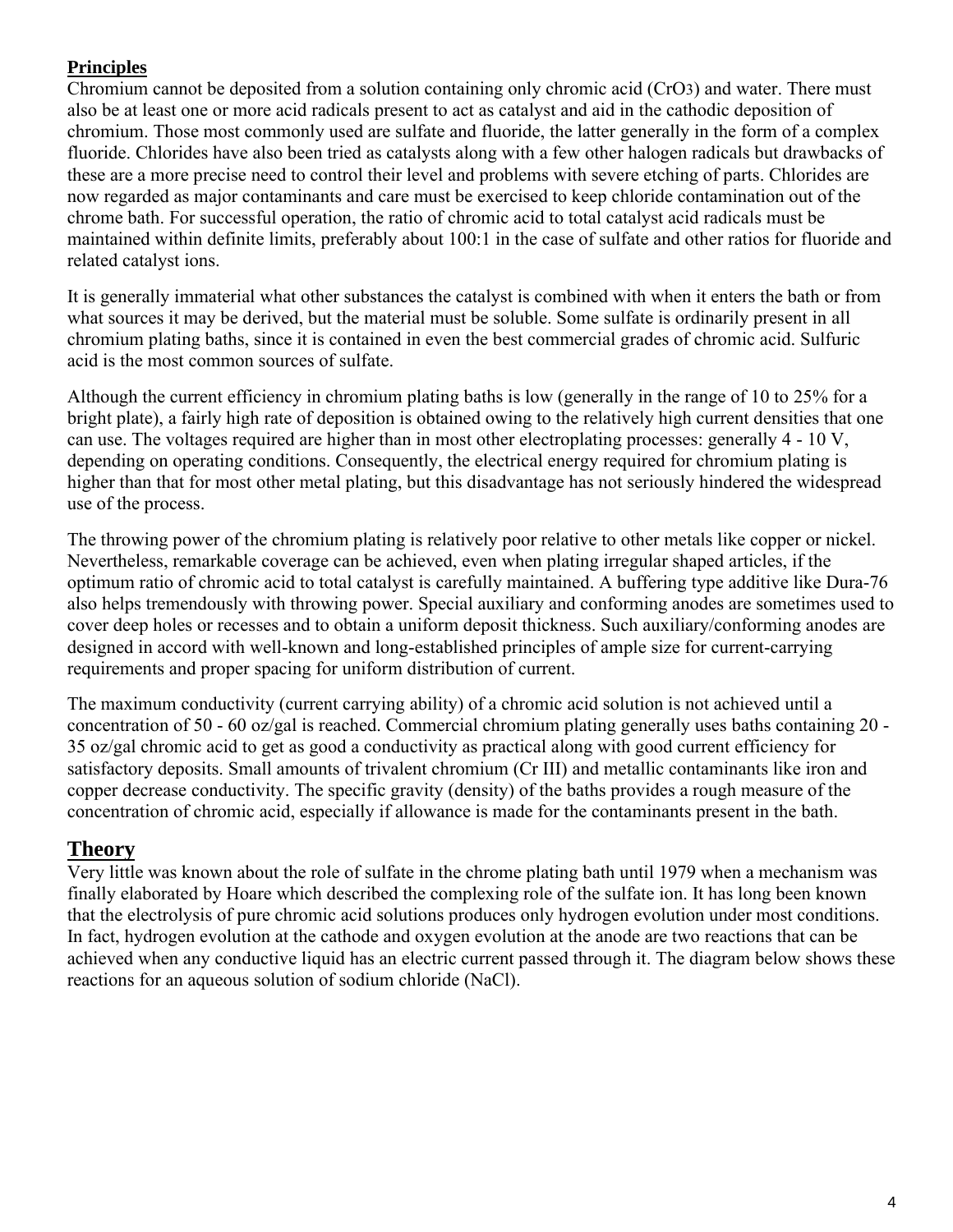### **Principles**

Chromium cannot be deposited from a solution containing only chromic acid (CrO3) and water. There must also be at least one or more acid radicals present to act as catalyst and aid in the cathodic deposition of chromium. Those most commonly used are sulfate and fluoride, the latter generally in the form of a complex fluoride. Chlorides have also been tried as catalysts along with a few other halogen radicals but drawbacks of these are a more precise need to control their level and problems with severe etching of parts. Chlorides are now regarded as major contaminants and care must be exercised to keep chloride contamination out of the chrome bath. For successful operation, the ratio of chromic acid to total catalyst acid radicals must be maintained within definite limits, preferably about 100:1 in the case of sulfate and other ratios for fluoride and related catalyst ions.

It is generally immaterial what other substances the catalyst is combined with when it enters the bath or from what sources it may be derived, but the material must be soluble. Some sulfate is ordinarily present in all chromium plating baths, since it is contained in even the best commercial grades of chromic acid. Sulfuric acid is the most common sources of sulfate.

Although the current efficiency in chromium plating baths is low (generally in the range of 10 to 25% for a bright plate), a fairly high rate of deposition is obtained owing to the relatively high current densities that one can use. The voltages required are higher than in most other electroplating processes: generally  $4 - 10$  V, depending on operating conditions. Consequently, the electrical energy required for chromium plating is higher than that for most other metal plating, but this disadvantage has not seriously hindered the widespread use of the process.

The throwing power of the chromium plating is relatively poor relative to other metals like copper or nickel. Nevertheless, remarkable coverage can be achieved, even when plating irregular shaped articles, if the optimum ratio of chromic acid to total catalyst is carefully maintained. A buffering type additive like Dura-76 also helps tremendously with throwing power. Special auxiliary and conforming anodes are sometimes used to cover deep holes or recesses and to obtain a uniform deposit thickness. Such auxiliary/conforming anodes are designed in accord with well-known and long-established principles of ample size for current-carrying requirements and proper spacing for uniform distribution of current.

The maximum conductivity (current carrying ability) of a chromic acid solution is not achieved until a concentration of 50 - 60 oz/gal is reached. Commercial chromium plating generally uses baths containing 20 - 35 oz/gal chromic acid to get as good a conductivity as practical along with good current efficiency for satisfactory deposits. Small amounts of trivalent chromium (Cr III) and metallic contaminants like iron and copper decrease conductivity. The specific gravity (density) of the baths provides a rough measure of the concentration of chromic acid, especially if allowance is made for the contaminants present in the bath.

## **Theory**

Very little was known about the role of sulfate in the chrome plating bath until 1979 when a mechanism was finally elaborated by Hoare which described the complexing role of the sulfate ion. It has long been known that the electrolysis of pure chromic acid solutions produces only hydrogen evolution under most conditions. In fact, hydrogen evolution at the cathode and oxygen evolution at the anode are two reactions that can be achieved when any conductive liquid has an electric current passed through it. The diagram below shows these reactions for an aqueous solution of sodium chloride (NaCl).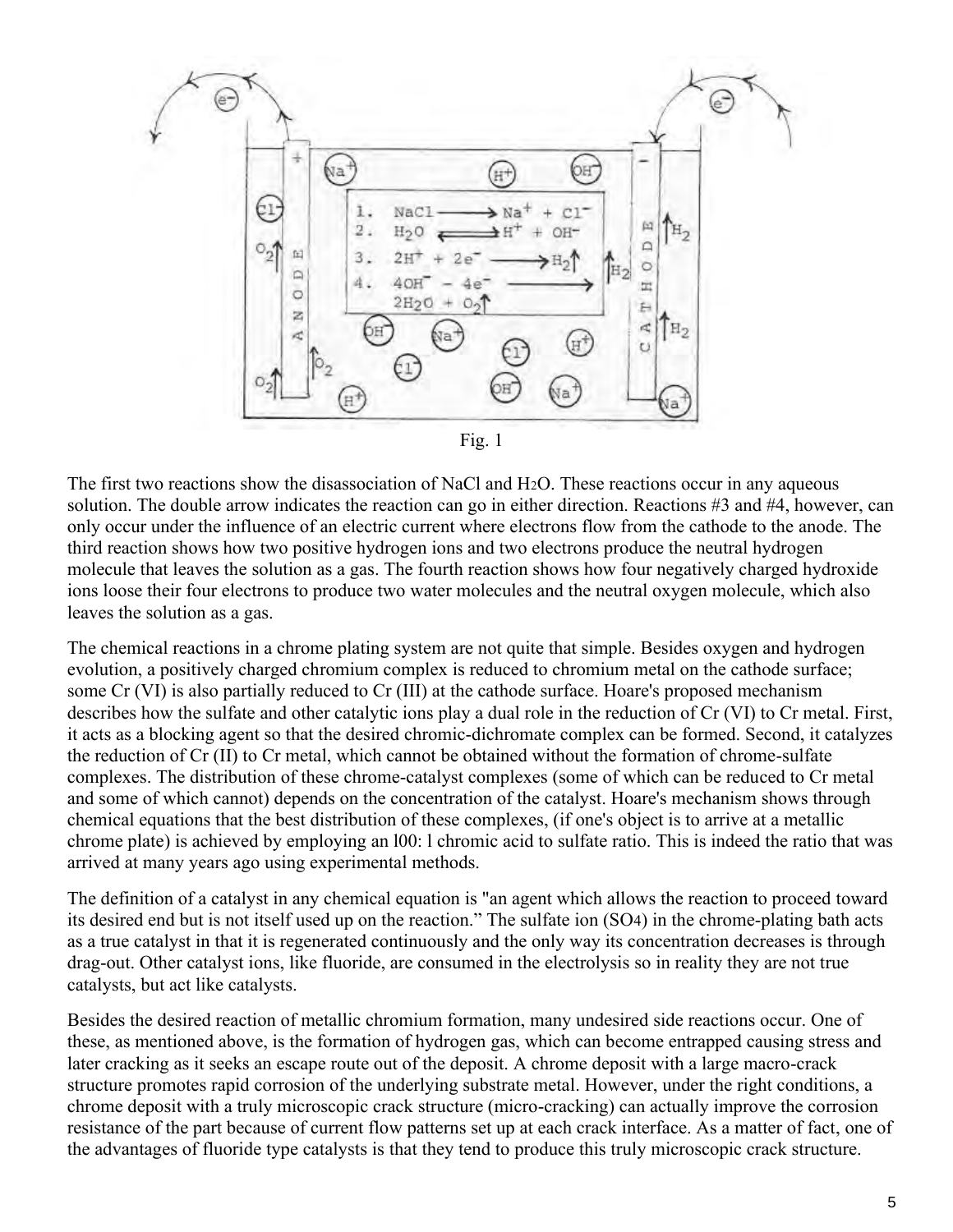



The first two reactions show the disassociation of NaCl and H2O. These reactions occur in any aqueous solution. The double arrow indicates the reaction can go in either direction. Reactions #3 and #4, however, can only occur under the influence of an electric current where electrons flow from the cathode to the anode. The third reaction shows how two positive hydrogen ions and two electrons produce the neutral hydrogen molecule that leaves the solution as a gas. The fourth reaction shows how four negatively charged hydroxide ions loose their four electrons to produce two water molecules and the neutral oxygen molecule, which also leaves the solution as a gas.

The chemical reactions in a chrome plating system are not quite that simple. Besides oxygen and hydrogen evolution, a positively charged chromium complex is reduced to chromium metal on the cathode surface; some Cr (VI) is also partially reduced to Cr (III) at the cathode surface. Hoare's proposed mechanism describes how the sulfate and other catalytic ions play a dual role in the reduction of Cr (VI) to Cr metal. First, it acts as a blocking agent so that the desired chromic-dichromate complex can be formed. Second, it catalyzes the reduction of Cr (II) to Cr metal, which cannot be obtained without the formation of chrome-sulfate complexes. The distribution of these chrome-catalyst complexes (some of which can be reduced to Cr metal and some of which cannot) depends on the concentration of the catalyst. Hoare's mechanism shows through chemical equations that the best distribution of these complexes, (if one's object is to arrive at a metallic chrome plate) is achieved by employing an l00: l chromic acid to sulfate ratio. This is indeed the ratio that was arrived at many years ago using experimental methods.

The definition of a catalyst in any chemical equation is "an agent which allows the reaction to proceed toward its desired end but is not itself used up on the reaction." The sulfate ion (SO4) in the chrome-plating bath acts as a true catalyst in that it is regenerated continuously and the only way its concentration decreases is through drag-out. Other catalyst ions, like fluoride, are consumed in the electrolysis so in reality they are not true catalysts, but act like catalysts.

Besides the desired reaction of metallic chromium formation, many undesired side reactions occur. One of these, as mentioned above, is the formation of hydrogen gas, which can become entrapped causing stress and later cracking as it seeks an escape route out of the deposit. A chrome deposit with a large macro-crack structure promotes rapid corrosion of the underlying substrate metal. However, under the right conditions, a chrome deposit with a truly microscopic crack structure (micro-cracking) can actually improve the corrosion resistance of the part because of current flow patterns set up at each crack interface. As a matter of fact, one of the advantages of fluoride type catalysts is that they tend to produce this truly microscopic crack structure.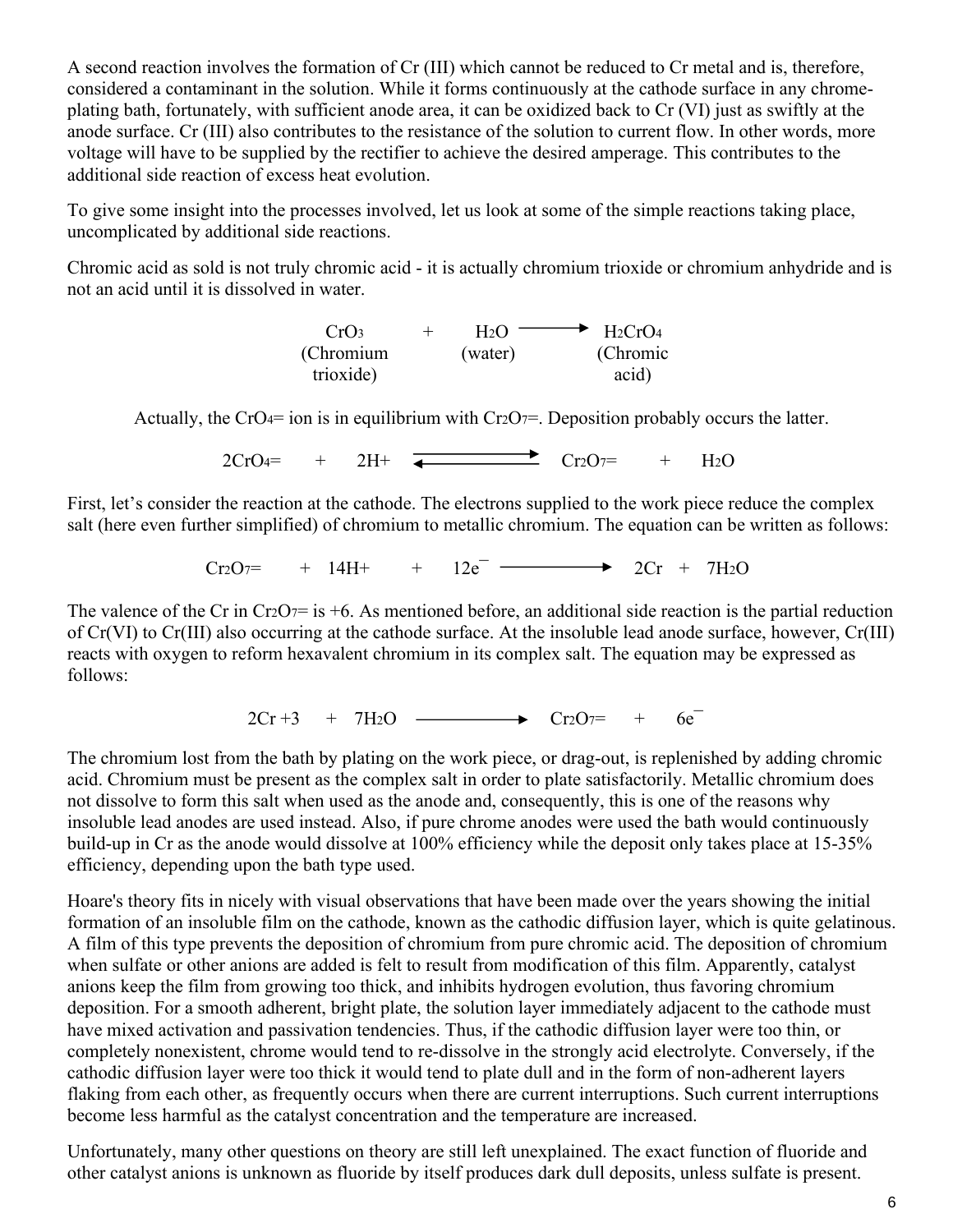A second reaction involves the formation of Cr (III) which cannot be reduced to Cr metal and is, therefore, considered a contaminant in the solution. While it forms continuously at the cathode surface in any chromeplating bath, fortunately, with sufficient anode area, it can be oxidized back to Cr (VI) just as swiftly at the anode surface. Cr (III) also contributes to the resistance of the solution to current flow. In other words, more voltage will have to be supplied by the rectifier to achieve the desired amperage. This contributes to the additional side reaction of excess heat evolution.

To give some insight into the processes involved, let us look at some of the simple reactions taking place, uncomplicated by additional side reactions.

Chromic acid as sold is not truly chromic acid - it is actually chromium trioxide or chromium anhydride and is not an acid until it is dissolved in water.

| CrO <sub>3</sub> | H <sub>2</sub> (1) | $H_2CrO_4$ |
|------------------|--------------------|------------|
| (Chromium        | (water)            | (Chromic   |
| trioxide)        |                    | acid)      |

Actually, the CrO4= ion is in equilibrium with Cr2O7=. Deposition probably occurs the latter.

 $2CrO_4$ = +  $2H$ +  $\longrightarrow$   $Cr_2O_7$ = +  $H_2O$ 

First, let's consider the reaction at the cathode. The electrons supplied to the work piece reduce the complex salt (here even further simplified) of chromium to metallic chromium. The equation can be written as follows:

 $Cr_2O_7 = + 14H^+ + 12e^ \longrightarrow 2Cr + 7H_2O$ 

The valence of the Cr in  $Cr2O7 =$  is +6. As mentioned before, an additional side reaction is the partial reduction of Cr(VI) to Cr(III) also occurring at the cathode surface. At the insoluble lead anode surface, however, Cr(III) reacts with oxygen to reform hexavalent chromium in its complex salt. The equation may be expressed as follows:

 $2Cr + 3 + 7H_2O \longrightarrow Cr_2O_7= + 6e^-$ 

The chromium lost from the bath by plating on the work piece, or drag-out, is replenished by adding chromic acid. Chromium must be present as the complex salt in order to plate satisfactorily. Metallic chromium does not dissolve to form this salt when used as the anode and, consequently, this is one of the reasons why insoluble lead anodes are used instead. Also, if pure chrome anodes were used the bath would continuously build-up in Cr as the anode would dissolve at 100% efficiency while the deposit only takes place at 15-35% efficiency, depending upon the bath type used.

Hoare's theory fits in nicely with visual observations that have been made over the years showing the initial formation of an insoluble film on the cathode, known as the cathodic diffusion layer, which is quite gelatinous. A film of this type prevents the deposition of chromium from pure chromic acid. The deposition of chromium when sulfate or other anions are added is felt to result from modification of this film. Apparently, catalyst anions keep the film from growing too thick, and inhibits hydrogen evolution, thus favoring chromium deposition. For a smooth adherent, bright plate, the solution layer immediately adjacent to the cathode must have mixed activation and passivation tendencies. Thus, if the cathodic diffusion layer were too thin, or completely nonexistent, chrome would tend to re-dissolve in the strongly acid electrolyte. Conversely, if the cathodic diffusion layer were too thick it would tend to plate dull and in the form of non-adherent layers flaking from each other, as frequently occurs when there are current interruptions. Such current interruptions become less harmful as the catalyst concentration and the temperature are increased.

Unfortunately, many other questions on theory are still left unexplained. The exact function of fluoride and other catalyst anions is unknown as fluoride by itself produces dark dull deposits, unless sulfate is present.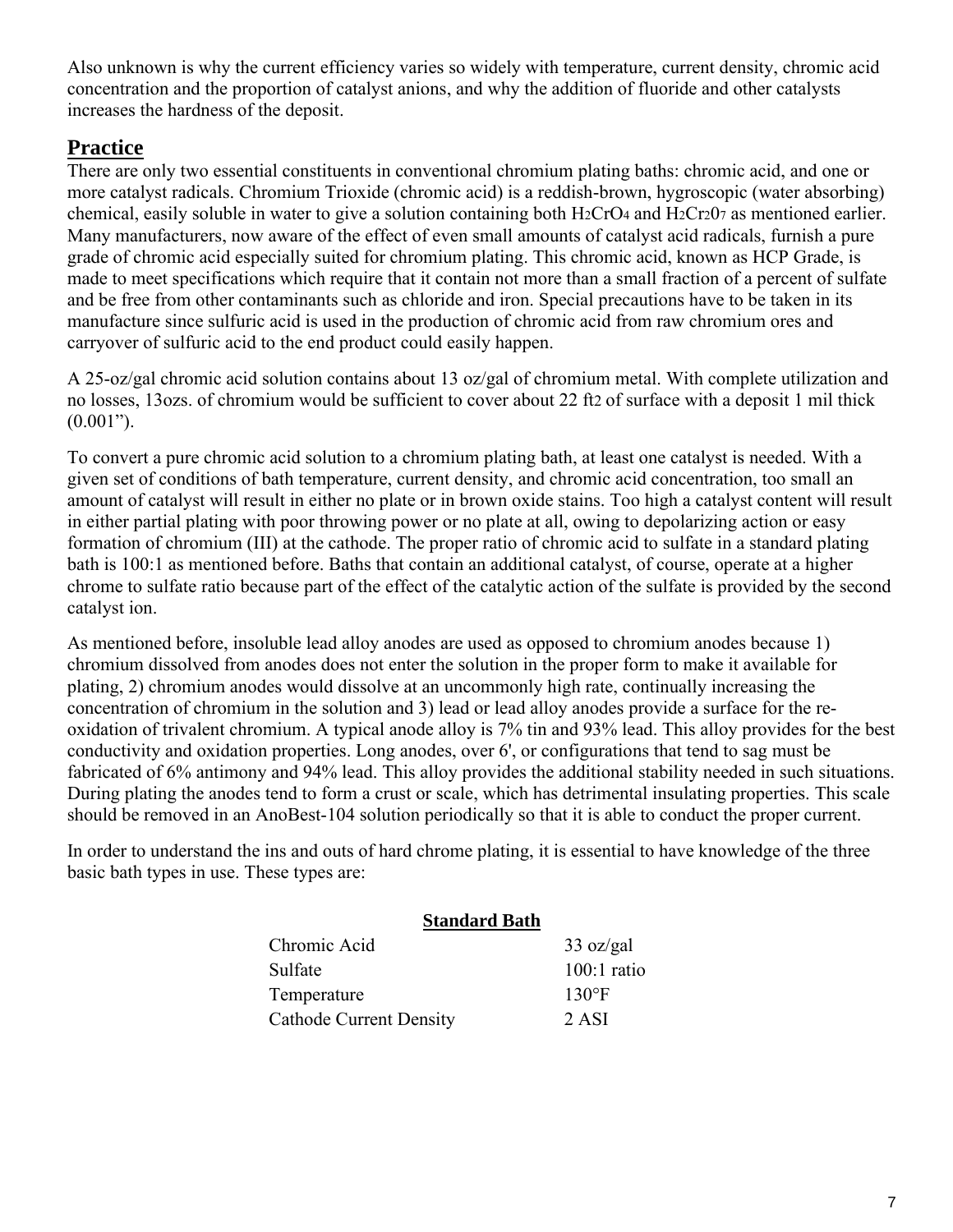Also unknown is why the current efficiency varies so widely with temperature, current density, chromic acid concentration and the proportion of catalyst anions, and why the addition of fluoride and other catalysts increases the hardness of the deposit.

### **Practice**

There are only two essential constituents in conventional chromium plating baths: chromic acid, and one or more catalyst radicals. Chromium Trioxide (chromic acid) is a reddish-brown, hygroscopic (water absorbing) chemical, easily soluble in water to give a solution containing both H2CrO<sup>4</sup> and H2Cr20<sup>7</sup> as mentioned earlier. Many manufacturers, now aware of the effect of even small amounts of catalyst acid radicals, furnish a pure grade of chromic acid especially suited for chromium plating. This chromic acid, known as HCP Grade, is made to meet specifications which require that it contain not more than a small fraction of a percent of sulfate and be free from other contaminants such as chloride and iron. Special precautions have to be taken in its manufacture since sulfuric acid is used in the production of chromic acid from raw chromium ores and carryover of sulfuric acid to the end product could easily happen.

A 25-oz/gal chromic acid solution contains about 13 oz/gal of chromium metal. With complete utilization and no losses, 13ozs. of chromium would be sufficient to cover about 22 ft2 of surface with a deposit 1 mil thick  $(0.001")$ .

To convert a pure chromic acid solution to a chromium plating bath, at least one catalyst is needed. With a given set of conditions of bath temperature, current density, and chromic acid concentration, too small an amount of catalyst will result in either no plate or in brown oxide stains. Too high a catalyst content will result in either partial plating with poor throwing power or no plate at all, owing to depolarizing action or easy formation of chromium (III) at the cathode. The proper ratio of chromic acid to sulfate in a standard plating bath is 100:1 as mentioned before. Baths that contain an additional catalyst, of course, operate at a higher chrome to sulfate ratio because part of the effect of the catalytic action of the sulfate is provided by the second catalyst ion.

As mentioned before, insoluble lead alloy anodes are used as opposed to chromium anodes because 1) chromium dissolved from anodes does not enter the solution in the proper form to make it available for plating, 2) chromium anodes would dissolve at an uncommonly high rate, continually increasing the concentration of chromium in the solution and 3) lead or lead alloy anodes provide a surface for the reoxidation of trivalent chromium. A typical anode alloy is 7% tin and 93% lead. This alloy provides for the best conductivity and oxidation properties. Long anodes, over 6', or configurations that tend to sag must be fabricated of 6% antimony and 94% lead. This alloy provides the additional stability needed in such situations. During plating the anodes tend to form a crust or scale, which has detrimental insulating properties. This scale should be removed in an AnoBest-104 solution periodically so that it is able to conduct the proper current.

In order to understand the ins and outs of hard chrome plating, it is essential to have knowledge of the three basic bath types in use. These types are:

| <b>Standard Bath</b>           |                     |
|--------------------------------|---------------------|
| Chromic Acid                   | $33 \text{ oz/gal}$ |
| Sulfate                        | $100:1$ ratio       |
| Temperature                    | $130^{\circ}F$      |
| <b>Cathode Current Density</b> | 2 ASI               |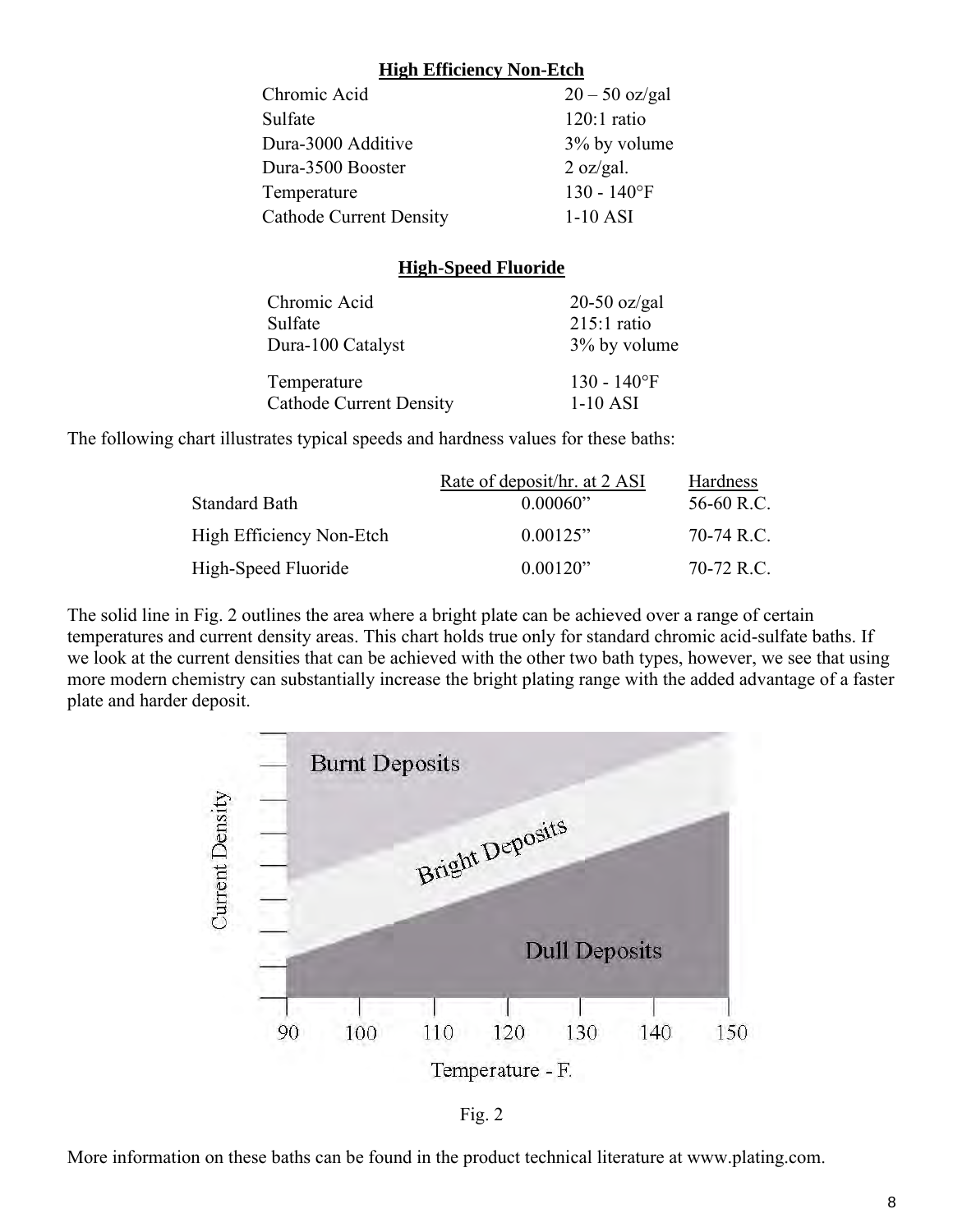#### **High Efficiency Non-Etch**

| Chromic Acid                   | $20 - 50$ oz/gal           |
|--------------------------------|----------------------------|
| Sulfate                        | $120:1$ ratio              |
| Dura-3000 Additive             | 3% by volume               |
| Dura-3500 Booster              | $2 \text{ oz/gal.}$        |
| Temperature                    | $130 - 140$ <sup>o</sup> F |
| <b>Cathode Current Density</b> | $1-10$ ASI                 |

#### **High-Speed Fluoride**

| Chromic Acid                   | $20-50$ oz/gal |
|--------------------------------|----------------|
| Sulfate                        | $215:1$ ratio  |
| Dura-100 Catalyst              | 3% by volume   |
| Temperature                    | $130 - 140$ °F |
| <b>Cathode Current Density</b> | $1-10$ ASI     |

The following chart illustrates typical speeds and hardness values for these baths:

|                          | Rate of deposit/hr. at 2 ASI | Hardness   |
|--------------------------|------------------------------|------------|
| Standard Bath            | 0.00060"                     | 56-60 R.C. |
| High Efficiency Non-Etch | 0.00125"                     | 70-74 R.C. |
| High-Speed Fluoride      | 0.00120"                     | 70-72 R.C. |

The solid line in Fig. 2 outlines the area where a bright plate can be achieved over a range of certain temperatures and current density areas. This chart holds true only for standard chromic acid-sulfate baths. If we look at the current densities that can be achieved with the other two bath types, however, we see that using more modern chemistry can substantially increase the bright plating range with the added advantage of a faster plate and harder deposit.



More information on these baths can be found in the product technical literature at www.plating.com.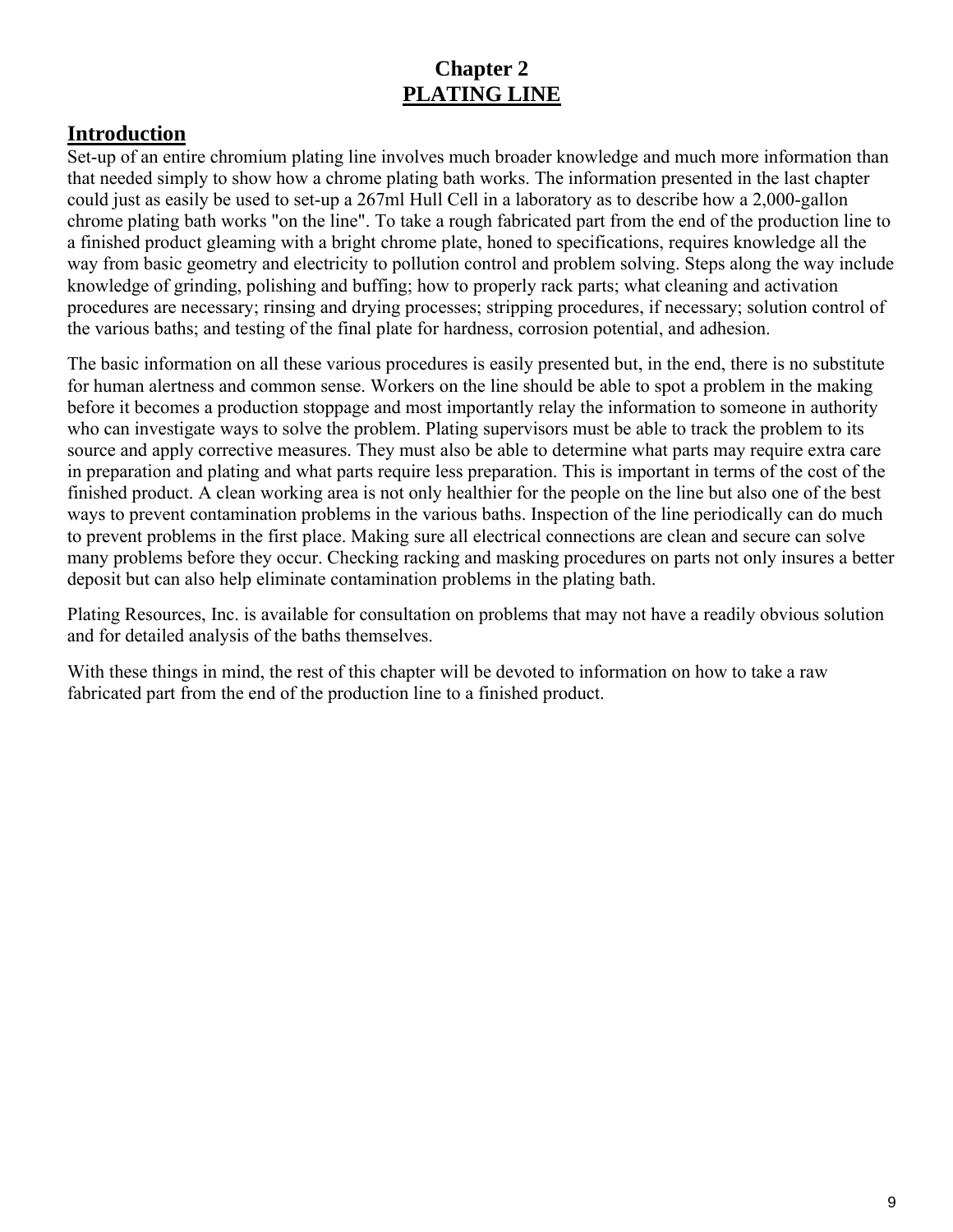## **Chapter 2 PLATING LINE**

### **Introduction**

Set-up of an entire chromium plating line involves much broader knowledge and much more information than that needed simply to show how a chrome plating bath works. The information presented in the last chapter could just as easily be used to set-up a 267ml Hull Cell in a laboratory as to describe how a 2,000-gallon chrome plating bath works "on the line". To take a rough fabricated part from the end of the production line to a finished product gleaming with a bright chrome plate, honed to specifications, requires knowledge all the way from basic geometry and electricity to pollution control and problem solving. Steps along the way include knowledge of grinding, polishing and buffing; how to properly rack parts; what cleaning and activation procedures are necessary; rinsing and drying processes; stripping procedures, if necessary; solution control of the various baths; and testing of the final plate for hardness, corrosion potential, and adhesion.

The basic information on all these various procedures is easily presented but, in the end, there is no substitute for human alertness and common sense. Workers on the line should be able to spot a problem in the making before it becomes a production stoppage and most importantly relay the information to someone in authority who can investigate ways to solve the problem. Plating supervisors must be able to track the problem to its source and apply corrective measures. They must also be able to determine what parts may require extra care in preparation and plating and what parts require less preparation. This is important in terms of the cost of the finished product. A clean working area is not only healthier for the people on the line but also one of the best ways to prevent contamination problems in the various baths. Inspection of the line periodically can do much to prevent problems in the first place. Making sure all electrical connections are clean and secure can solve many problems before they occur. Checking racking and masking procedures on parts not only insures a better deposit but can also help eliminate contamination problems in the plating bath.

Plating Resources, Inc. is available for consultation on problems that may not have a readily obvious solution and for detailed analysis of the baths themselves.

With these things in mind, the rest of this chapter will be devoted to information on how to take a raw fabricated part from the end of the production line to a finished product.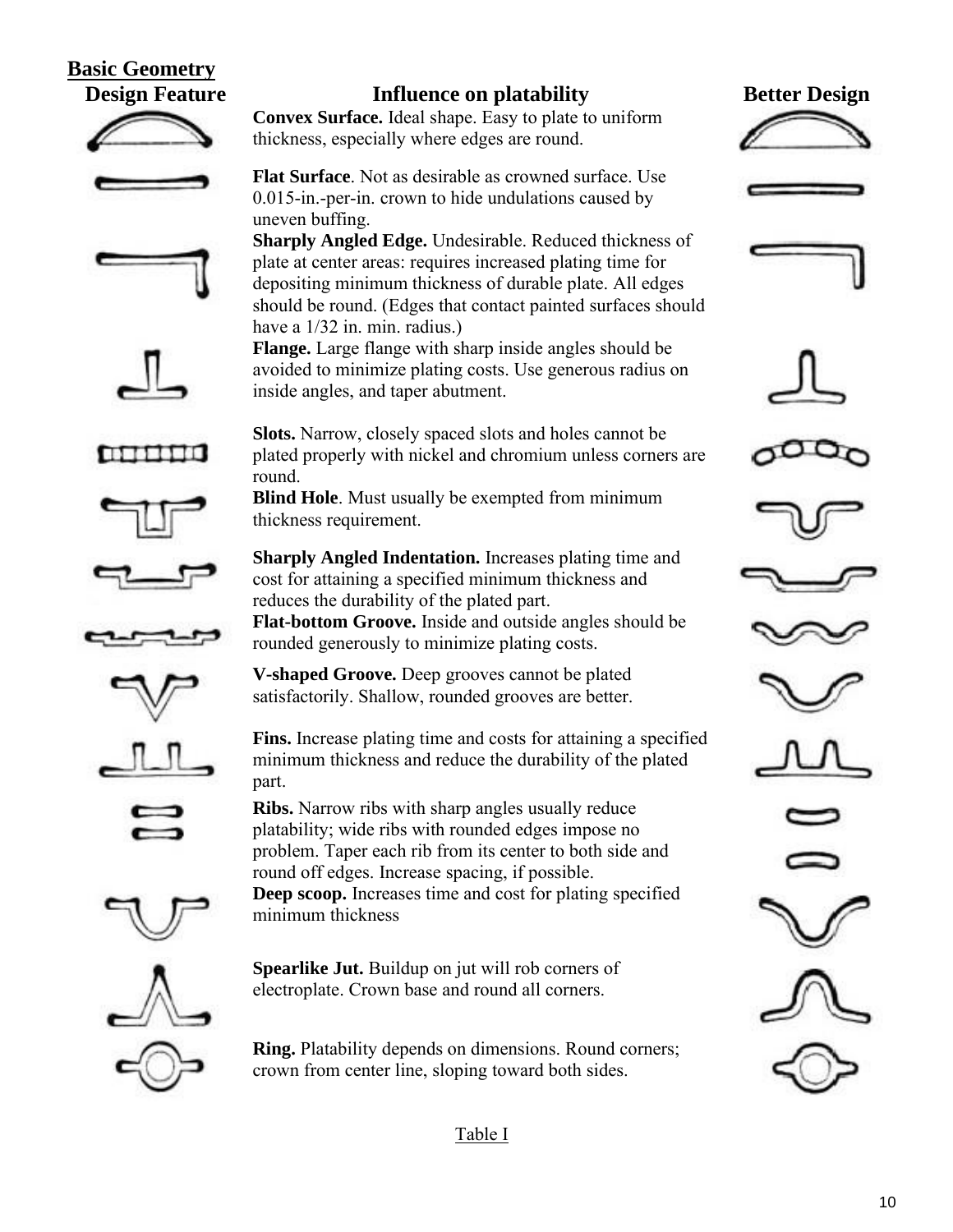## **Basic Geometry**





























round off edges. Increase spacing, if possible.

**Convex Surface.** Ideal shape. Easy to plate to uniform

**Flat Surface**. Not as desirable as crowned surface. Use 0.015-in.-per-in. crown to hide undulations caused by

**Sharply Angled Edge.** Undesirable. Reduced thickness of plate at center areas: requires increased plating time for depositing minimum thickness of durable plate. All edges should be round. (Edges that contact painted surfaces should

**Flange.** Large flange with sharp inside angles should be avoided to minimize plating costs. Use generous radius on

**Slots.** Narrow, closely spaced slots and holes cannot be plated properly with nickel and chromium unless corners are

**Blind Hole**. Must usually be exempted from minimum

**Sharply Angled Indentation.** Increases plating time and cost for attaining a specified minimum thickness and

**Flat-bottom Groove.** Inside and outside angles should be

**Fins.** Increase plating time and costs for attaining a specified minimum thickness and reduce the durability of the plated

thickness, especially where edges are round.

uneven buffing.

round.

part.

minimum thickness

have a 1/32 in. min. radius.)

thickness requirement.

inside angles, and taper abutment.

reduces the durability of the plated part.

rounded generously to minimize plating costs.

**V-shaped Groove.** Deep grooves cannot be plated satisfactorily. Shallow, rounded grooves are better.

**Ribs.** Narrow ribs with sharp angles usually reduce platability; wide ribs with rounded edges impose no problem. Taper each rib from its center to both side and

**Ring.** Platability depends on dimensions. Round corners; crown from center line, sloping toward both sides.

**Deep scoop.** Increases time and cost for plating specified

























Table I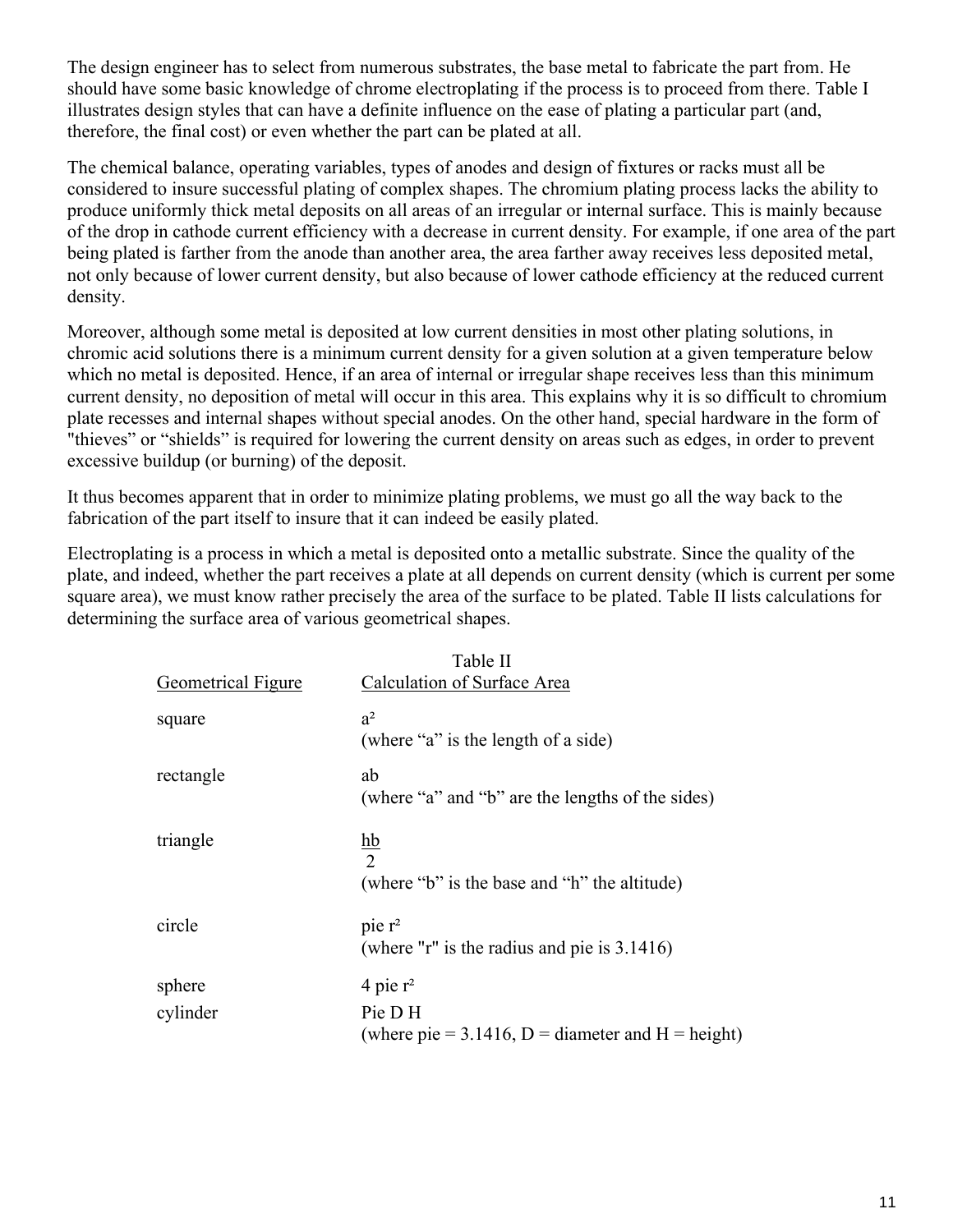The design engineer has to select from numerous substrates, the base metal to fabricate the part from. He should have some basic knowledge of chrome electroplating if the process is to proceed from there. Table I illustrates design styles that can have a definite influence on the ease of plating a particular part (and, therefore, the final cost) or even whether the part can be plated at all.

The chemical balance, operating variables, types of anodes and design of fixtures or racks must all be considered to insure successful plating of complex shapes. The chromium plating process lacks the ability to produce uniformly thick metal deposits on all areas of an irregular or internal surface. This is mainly because of the drop in cathode current efficiency with a decrease in current density. For example, if one area of the part being plated is farther from the anode than another area, the area farther away receives less deposited metal, not only because of lower current density, but also because of lower cathode efficiency at the reduced current density.

Moreover, although some metal is deposited at low current densities in most other plating solutions, in chromic acid solutions there is a minimum current density for a given solution at a given temperature below which no metal is deposited. Hence, if an area of internal or irregular shape receives less than this minimum current density, no deposition of metal will occur in this area. This explains why it is so difficult to chromium plate recesses and internal shapes without special anodes. On the other hand, special hardware in the form of "thieves" or "shields" is required for lowering the current density on areas such as edges, in order to prevent excessive buildup (or burning) of the deposit.

It thus becomes apparent that in order to minimize plating problems, we must go all the way back to the fabrication of the part itself to insure that it can indeed be easily plated.

Electroplating is a process in which a metal is deposited onto a metallic substrate. Since the quality of the plate, and indeed, whether the part receives a plate at all depends on current density (which is current per some square area), we must know rather precisely the area of the surface to be plated. Table II lists calculations for determining the surface area of various geometrical shapes.

| <b>Geometrical Figure</b> | Table II<br><b>Calculation of Surface Area</b>                                     |
|---------------------------|------------------------------------------------------------------------------------|
| square                    | a <sup>2</sup><br>(where "a" is the length of a side)                              |
| rectangle                 | ab<br>(where "a" and "b" are the lengths of the sides)                             |
| triangle                  | $\underline{hb}$<br>$\overline{2}$<br>(where "b" is the base and "h" the altitude) |
| circle                    | pie <sub>r²</sub><br>(where "r" is the radius and pie is $3.1416$ )                |
| sphere<br>cylinder        | 4 pie $r^2$<br>Pie D H                                                             |
|                           | (where pie = 3.1416, D = diameter and H = height)                                  |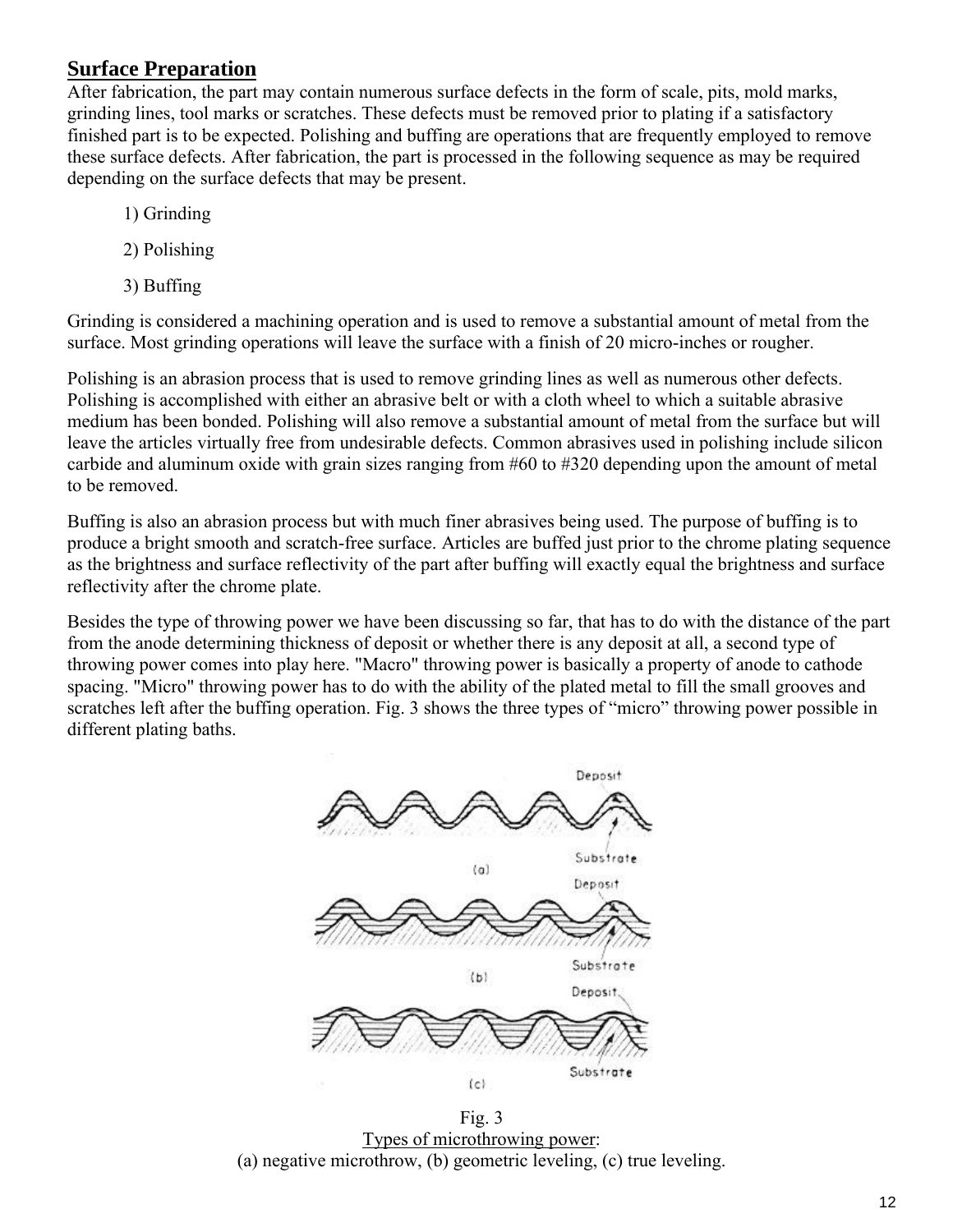### **Surface Preparation**

After fabrication, the part may contain numerous surface defects in the form of scale, pits, mold marks, grinding lines, tool marks or scratches. These defects must be removed prior to plating if a satisfactory finished part is to be expected. Polishing and buffing are operations that are frequently employed to remove these surface defects. After fabrication, the part is processed in the following sequence as may be required depending on the surface defects that may be present.

- 1) Grinding
- 2) Polishing
- 3) Buffing

Grinding is considered a machining operation and is used to remove a substantial amount of metal from the surface. Most grinding operations will leave the surface with a finish of 20 micro-inches or rougher.

Polishing is an abrasion process that is used to remove grinding lines as well as numerous other defects. Polishing is accomplished with either an abrasive belt or with a cloth wheel to which a suitable abrasive medium has been bonded. Polishing will also remove a substantial amount of metal from the surface but will leave the articles virtually free from undesirable defects. Common abrasives used in polishing include silicon carbide and aluminum oxide with grain sizes ranging from #60 to #320 depending upon the amount of metal to be removed.

Buffing is also an abrasion process but with much finer abrasives being used. The purpose of buffing is to produce a bright smooth and scratch-free surface. Articles are buffed just prior to the chrome plating sequence as the brightness and surface reflectivity of the part after buffing will exactly equal the brightness and surface reflectivity after the chrome plate.

Besides the type of throwing power we have been discussing so far, that has to do with the distance of the part from the anode determining thickness of deposit or whether there is any deposit at all, a second type of throwing power comes into play here. "Macro" throwing power is basically a property of anode to cathode spacing. "Micro" throwing power has to do with the ability of the plated metal to fill the small grooves and scratches left after the buffing operation. Fig. 3 shows the three types of "micro" throwing power possible in different plating baths.



Fig. 3 Types of microthrowing power: (a) negative microthrow, (b) geometric leveling, (c) true leveling.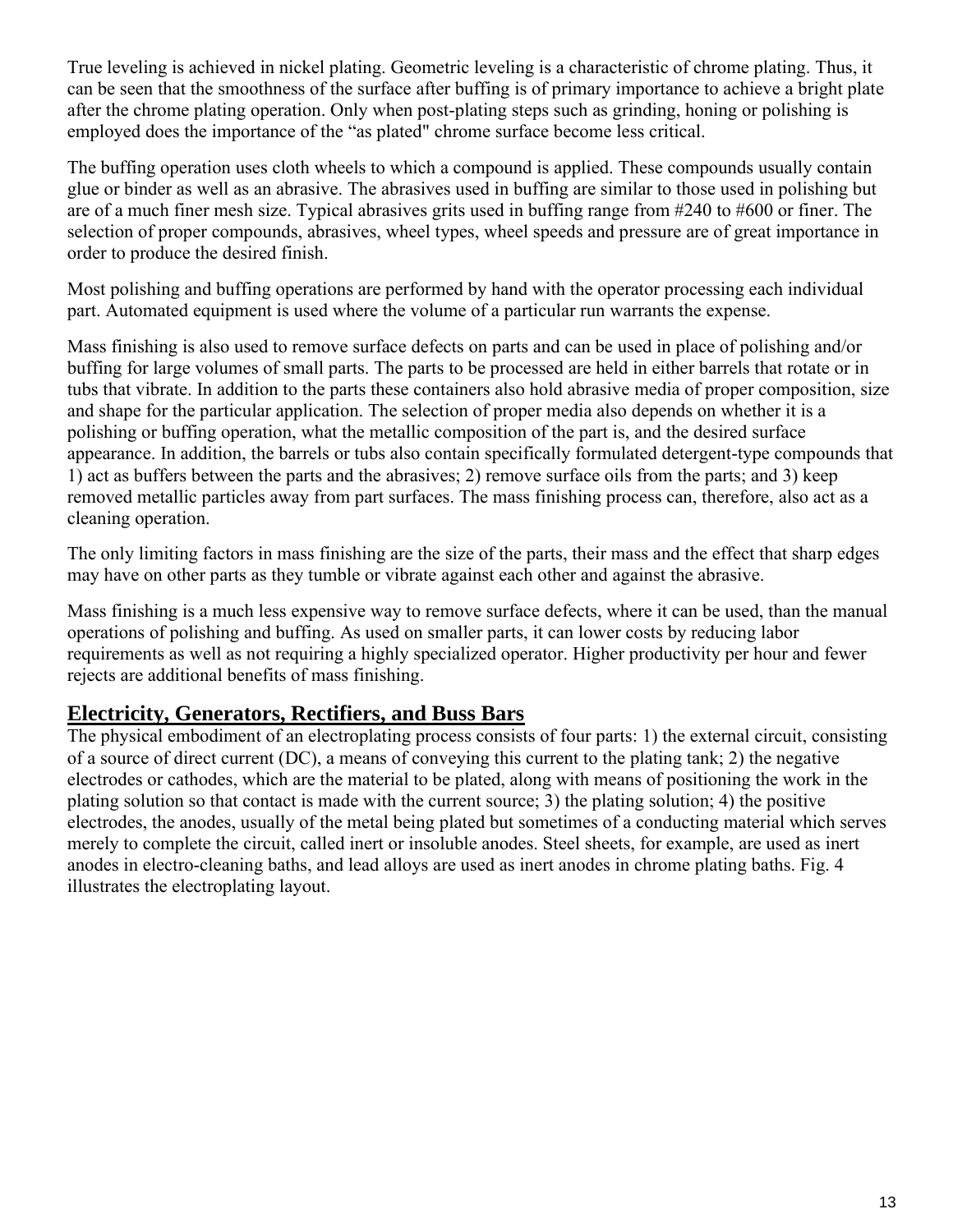True leveling is achieved in nickel plating. Geometric leveling is a characteristic of chrome plating. Thus, it can be seen that the smoothness of the surface after buffing is of primary importance to achieve a bright plate after the chrome plating operation. Only when post-plating steps such as grinding, honing or polishing is employed does the importance of the "as plated" chrome surface become less critical.

The buffing operation uses cloth wheels to which a compound is applied. These compounds usually contain glue or binder as well as an abrasive. The abrasives used in buffing are similar to those used in polishing but are of a much finer mesh size. Typical abrasives grits used in buffing range from #240 to #600 or finer. The selection of proper compounds, abrasives, wheel types, wheel speeds and pressure are of great importance in order to produce the desired finish.

Most polishing and buffing operations are performed by hand with the operator processing each individual part. Automated equipment is used where the volume of a particular run warrants the expense.

Mass finishing is also used to remove surface defects on parts and can be used in place of polishing and/or buffing for large volumes of small parts. The parts to be processed are held in either barrels that rotate or in tubs that vibrate. In addition to the parts these containers also hold abrasive media of proper composition, size and shape for the particular application. The selection of proper media also depends on whether it is a polishing or buffing operation, what the metallic composition of the part is, and the desired surface appearance. In addition, the barrels or tubs also contain specifically formulated detergent-type compounds that 1) act as buffers between the parts and the abrasives; 2) remove surface oils from the parts; and 3) keep removed metallic particles away from part surfaces. The mass finishing process can, therefore, also act as a cleaning operation.

The only limiting factors in mass finishing are the size of the parts, their mass and the effect that sharp edges may have on other parts as they tumble or vibrate against each other and against the abrasive.

Mass finishing is a much less expensive way to remove surface defects, where it can be used, than the manual operations of polishing and buffing. As used on smaller parts, it can lower costs by reducing labor requirements as well as not requiring a highly specialized operator. Higher productivity per hour and fewer rejects are additional benefits of mass finishing.

### **Electricity, Generators, Rectifiers, and Buss Bars**

The physical embodiment of an electroplating process consists of four parts: 1) the external circuit, consisting of a source of direct current (DC), a means of conveying this current to the plating tank; 2) the negative electrodes or cathodes, which are the material to be plated, along with means of positioning the work in the plating solution so that contact is made with the current source; 3) the plating solution; 4) the positive electrodes, the anodes, usually of the metal being plated but sometimes of a conducting material which serves merely to complete the circuit, called inert or insoluble anodes. Steel sheets, for example, are used as inert anodes in electro-cleaning baths, and lead alloys are used as inert anodes in chrome plating baths. Fig. 4 illustrates the electroplating layout.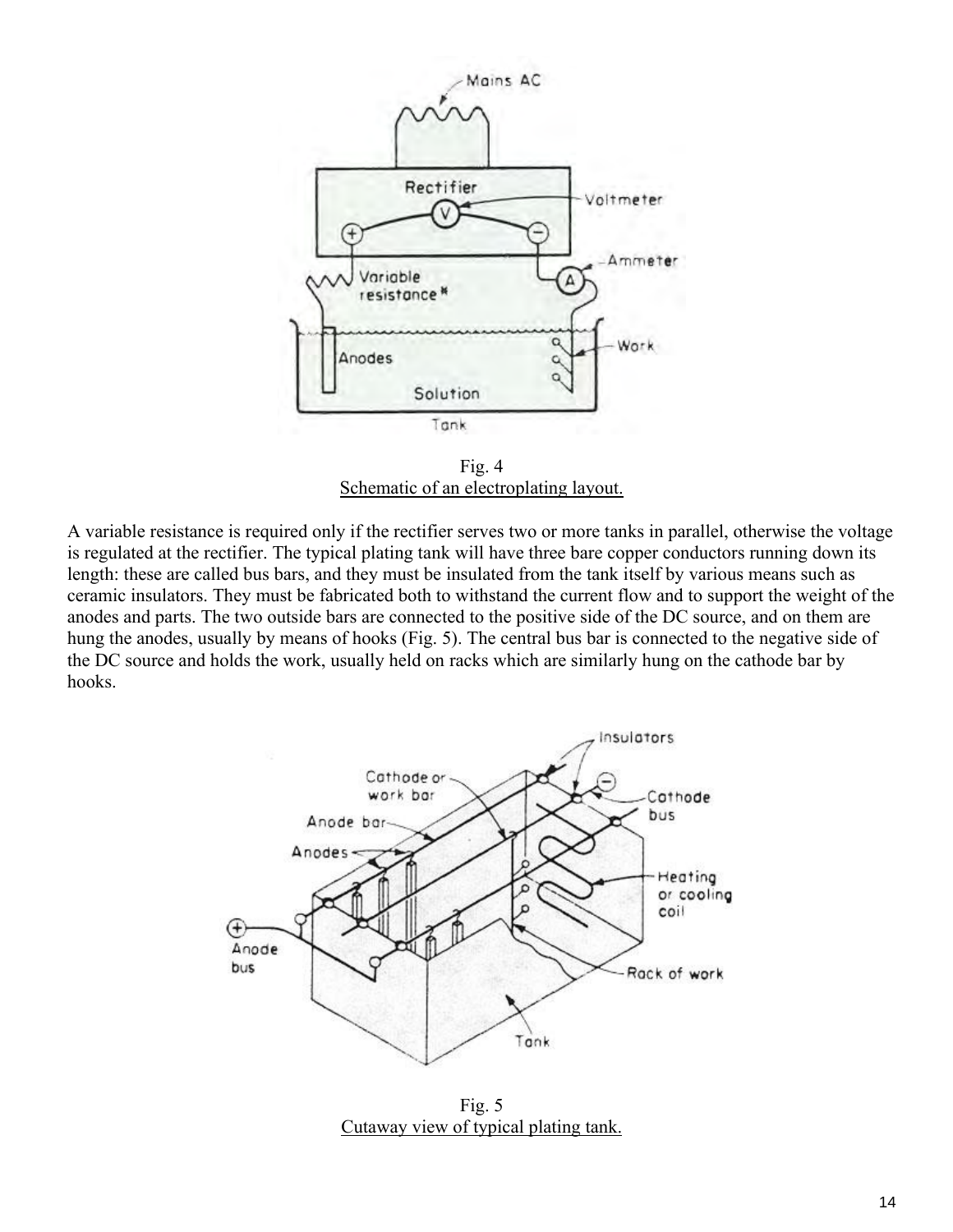

Fig. 4 Schematic of an electroplating layout.

A variable resistance is required only if the rectifier serves two or more tanks in parallel, otherwise the voltage is regulated at the rectifier. The typical plating tank will have three bare copper conductors running down its length: these are called bus bars, and they must be insulated from the tank itself by various means such as ceramic insulators. They must be fabricated both to withstand the current flow and to support the weight of the anodes and parts. The two outside bars are connected to the positive side of the DC source, and on them are hung the anodes, usually by means of hooks (Fig. 5). The central bus bar is connected to the negative side of the DC source and holds the work, usually held on racks which are similarly hung on the cathode bar by hooks.



Fig. 5 Cutaway view of typical plating tank.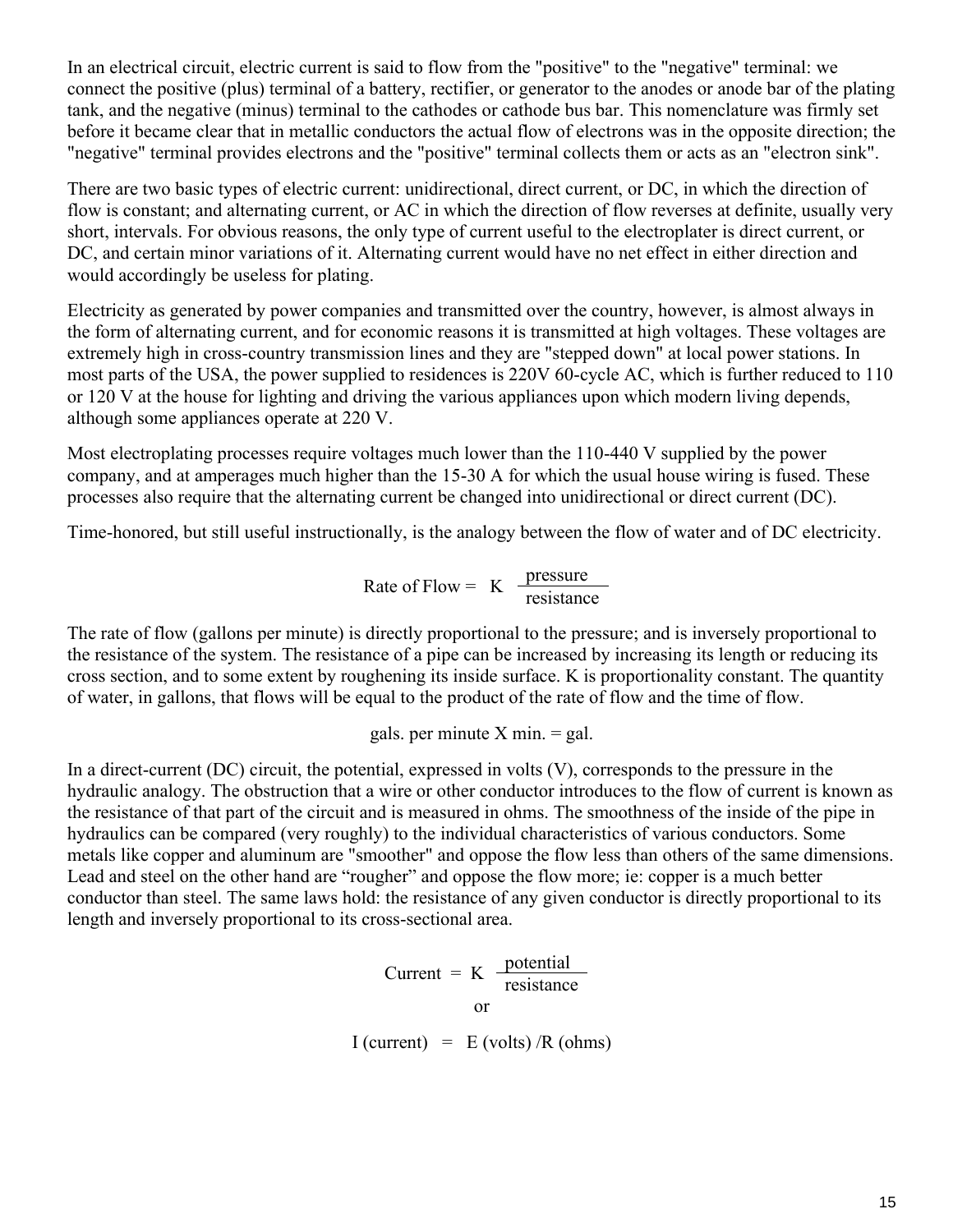In an electrical circuit, electric current is said to flow from the "positive" to the "negative" terminal: we connect the positive (plus) terminal of a battery, rectifier, or generator to the anodes or anode bar of the plating tank, and the negative (minus) terminal to the cathodes or cathode bus bar. This nomenclature was firmly set before it became clear that in metallic conductors the actual flow of electrons was in the opposite direction; the "negative" terminal provides electrons and the "positive" terminal collects them or acts as an "electron sink".

There are two basic types of electric current: unidirectional, direct current, or DC, in which the direction of flow is constant; and alternating current, or AC in which the direction of flow reverses at definite, usually very short, intervals. For obvious reasons, the only type of current useful to the electroplater is direct current, or DC, and certain minor variations of it. Alternating current would have no net effect in either direction and would accordingly be useless for plating.

Electricity as generated by power companies and transmitted over the country, however, is almost always in the form of alternating current, and for economic reasons it is transmitted at high voltages. These voltages are extremely high in cross-country transmission lines and they are "stepped down" at local power stations. In most parts of the USA, the power supplied to residences is 220V 60-cycle AC, which is further reduced to 110 or 120 V at the house for lighting and driving the various appliances upon which modern living depends, although some appliances operate at 220 V.

Most electroplating processes require voltages much lower than the 110-440 V supplied by the power company, and at amperages much higher than the 15-30 A for which the usual house wiring is fused. These processes also require that the alternating current be changed into unidirectional or direct current (DC).

Time-honored, but still useful instructionally, is the analogy between the flow of water and of DC electricity.

Rate of Flow = 
$$
K
$$
  $\frac{\text{pressure}}{\text{resistance}}$ 

The rate of flow (gallons per minute) is directly proportional to the pressure; and is inversely proportional to the resistance of the system. The resistance of a pipe can be increased by increasing its length or reducing its cross section, and to some extent by roughening its inside surface. K is proportionality constant. The quantity of water, in gallons, that flows will be equal to the product of the rate of flow and the time of flow.

gals. per minute  $X$  min.  $=$  gal.

In a direct-current (DC) circuit, the potential, expressed in volts (V), corresponds to the pressure in the hydraulic analogy. The obstruction that a wire or other conductor introduces to the flow of current is known as the resistance of that part of the circuit and is measured in ohms. The smoothness of the inside of the pipe in hydraulics can be compared (very roughly) to the individual characteristics of various conductors. Some metals like copper and aluminum are "smoother" and oppose the flow less than others of the same dimensions. Lead and steel on the other hand are "rougher" and oppose the flow more; ie: copper is a much better conductor than steel. The same laws hold: the resistance of any given conductor is directly proportional to its length and inversely proportional to its cross-sectional area.

$$
Current = K \frac{potential}{resistance}
$$

 $I$  (current) = E (volts) /R (ohms)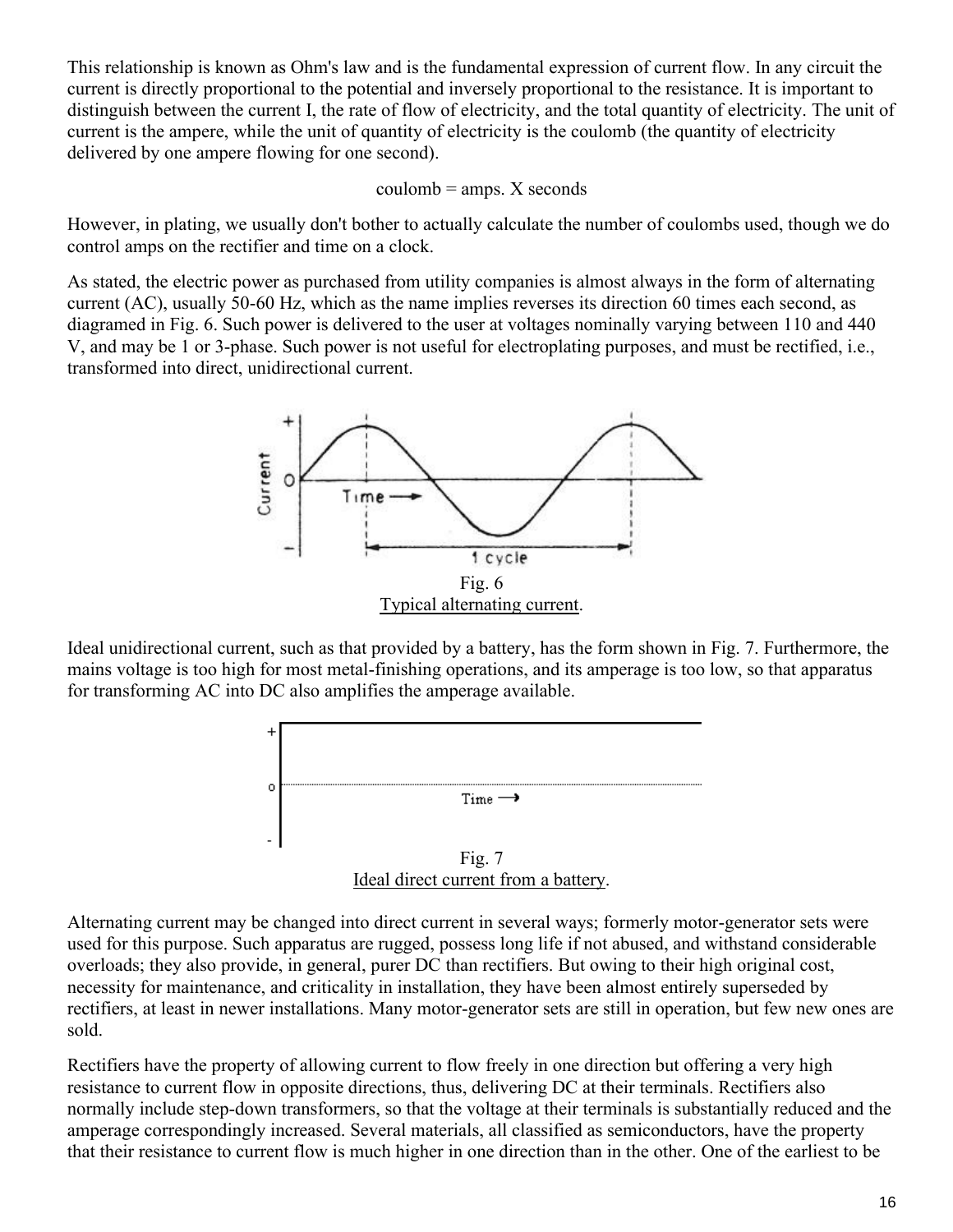This relationship is known as Ohm's law and is the fundamental expression of current flow. In any circuit the current is directly proportional to the potential and inversely proportional to the resistance. It is important to distinguish between the current I, the rate of flow of electricity, and the total quantity of electricity. The unit of current is the ampere, while the unit of quantity of electricity is the coulomb (the quantity of electricity delivered by one ampere flowing for one second).

#### $coulomb = *amps*. X seconds$

However, in plating, we usually don't bother to actually calculate the number of coulombs used, though we do control amps on the rectifier and time on a clock.

As stated, the electric power as purchased from utility companies is almost always in the form of alternating current (AC), usually 50-60 Hz, which as the name implies reverses its direction 60 times each second, as diagramed in Fig. 6. Such power is delivered to the user at voltages nominally varying between 110 and 440 V, and may be 1 or 3-phase. Such power is not useful for electroplating purposes, and must be rectified, i.e., transformed into direct, unidirectional current.



Ideal unidirectional current, such as that provided by a battery, has the form shown in Fig. 7. Furthermore, the mains voltage is too high for most metal-finishing operations, and its amperage is too low, so that apparatus for transforming AC into DC also amplifies the amperage available.



Alternating current may be changed into direct current in several ways; formerly motor-generator sets were used for this purpose. Such apparatus are rugged, possess long life if not abused, and withstand considerable overloads; they also provide, in general, purer DC than rectifiers. But owing to their high original cost, necessity for maintenance, and criticality in installation, they have been almost entirely superseded by rectifiers, at least in newer installations. Many motor-generator sets are still in operation, but few new ones are sold.

Rectifiers have the property of allowing current to flow freely in one direction but offering a very high resistance to current flow in opposite directions, thus, delivering DC at their terminals. Rectifiers also normally include step-down transformers, so that the voltage at their terminals is substantially reduced and the amperage correspondingly increased. Several materials, all classified as semiconductors, have the property that their resistance to current flow is much higher in one direction than in the other. One of the earliest to be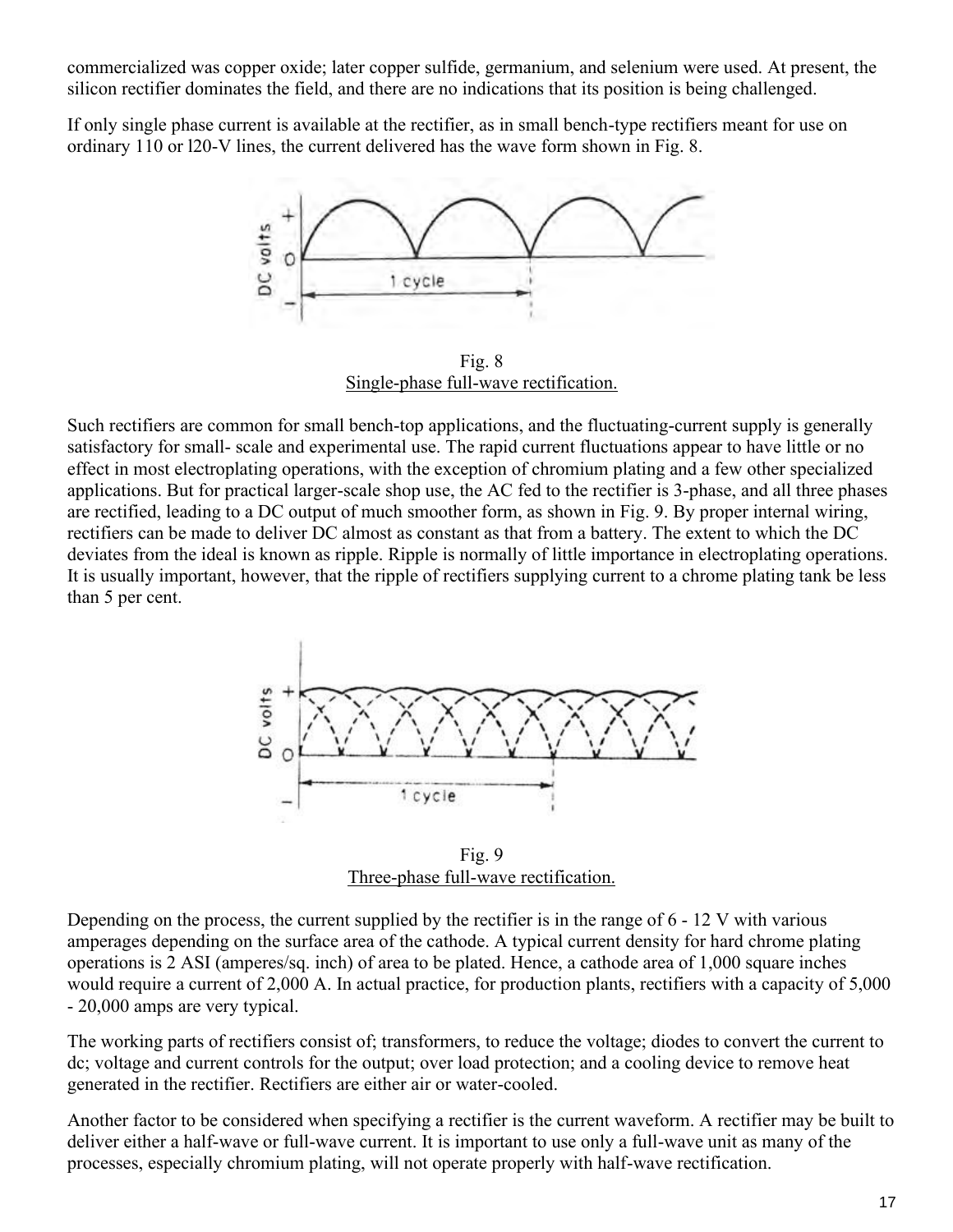commercialized was copper oxide; later copper sulfide, germanium, and selenium were used. At present, the silicon rectifier dominates the field, and there are no indications that its position is being challenged.

If only single phase current is available at the rectifier, as in small bench-type rectifiers meant for use on ordinary 110 or l20-V lines, the current delivered has the wave form shown in Fig. 8.



Fig. 8 Single-phase full-wave rectification.

Such rectifiers are common for small bench-top applications, and the fluctuating-current supply is generally satisfactory for small- scale and experimental use. The rapid current fluctuations appear to have little or no effect in most electroplating operations, with the exception of chromium plating and a few other specialized applications. But for practical larger-scale shop use, the AC fed to the rectifier is 3-phase, and all three phases are rectified, leading to a DC output of much smoother form, as shown in Fig. 9. By proper internal wiring, rectifiers can be made to deliver DC almost as constant as that from a battery. The extent to which the DC deviates from the ideal is known as ripple. Ripple is normally of little importance in electroplating operations. It is usually important, however, that the ripple of rectifiers supplying current to a chrome plating tank be less than 5 per cent.



Fig. 9 Three-phase full-wave rectification.

Depending on the process, the current supplied by the rectifier is in the range of 6 - 12 V with various amperages depending on the surface area of the cathode. A typical current density for hard chrome plating operations is 2 ASI (amperes/sq. inch) of area to be plated. Hence, a cathode area of 1,000 square inches would require a current of 2,000 A. In actual practice, for production plants, rectifiers with a capacity of 5,000 - 20,000 amps are very typical.

The working parts of rectifiers consist of; transformers, to reduce the voltage; diodes to convert the current to dc; voltage and current controls for the output; over load protection; and a cooling device to remove heat generated in the rectifier. Rectifiers are either air or water-cooled.

Another factor to be considered when specifying a rectifier is the current waveform. A rectifier may be built to deliver either a half-wave or full-wave current. It is important to use only a full-wave unit as many of the processes, especially chromium plating, will not operate properly with half-wave rectification.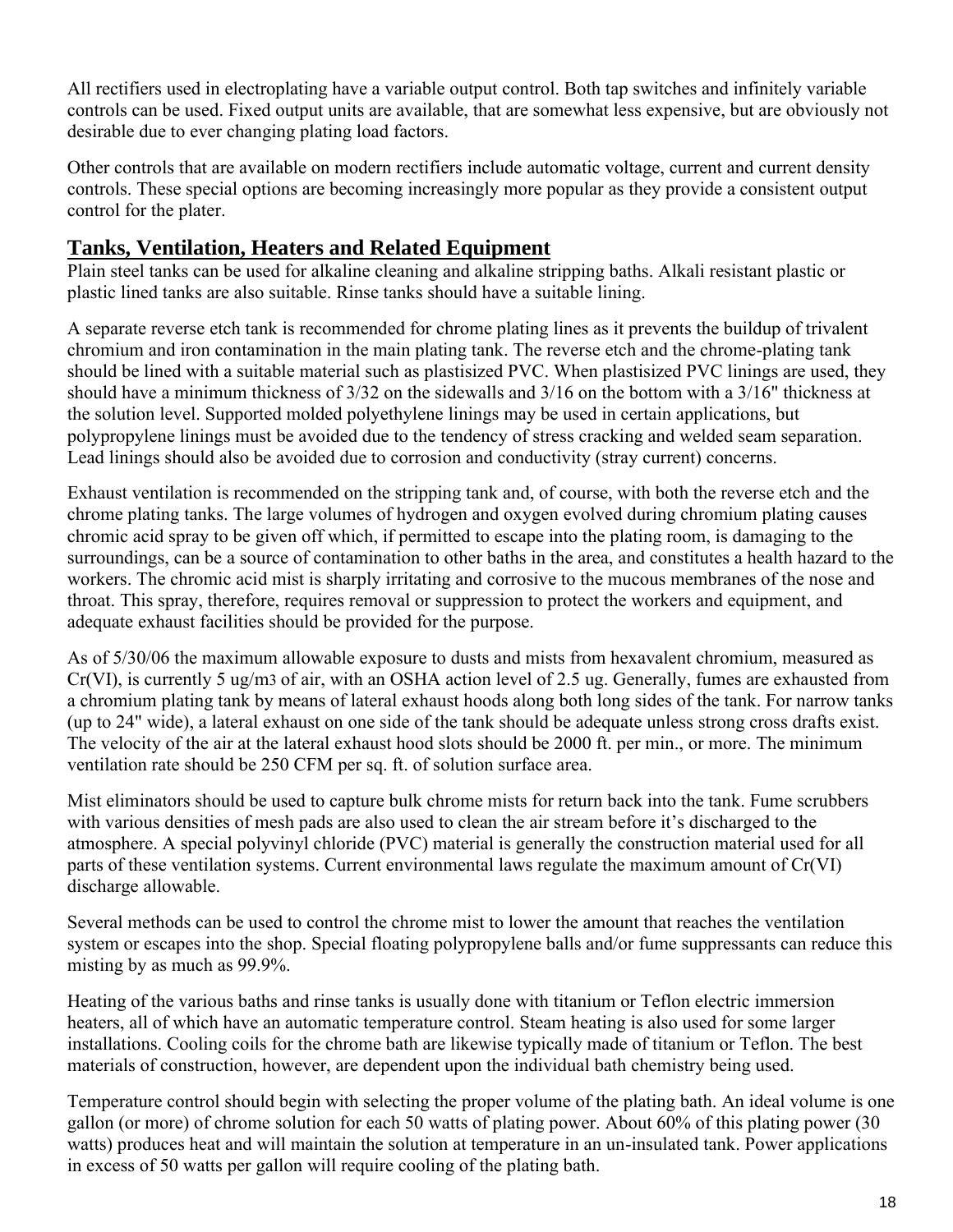All rectifiers used in electroplating have a variable output control. Both tap switches and infinitely variable controls can be used. Fixed output units are available, that are somewhat less expensive, but are obviously not desirable due to ever changing plating load factors.

Other controls that are available on modern rectifiers include automatic voltage, current and current density controls. These special options are becoming increasingly more popular as they provide a consistent output control for the plater.

## **Tanks, Ventilation, Heaters and Related Equipment**

Plain steel tanks can be used for alkaline cleaning and alkaline stripping baths. Alkali resistant plastic or plastic lined tanks are also suitable. Rinse tanks should have a suitable lining.

A separate reverse etch tank is recommended for chrome plating lines as it prevents the buildup of trivalent chromium and iron contamination in the main plating tank. The reverse etch and the chrome-plating tank should be lined with a suitable material such as plastisized PVC. When plastisized PVC linings are used, they should have a minimum thickness of 3/32 on the sidewalls and 3/16 on the bottom with a 3/16" thickness at the solution level. Supported molded polyethylene linings may be used in certain applications, but polypropylene linings must be avoided due to the tendency of stress cracking and welded seam separation. Lead linings should also be avoided due to corrosion and conductivity (stray current) concerns.

Exhaust ventilation is recommended on the stripping tank and, of course, with both the reverse etch and the chrome plating tanks. The large volumes of hydrogen and oxygen evolved during chromium plating causes chromic acid spray to be given off which, if permitted to escape into the plating room, is damaging to the surroundings, can be a source of contamination to other baths in the area, and constitutes a health hazard to the workers. The chromic acid mist is sharply irritating and corrosive to the mucous membranes of the nose and throat. This spray, therefore, requires removal or suppression to protect the workers and equipment, and adequate exhaust facilities should be provided for the purpose.

As of 5/30/06 the maximum allowable exposure to dusts and mists from hexavalent chromium, measured as Cr(VI), is currently 5 ug/m3 of air, with an OSHA action level of 2.5 ug. Generally, fumes are exhausted from a chromium plating tank by means of lateral exhaust hoods along both long sides of the tank. For narrow tanks (up to 24" wide), a lateral exhaust on one side of the tank should be adequate unless strong cross drafts exist. The velocity of the air at the lateral exhaust hood slots should be 2000 ft. per min., or more. The minimum ventilation rate should be 250 CFM per sq. ft. of solution surface area.

Mist eliminators should be used to capture bulk chrome mists for return back into the tank. Fume scrubbers with various densities of mesh pads are also used to clean the air stream before it's discharged to the atmosphere. A special polyvinyl chloride (PVC) material is generally the construction material used for all parts of these ventilation systems. Current environmental laws regulate the maximum amount of Cr(VI) discharge allowable.

Several methods can be used to control the chrome mist to lower the amount that reaches the ventilation system or escapes into the shop. Special floating polypropylene balls and/or fume suppressants can reduce this misting by as much as 99.9%.

Heating of the various baths and rinse tanks is usually done with titanium or Teflon electric immersion heaters, all of which have an automatic temperature control. Steam heating is also used for some larger installations. Cooling coils for the chrome bath are likewise typically made of titanium or Teflon. The best materials of construction, however, are dependent upon the individual bath chemistry being used.

Temperature control should begin with selecting the proper volume of the plating bath. An ideal volume is one gallon (or more) of chrome solution for each 50 watts of plating power. About 60% of this plating power (30 watts) produces heat and will maintain the solution at temperature in an un-insulated tank. Power applications in excess of 50 watts per gallon will require cooling of the plating bath.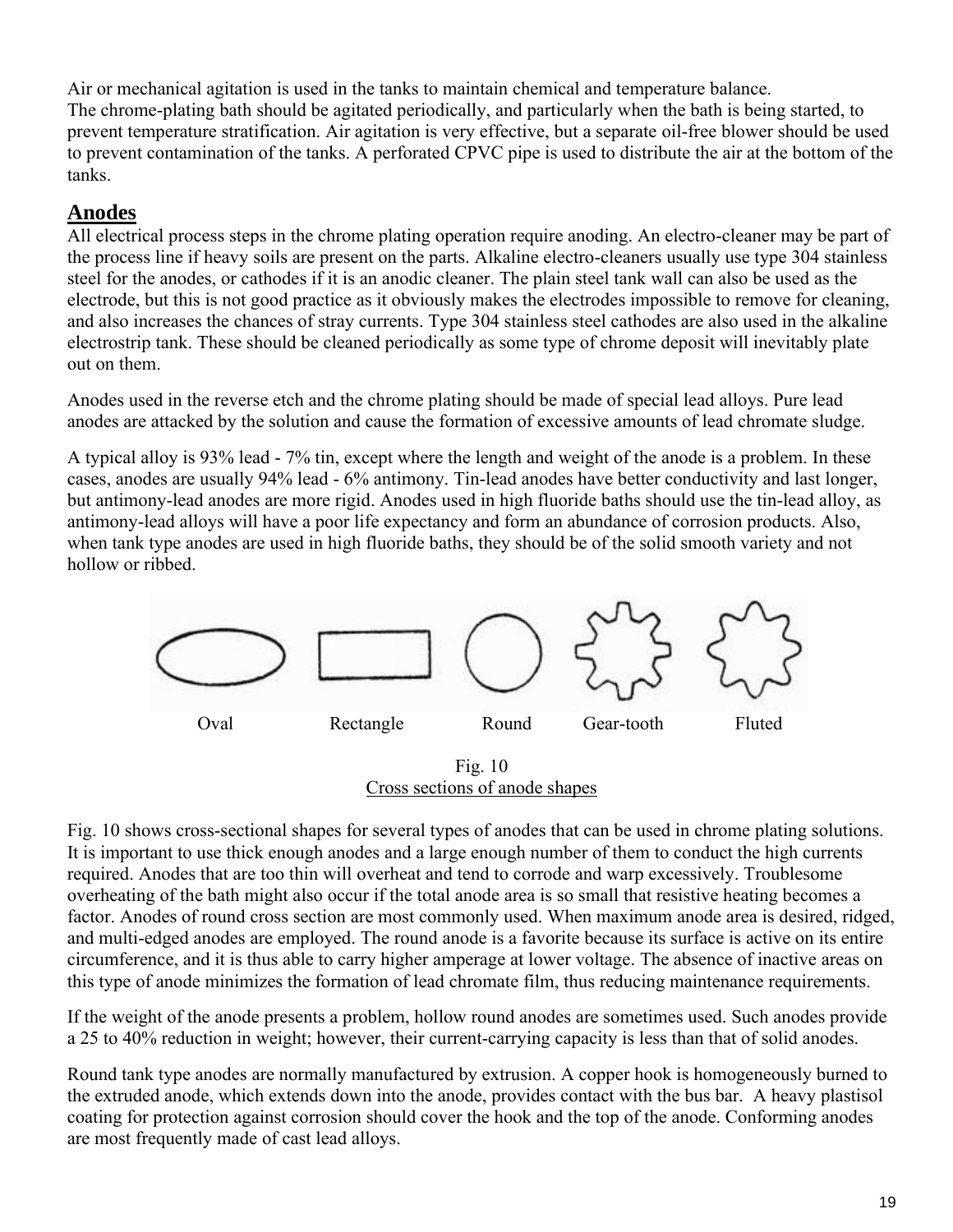Air or mechanical agitation is used in the tanks to maintain chemical and temperature balance. The chrome-plating bath should be agitated periodically, and particularly when the bath is being started, to prevent temperature stratification. Air agitation is very effective, but a separate oil-free blower should be used to prevent contamination of the tanks. A perforated CPVC pipe is used to distribute the air at the bottom of the tanks.

## **Anodes**

All electrical process steps in the chrome plating operation require anoding. An electro-cleaner may be part of the process line if heavy soils are present on the parts. Alkaline electro-cleaners usually use type 304 stainless steel for the anodes, or cathodes if it is an anodic cleaner. The plain steel tank wall can also be used as the electrode, but this is not good practice as it obviously makes the electrodes impossible to remove for cleaning, and also increases the chances of stray currents. Type 304 stainless steel cathodes are also used in the alkaline electrostrip tank. These should be cleaned periodically as some type of chrome deposit will inevitably plate out on them.

Anodes used in the reverse etch and the chrome plating should be made of special lead alloys. Pure lead anodes are attacked by the solution and cause the formation of excessive amounts of lead chromate sludge.

A typical alloy is 93% lead - 7% tin, except where the length and weight of the anode is a problem. In these cases, anodes are usually 94% lead - 6% antimony. Tin-lead anodes have better conductivity and last longer, but antimony-lead anodes are more rigid. Anodes used in high fluoride baths should use the tin-lead alloy, as antimony-lead alloys will have a poor life expectancy and form an abundance of corrosion products. Also, when tank type anodes are used in high fluoride baths, they should be of the solid smooth variety and not hollow or ribbed.



Fig. 10 Cross sections of anode shapes

Fig. 10 shows cross-sectional shapes for several types of anodes that can be used in chrome plating solutions. It is important to use thick enough anodes and a large enough number of them to conduct the high currents required. Anodes that are too thin will overheat and tend to corrode and warp excessively. Troublesome overheating of the bath might also occur if the total anode area is so small that resistive heating becomes a factor. Anodes of round cross section are most commonly used. When maximum anode area is desired, ridged, and multi-edged anodes are employed. The round anode is a favorite because its surface is active on its entire circumference, and it is thus able to carry higher amperage at lower voltage. The absence of inactive areas on this type of anode minimizes the formation of lead chromate film, thus reducing maintenance requirements.

If the weight of the anode presents a problem, hollow round anodes are sometimes used. Such anodes provide a 25 to 40% reduction in weight; however, their current-carrying capacity is less than that of solid anodes.

Round tank type anodes are normally manufactured by extrusion. A copper hook is homogeneously burned to the extruded anode, which extends down into the anode, provides contact with the bus bar. A heavy plastisol coating for protection against corrosion should cover the hook and the top of the anode. Conforming anodes are most frequently made of cast lead alloys.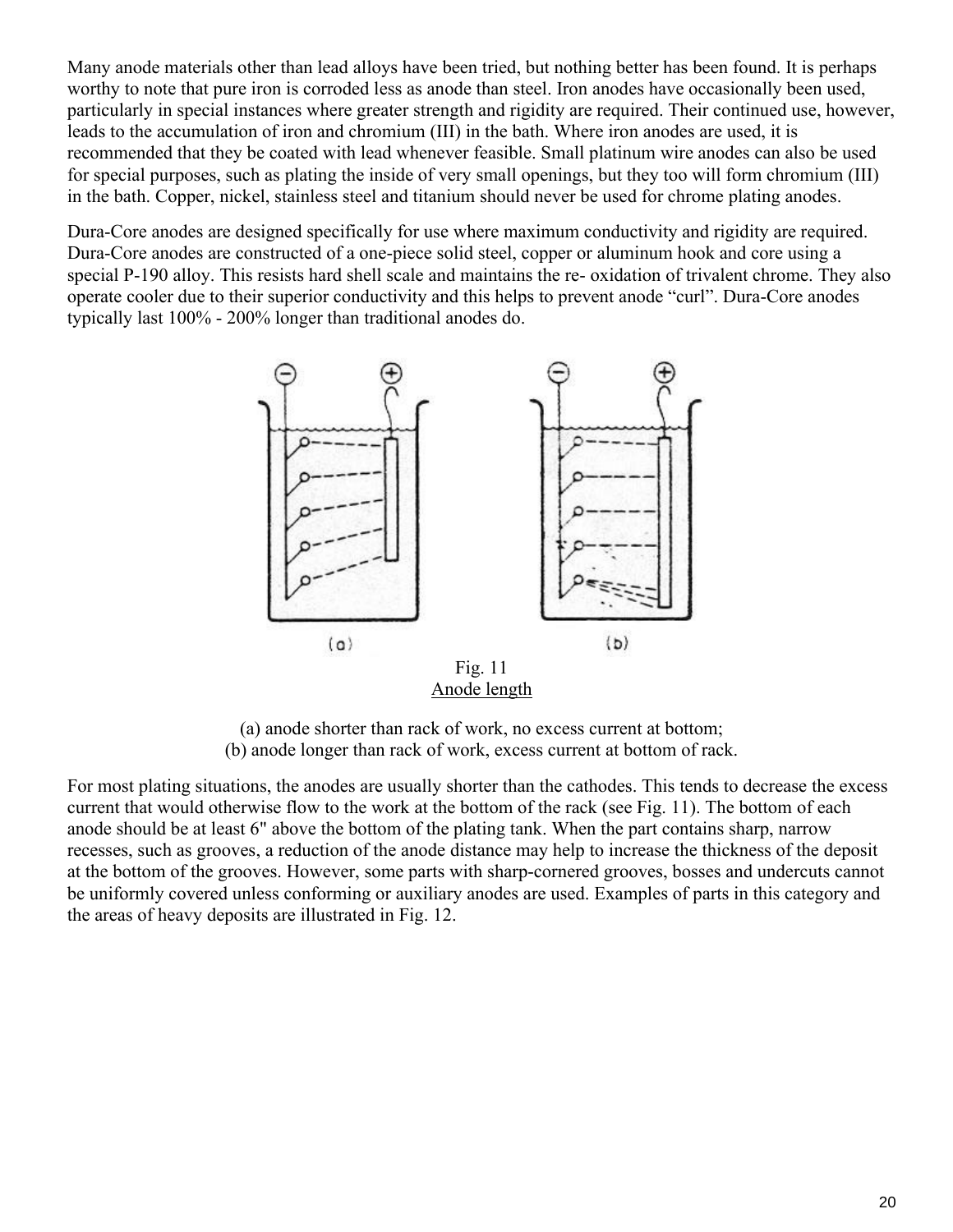Many anode materials other than lead alloys have been tried, but nothing better has been found. It is perhaps worthy to note that pure iron is corroded less as anode than steel. Iron anodes have occasionally been used, particularly in special instances where greater strength and rigidity are required. Their continued use, however, leads to the accumulation of iron and chromium (III) in the bath. Where iron anodes are used, it is recommended that they be coated with lead whenever feasible. Small platinum wire anodes can also be used for special purposes, such as plating the inside of very small openings, but they too will form chromium (III) in the bath. Copper, nickel, stainless steel and titanium should never be used for chrome plating anodes.

Dura-Core anodes are designed specifically for use where maximum conductivity and rigidity are required. Dura-Core anodes are constructed of a one-piece solid steel, copper or aluminum hook and core using a special P-190 alloy. This resists hard shell scale and maintains the re- oxidation of trivalent chrome. They also operate cooler due to their superior conductivity and this helps to prevent anode "curl". Dura-Core anodes typically last 100% - 200% longer than traditional anodes do.



Anode length

(a) anode shorter than rack of work, no excess current at bottom; (b) anode longer than rack of work, excess current at bottom of rack.

For most plating situations, the anodes are usually shorter than the cathodes. This tends to decrease the excess current that would otherwise flow to the work at the bottom of the rack (see Fig. 11). The bottom of each anode should be at least 6" above the bottom of the plating tank. When the part contains sharp, narrow recesses, such as grooves, a reduction of the anode distance may help to increase the thickness of the deposit at the bottom of the grooves. However, some parts with sharp-cornered grooves, bosses and undercuts cannot be uniformly covered unless conforming or auxiliary anodes are used. Examples of parts in this category and the areas of heavy deposits are illustrated in Fig. 12.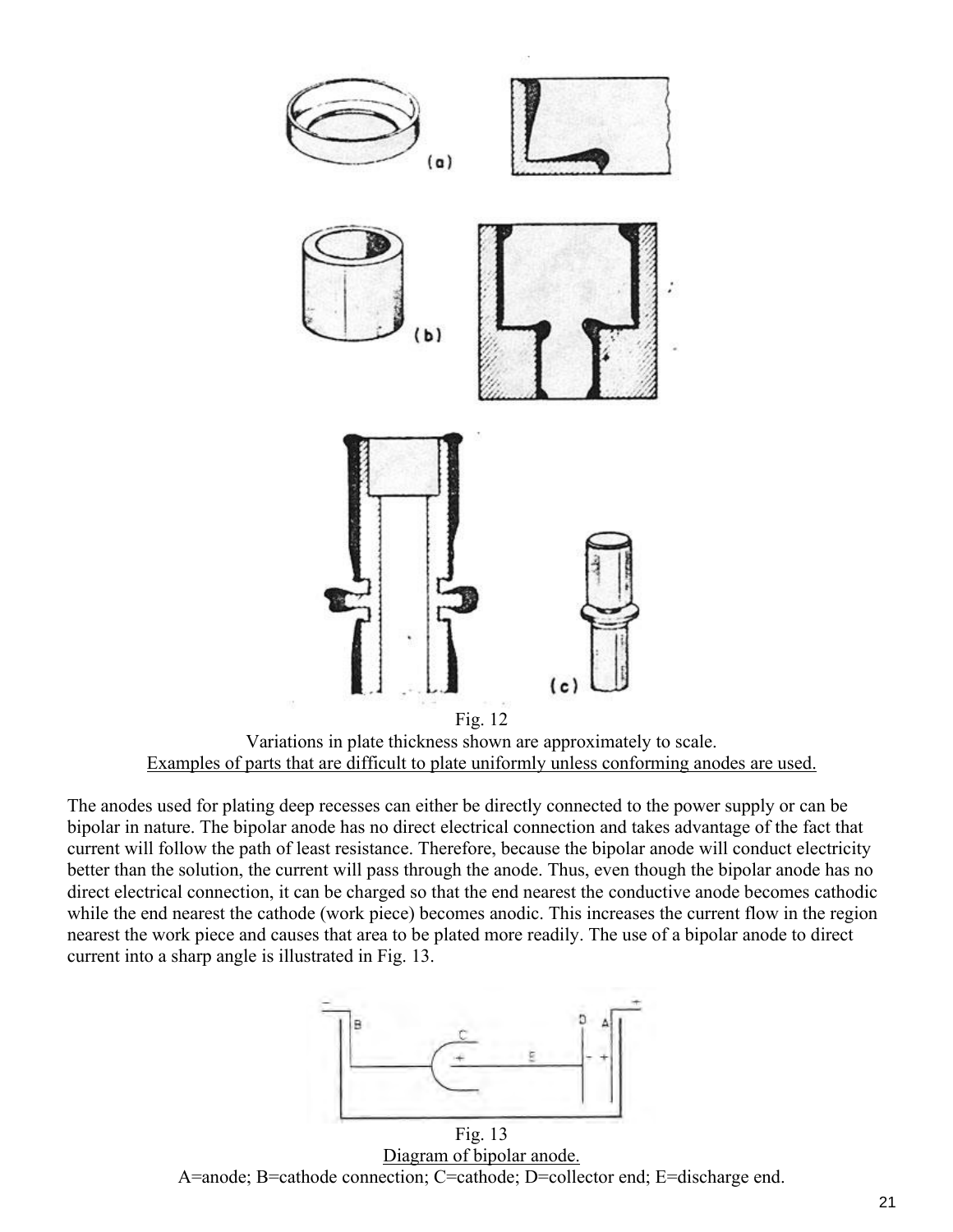

Examples of parts that are difficult to plate uniformly unless conforming anodes are used.

The anodes used for plating deep recesses can either be directly connected to the power supply or can be bipolar in nature. The bipolar anode has no direct electrical connection and takes advantage of the fact that current will follow the path of least resistance. Therefore, because the bipolar anode will conduct electricity better than the solution, the current will pass through the anode. Thus, even though the bipolar anode has no direct electrical connection, it can be charged so that the end nearest the conductive anode becomes cathodic while the end nearest the cathode (work piece) becomes anodic. This increases the current flow in the region nearest the work piece and causes that area to be plated more readily. The use of a bipolar anode to direct current into a sharp angle is illustrated in Fig. 13.



Fig. 13 Diagram of bipolar anode. A=anode; B=cathode connection; C=cathode; D=collector end; E=discharge end.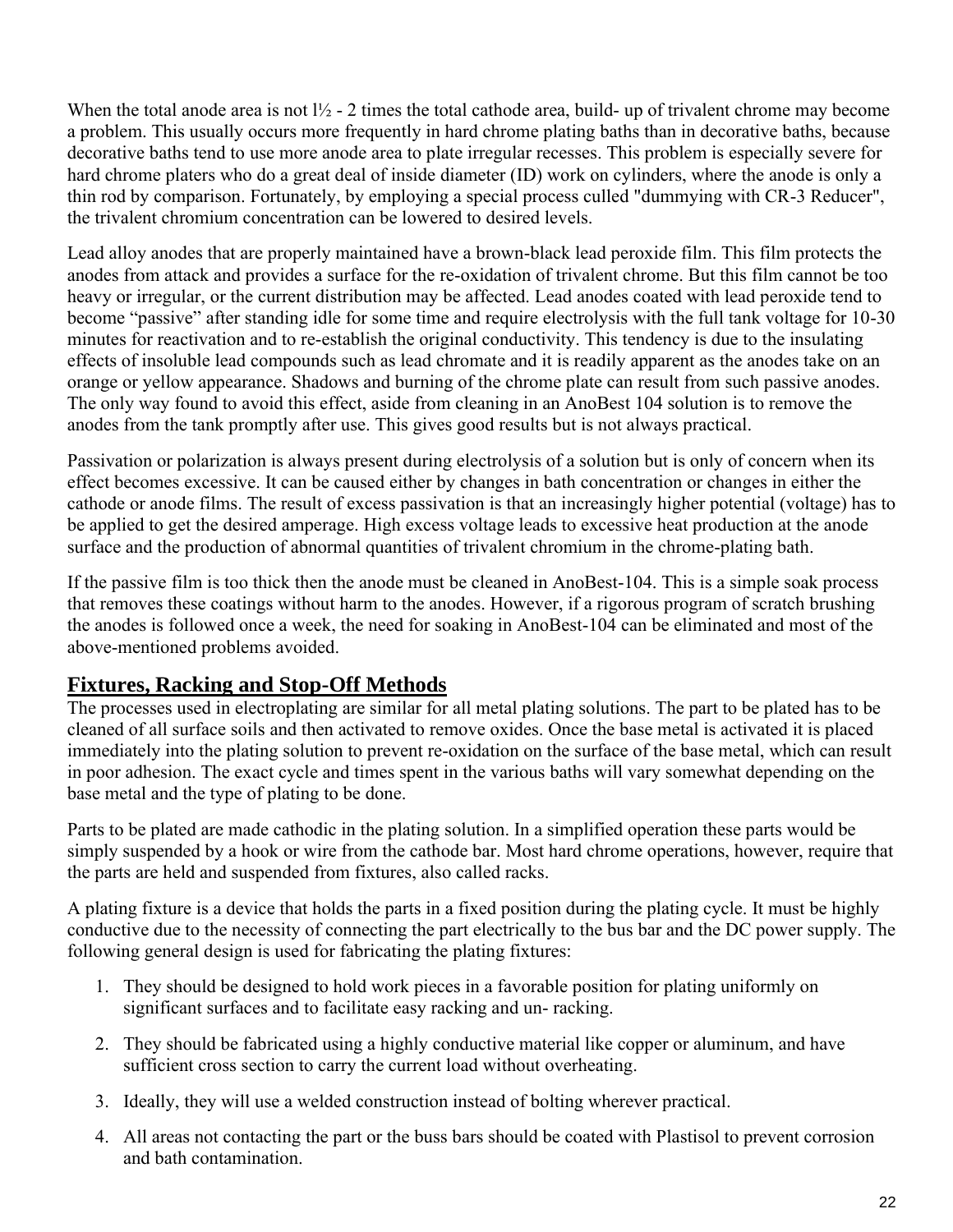When the total anode area is not  $1\frac{1}{2}$  - 2 times the total cathode area, build- up of trivalent chrome may become a problem. This usually occurs more frequently in hard chrome plating baths than in decorative baths, because decorative baths tend to use more anode area to plate irregular recesses. This problem is especially severe for hard chrome platers who do a great deal of inside diameter (ID) work on cylinders, where the anode is only a thin rod by comparison. Fortunately, by employing a special process culled "dummying with CR-3 Reducer", the trivalent chromium concentration can be lowered to desired levels.

Lead alloy anodes that are properly maintained have a brown-black lead peroxide film. This film protects the anodes from attack and provides a surface for the re-oxidation of trivalent chrome. But this film cannot be too heavy or irregular, or the current distribution may be affected. Lead anodes coated with lead peroxide tend to become "passive" after standing idle for some time and require electrolysis with the full tank voltage for 10-30 minutes for reactivation and to re-establish the original conductivity. This tendency is due to the insulating effects of insoluble lead compounds such as lead chromate and it is readily apparent as the anodes take on an orange or yellow appearance. Shadows and burning of the chrome plate can result from such passive anodes. The only way found to avoid this effect, aside from cleaning in an AnoBest 104 solution is to remove the anodes from the tank promptly after use. This gives good results but is not always practical.

Passivation or polarization is always present during electrolysis of a solution but is only of concern when its effect becomes excessive. It can be caused either by changes in bath concentration or changes in either the cathode or anode films. The result of excess passivation is that an increasingly higher potential (voltage) has to be applied to get the desired amperage. High excess voltage leads to excessive heat production at the anode surface and the production of abnormal quantities of trivalent chromium in the chrome-plating bath.

If the passive film is too thick then the anode must be cleaned in AnoBest-104. This is a simple soak process that removes these coatings without harm to the anodes. However, if a rigorous program of scratch brushing the anodes is followed once a week, the need for soaking in AnoBest-104 can be eliminated and most of the above-mentioned problems avoided.

## **Fixtures, Racking and Stop-Off Methods**

The processes used in electroplating are similar for all metal plating solutions. The part to be plated has to be cleaned of all surface soils and then activated to remove oxides. Once the base metal is activated it is placed immediately into the plating solution to prevent re-oxidation on the surface of the base metal, which can result in poor adhesion. The exact cycle and times spent in the various baths will vary somewhat depending on the base metal and the type of plating to be done.

Parts to be plated are made cathodic in the plating solution. In a simplified operation these parts would be simply suspended by a hook or wire from the cathode bar. Most hard chrome operations, however, require that the parts are held and suspended from fixtures, also called racks.

A plating fixture is a device that holds the parts in a fixed position during the plating cycle. It must be highly conductive due to the necessity of connecting the part electrically to the bus bar and the DC power supply. The following general design is used for fabricating the plating fixtures:

- 1. They should be designed to hold work pieces in a favorable position for plating uniformly on significant surfaces and to facilitate easy racking and un- racking.
- 2. They should be fabricated using a highly conductive material like copper or aluminum, and have sufficient cross section to carry the current load without overheating.
- 3. Ideally, they will use a welded construction instead of bolting wherever practical.
- 4. All areas not contacting the part or the buss bars should be coated with Plastisol to prevent corrosion and bath contamination.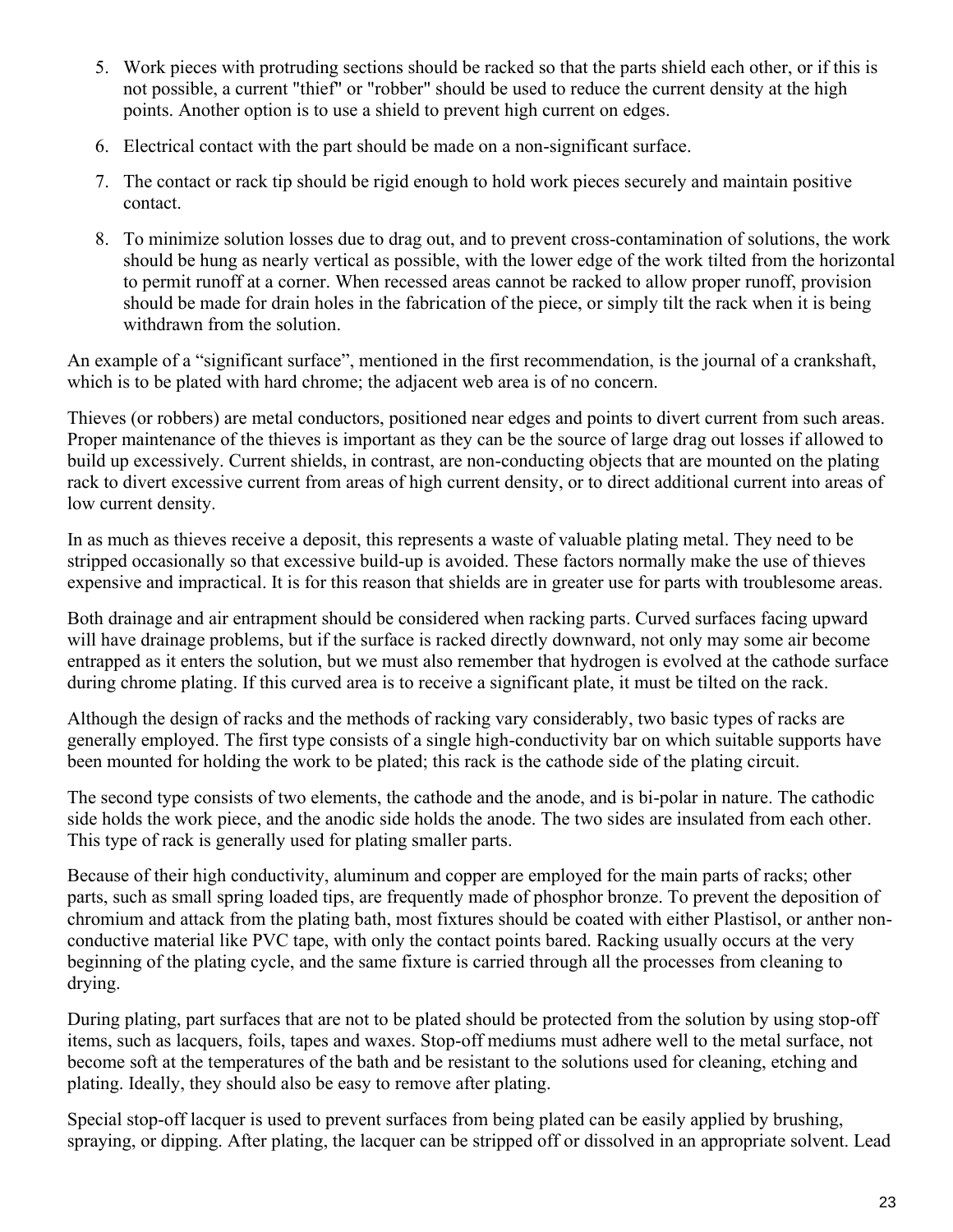- 5. Work pieces with protruding sections should be racked so that the parts shield each other, or if this is not possible, a current "thief" or "robber" should be used to reduce the current density at the high points. Another option is to use a shield to prevent high current on edges.
- 6. Electrical contact with the part should be made on a non-significant surface.
- 7. The contact or rack tip should be rigid enough to hold work pieces securely and maintain positive contact.
- 8. To minimize solution losses due to drag out, and to prevent cross-contamination of solutions, the work should be hung as nearly vertical as possible, with the lower edge of the work tilted from the horizontal to permit runoff at a corner. When recessed areas cannot be racked to allow proper runoff, provision should be made for drain holes in the fabrication of the piece, or simply tilt the rack when it is being withdrawn from the solution.

An example of a "significant surface", mentioned in the first recommendation, is the journal of a crankshaft, which is to be plated with hard chrome; the adjacent web area is of no concern.

Thieves (or robbers) are metal conductors, positioned near edges and points to divert current from such areas. Proper maintenance of the thieves is important as they can be the source of large drag out losses if allowed to build up excessively. Current shields, in contrast, are non-conducting objects that are mounted on the plating rack to divert excessive current from areas of high current density, or to direct additional current into areas of low current density.

In as much as thieves receive a deposit, this represents a waste of valuable plating metal. They need to be stripped occasionally so that excessive build-up is avoided. These factors normally make the use of thieves expensive and impractical. It is for this reason that shields are in greater use for parts with troublesome areas.

Both drainage and air entrapment should be considered when racking parts. Curved surfaces facing upward will have drainage problems, but if the surface is racked directly downward, not only may some air become entrapped as it enters the solution, but we must also remember that hydrogen is evolved at the cathode surface during chrome plating. If this curved area is to receive a significant plate, it must be tilted on the rack.

Although the design of racks and the methods of racking vary considerably, two basic types of racks are generally employed. The first type consists of a single high-conductivity bar on which suitable supports have been mounted for holding the work to be plated; this rack is the cathode side of the plating circuit.

The second type consists of two elements, the cathode and the anode, and is bi-polar in nature. The cathodic side holds the work piece, and the anodic side holds the anode. The two sides are insulated from each other. This type of rack is generally used for plating smaller parts.

Because of their high conductivity, aluminum and copper are employed for the main parts of racks; other parts, such as small spring loaded tips, are frequently made of phosphor bronze. To prevent the deposition of chromium and attack from the plating bath, most fixtures should be coated with either Plastisol, or anther nonconductive material like PVC tape, with only the contact points bared. Racking usually occurs at the very beginning of the plating cycle, and the same fixture is carried through all the processes from cleaning to drying.

During plating, part surfaces that are not to be plated should be protected from the solution by using stop-off items, such as lacquers, foils, tapes and waxes. Stop-off mediums must adhere well to the metal surface, not become soft at the temperatures of the bath and be resistant to the solutions used for cleaning, etching and plating. Ideally, they should also be easy to remove after plating.

Special stop-off lacquer is used to prevent surfaces from being plated can be easily applied by brushing, spraying, or dipping. After plating, the lacquer can be stripped off or dissolved in an appropriate solvent. Lead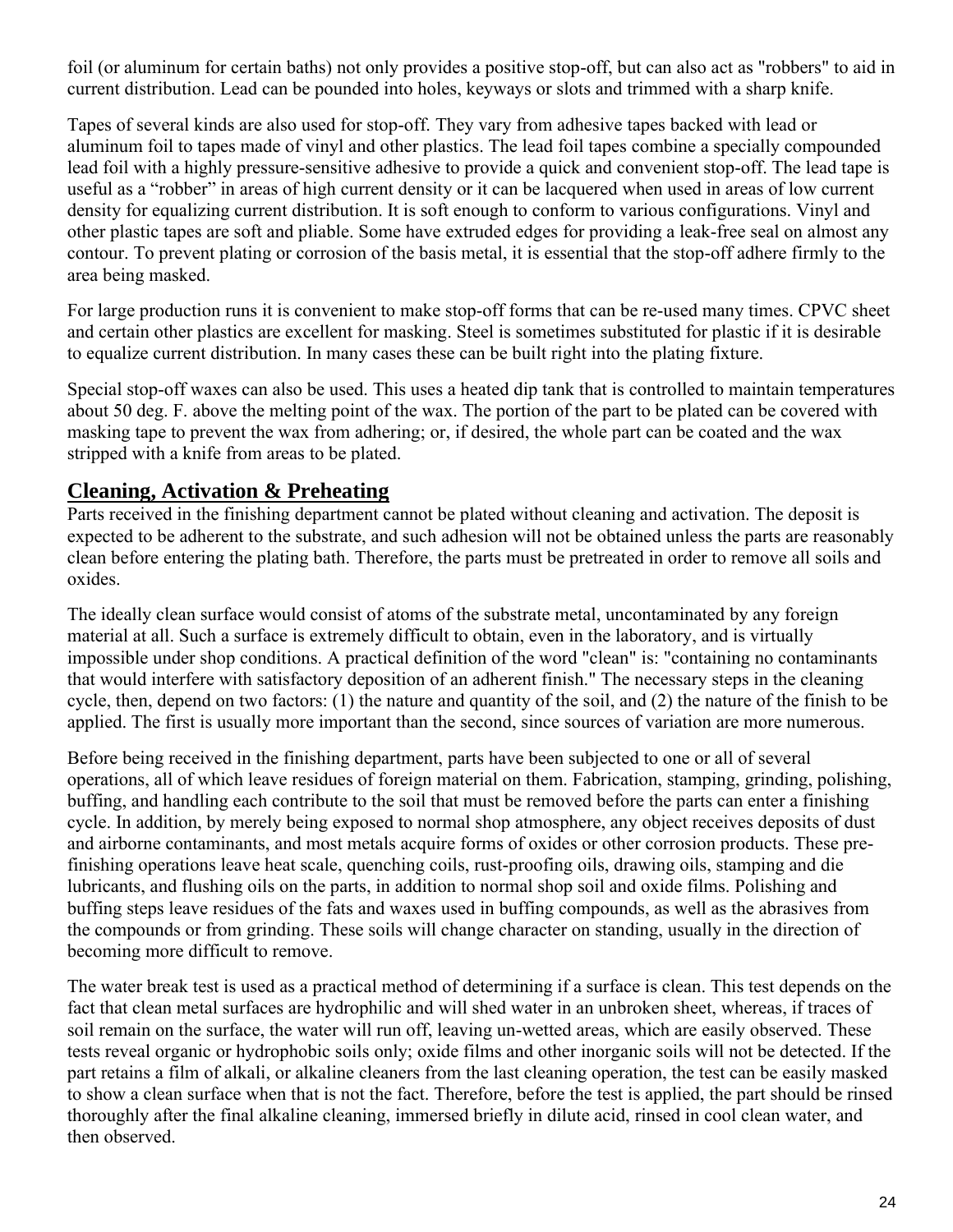foil (or aluminum for certain baths) not only provides a positive stop-off, but can also act as "robbers" to aid in current distribution. Lead can be pounded into holes, keyways or slots and trimmed with a sharp knife.

Tapes of several kinds are also used for stop-off. They vary from adhesive tapes backed with lead or aluminum foil to tapes made of vinyl and other plastics. The lead foil tapes combine a specially compounded lead foil with a highly pressure-sensitive adhesive to provide a quick and convenient stop-off. The lead tape is useful as a "robber" in areas of high current density or it can be lacquered when used in areas of low current density for equalizing current distribution. It is soft enough to conform to various configurations. Vinyl and other plastic tapes are soft and pliable. Some have extruded edges for providing a leak-free seal on almost any contour. To prevent plating or corrosion of the basis metal, it is essential that the stop-off adhere firmly to the area being masked.

For large production runs it is convenient to make stop-off forms that can be re-used many times. CPVC sheet and certain other plastics are excellent for masking. Steel is sometimes substituted for plastic if it is desirable to equalize current distribution. In many cases these can be built right into the plating fixture.

Special stop-off waxes can also be used. This uses a heated dip tank that is controlled to maintain temperatures about 50 deg. F. above the melting point of the wax. The portion of the part to be plated can be covered with masking tape to prevent the wax from adhering; or, if desired, the whole part can be coated and the wax stripped with a knife from areas to be plated.

## **Cleaning, Activation & Preheating**

Parts received in the finishing department cannot be plated without cleaning and activation. The deposit is expected to be adherent to the substrate, and such adhesion will not be obtained unless the parts are reasonably clean before entering the plating bath. Therefore, the parts must be pretreated in order to remove all soils and oxides.

The ideally clean surface would consist of atoms of the substrate metal, uncontaminated by any foreign material at all. Such a surface is extremely difficult to obtain, even in the laboratory, and is virtually impossible under shop conditions. A practical definition of the word "clean" is: "containing no contaminants that would interfere with satisfactory deposition of an adherent finish." The necessary steps in the cleaning cycle, then, depend on two factors: (1) the nature and quantity of the soil, and (2) the nature of the finish to be applied. The first is usually more important than the second, since sources of variation are more numerous.

Before being received in the finishing department, parts have been subjected to one or all of several operations, all of which leave residues of foreign material on them. Fabrication, stamping, grinding, polishing, buffing, and handling each contribute to the soil that must be removed before the parts can enter a finishing cycle. In addition, by merely being exposed to normal shop atmosphere, any object receives deposits of dust and airborne contaminants, and most metals acquire forms of oxides or other corrosion products. These prefinishing operations leave heat scale, quenching coils, rust-proofing oils, drawing oils, stamping and die lubricants, and flushing oils on the parts, in addition to normal shop soil and oxide films. Polishing and buffing steps leave residues of the fats and waxes used in buffing compounds, as well as the abrasives from the compounds or from grinding. These soils will change character on standing, usually in the direction of becoming more difficult to remove.

The water break test is used as a practical method of determining if a surface is clean. This test depends on the fact that clean metal surfaces are hydrophilic and will shed water in an unbroken sheet, whereas, if traces of soil remain on the surface, the water will run off, leaving un-wetted areas, which are easily observed. These tests reveal organic or hydrophobic soils only; oxide films and other inorganic soils will not be detected. If the part retains a film of alkali, or alkaline cleaners from the last cleaning operation, the test can be easily masked to show a clean surface when that is not the fact. Therefore, before the test is applied, the part should be rinsed thoroughly after the final alkaline cleaning, immersed briefly in dilute acid, rinsed in cool clean water, and then observed.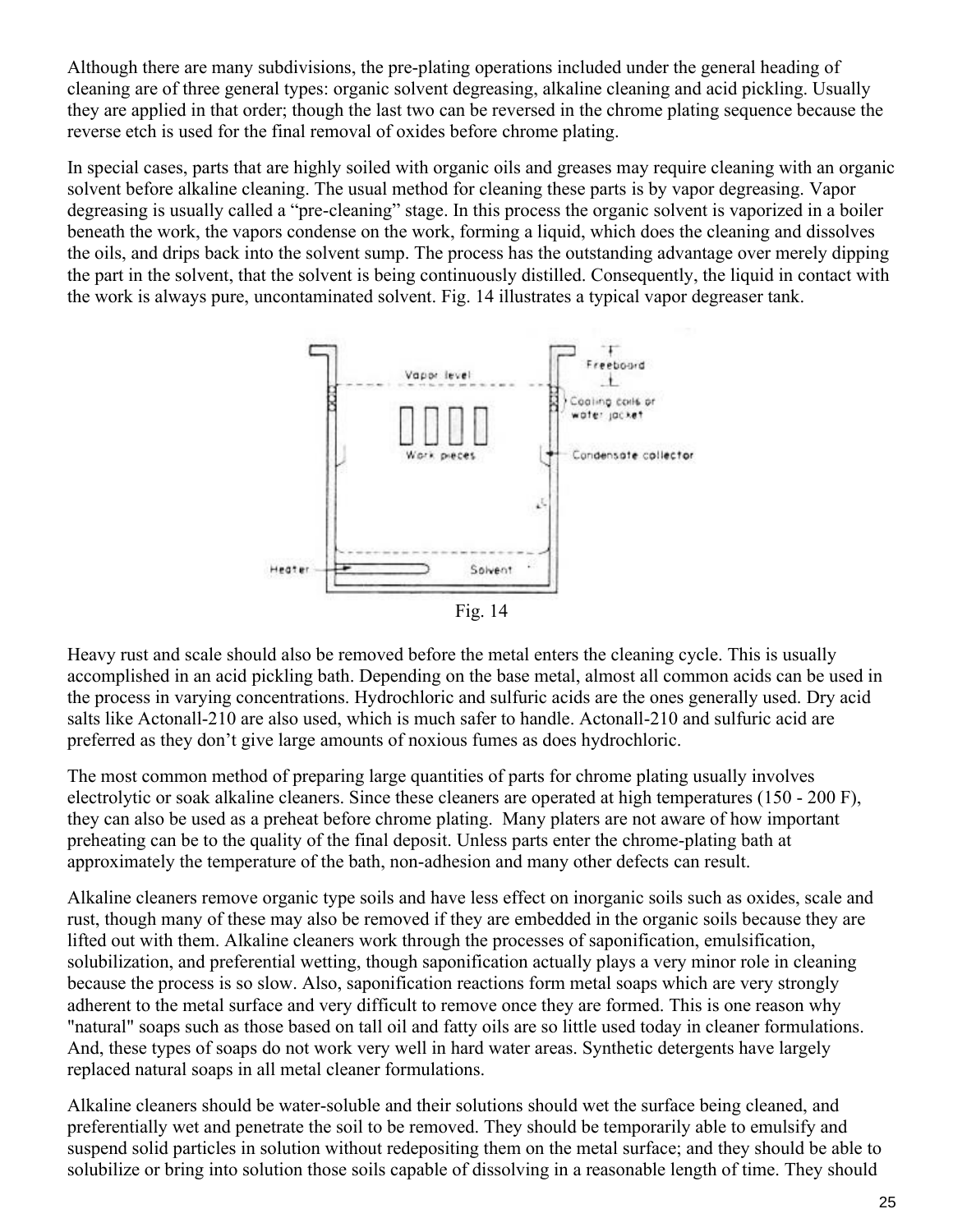Although there are many subdivisions, the pre-plating operations included under the general heading of cleaning are of three general types: organic solvent degreasing, alkaline cleaning and acid pickling. Usually they are applied in that order; though the last two can be reversed in the chrome plating sequence because the reverse etch is used for the final removal of oxides before chrome plating.

In special cases, parts that are highly soiled with organic oils and greases may require cleaning with an organic solvent before alkaline cleaning. The usual method for cleaning these parts is by vapor degreasing. Vapor degreasing is usually called a "pre-cleaning" stage. In this process the organic solvent is vaporized in a boiler beneath the work, the vapors condense on the work, forming a liquid, which does the cleaning and dissolves the oils, and drips back into the solvent sump. The process has the outstanding advantage over merely dipping the part in the solvent, that the solvent is being continuously distilled. Consequently, the liquid in contact with the work is always pure, uncontaminated solvent. Fig. 14 illustrates a typical vapor degreaser tank.



Heavy rust and scale should also be removed before the metal enters the cleaning cycle. This is usually accomplished in an acid pickling bath. Depending on the base metal, almost all common acids can be used in the process in varying concentrations. Hydrochloric and sulfuric acids are the ones generally used. Dry acid salts like Actonall-210 are also used, which is much safer to handle. Actonall-210 and sulfuric acid are preferred as they don't give large amounts of noxious fumes as does hydrochloric.

The most common method of preparing large quantities of parts for chrome plating usually involves electrolytic or soak alkaline cleaners. Since these cleaners are operated at high temperatures (150 - 200 F), they can also be used as a preheat before chrome plating. Many platers are not aware of how important preheating can be to the quality of the final deposit. Unless parts enter the chrome-plating bath at approximately the temperature of the bath, non-adhesion and many other defects can result.

Alkaline cleaners remove organic type soils and have less effect on inorganic soils such as oxides, scale and rust, though many of these may also be removed if they are embedded in the organic soils because they are lifted out with them. Alkaline cleaners work through the processes of saponification, emulsification, solubilization, and preferential wetting, though saponification actually plays a very minor role in cleaning because the process is so slow. Also, saponification reactions form metal soaps which are very strongly adherent to the metal surface and very difficult to remove once they are formed. This is one reason why "natural" soaps such as those based on tall oil and fatty oils are so little used today in cleaner formulations. And, these types of soaps do not work very well in hard water areas. Synthetic detergents have largely replaced natural soaps in all metal cleaner formulations.

Alkaline cleaners should be water-soluble and their solutions should wet the surface being cleaned, and preferentially wet and penetrate the soil to be removed. They should be temporarily able to emulsify and suspend solid particles in solution without redepositing them on the metal surface; and they should be able to solubilize or bring into solution those soils capable of dissolving in a reasonable length of time. They should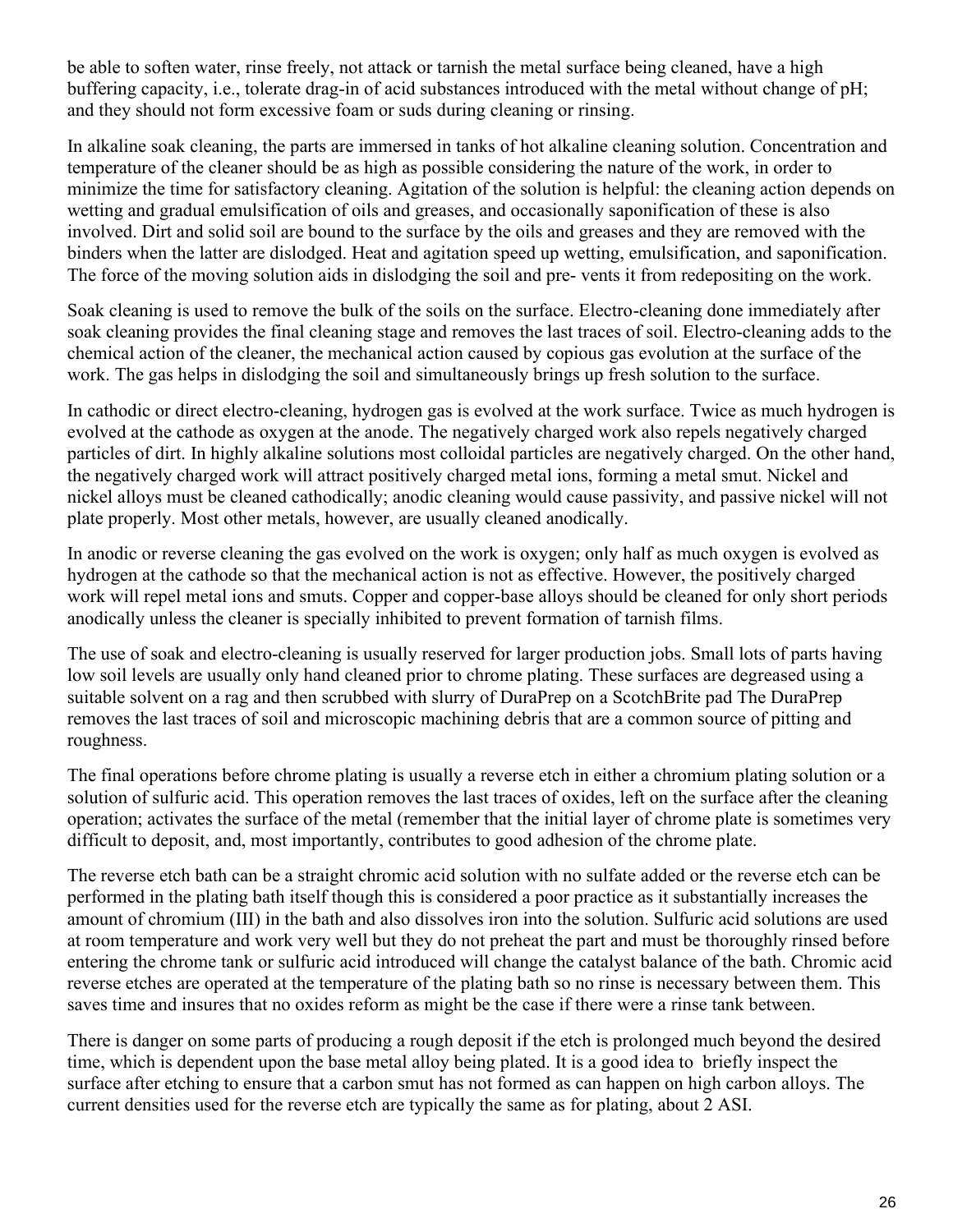be able to soften water, rinse freely, not attack or tarnish the metal surface being cleaned, have a high buffering capacity, i.e., tolerate drag-in of acid substances introduced with the metal without change of pH; and they should not form excessive foam or suds during cleaning or rinsing.

In alkaline soak cleaning, the parts are immersed in tanks of hot alkaline cleaning solution. Concentration and temperature of the cleaner should be as high as possible considering the nature of the work, in order to minimize the time for satisfactory cleaning. Agitation of the solution is helpful: the cleaning action depends on wetting and gradual emulsification of oils and greases, and occasionally saponification of these is also involved. Dirt and solid soil are bound to the surface by the oils and greases and they are removed with the binders when the latter are dislodged. Heat and agitation speed up wetting, emulsification, and saponification. The force of the moving solution aids in dislodging the soil and pre- vents it from redepositing on the work.

Soak cleaning is used to remove the bulk of the soils on the surface. Electro-cleaning done immediately after soak cleaning provides the final cleaning stage and removes the last traces of soil. Electro-cleaning adds to the chemical action of the cleaner, the mechanical action caused by copious gas evolution at the surface of the work. The gas helps in dislodging the soil and simultaneously brings up fresh solution to the surface.

In cathodic or direct electro-cleaning, hydrogen gas is evolved at the work surface. Twice as much hydrogen is evolved at the cathode as oxygen at the anode. The negatively charged work also repels negatively charged particles of dirt. In highly alkaline solutions most colloidal particles are negatively charged. On the other hand, the negatively charged work will attract positively charged metal ions, forming a metal smut. Nickel and nickel alloys must be cleaned cathodically; anodic cleaning would cause passivity, and passive nickel will not plate properly. Most other metals, however, are usually cleaned anodically.

In anodic or reverse cleaning the gas evolved on the work is oxygen; only half as much oxygen is evolved as hydrogen at the cathode so that the mechanical action is not as effective. However, the positively charged work will repel metal ions and smuts. Copper and copper-base alloys should be cleaned for only short periods anodically unless the cleaner is specially inhibited to prevent formation of tarnish films.

The use of soak and electro-cleaning is usually reserved for larger production jobs. Small lots of parts having low soil levels are usually only hand cleaned prior to chrome plating. These surfaces are degreased using a suitable solvent on a rag and then scrubbed with slurry of DuraPrep on a ScotchBrite pad The DuraPrep removes the last traces of soil and microscopic machining debris that are a common source of pitting and roughness.

The final operations before chrome plating is usually a reverse etch in either a chromium plating solution or a solution of sulfuric acid. This operation removes the last traces of oxides, left on the surface after the cleaning operation; activates the surface of the metal (remember that the initial layer of chrome plate is sometimes very difficult to deposit, and, most importantly, contributes to good adhesion of the chrome plate.

The reverse etch bath can be a straight chromic acid solution with no sulfate added or the reverse etch can be performed in the plating bath itself though this is considered a poor practice as it substantially increases the amount of chromium (III) in the bath and also dissolves iron into the solution. Sulfuric acid solutions are used at room temperature and work very well but they do not preheat the part and must be thoroughly rinsed before entering the chrome tank or sulfuric acid introduced will change the catalyst balance of the bath. Chromic acid reverse etches are operated at the temperature of the plating bath so no rinse is necessary between them. This saves time and insures that no oxides reform as might be the case if there were a rinse tank between.

There is danger on some parts of producing a rough deposit if the etch is prolonged much beyond the desired time, which is dependent upon the base metal alloy being plated. It is a good idea to briefly inspect the surface after etching to ensure that a carbon smut has not formed as can happen on high carbon alloys. The current densities used for the reverse etch are typically the same as for plating, about 2 ASI.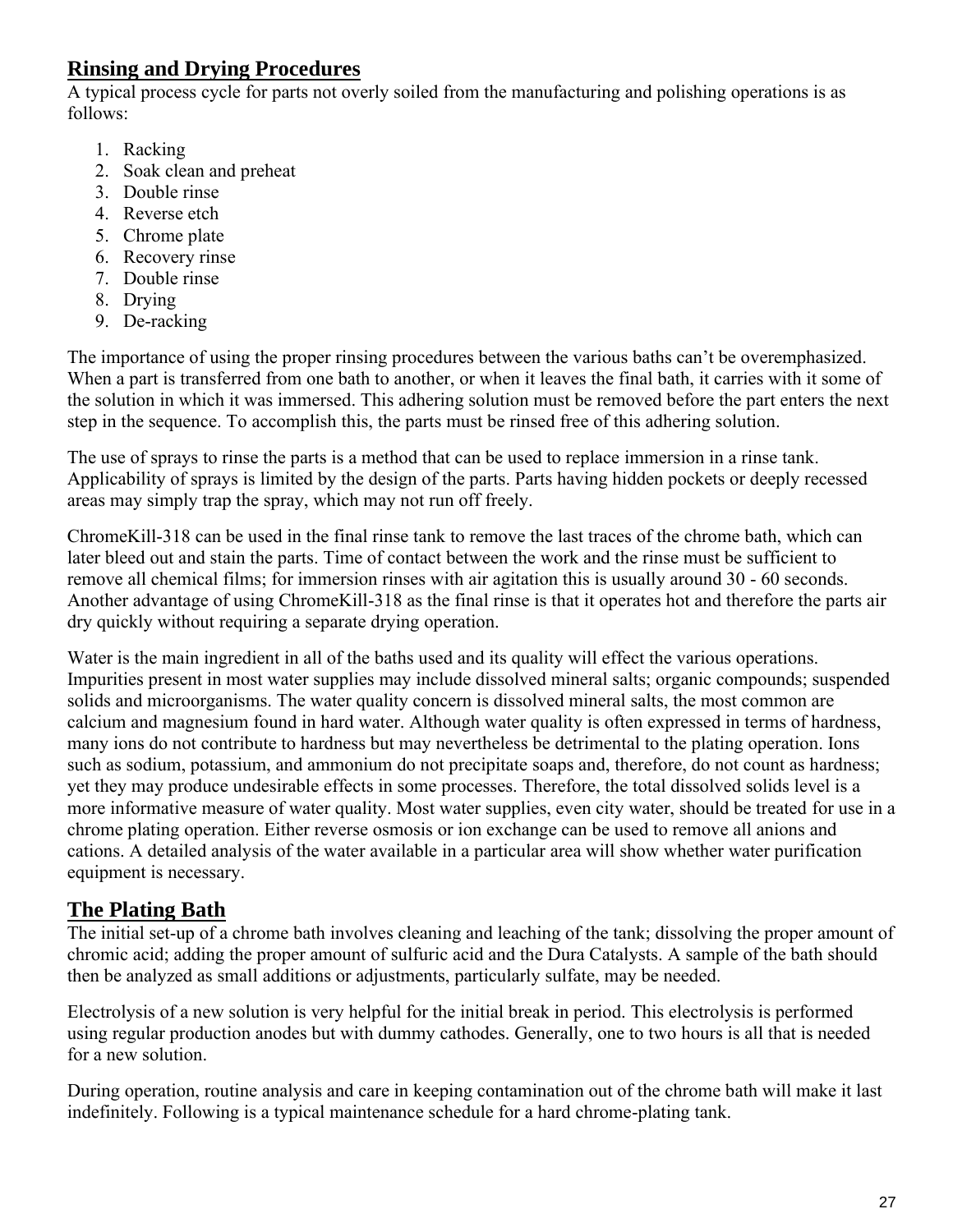## **Rinsing and Drying Procedures**

A typical process cycle for parts not overly soiled from the manufacturing and polishing operations is as follows:

- 1. Racking
- 2. Soak clean and preheat
- 3. Double rinse
- 4. Reverse etch
- 5. Chrome plate
- 6. Recovery rinse
- 7. Double rinse
- 8. Drying
- 9. De-racking

The importance of using the proper rinsing procedures between the various baths can't be overemphasized. When a part is transferred from one bath to another, or when it leaves the final bath, it carries with it some of the solution in which it was immersed. This adhering solution must be removed before the part enters the next step in the sequence. To accomplish this, the parts must be rinsed free of this adhering solution.

The use of sprays to rinse the parts is a method that can be used to replace immersion in a rinse tank. Applicability of sprays is limited by the design of the parts. Parts having hidden pockets or deeply recessed areas may simply trap the spray, which may not run off freely.

ChromeKill-318 can be used in the final rinse tank to remove the last traces of the chrome bath, which can later bleed out and stain the parts. Time of contact between the work and the rinse must be sufficient to remove all chemical films; for immersion rinses with air agitation this is usually around 30 - 60 seconds. Another advantage of using ChromeKill-318 as the final rinse is that it operates hot and therefore the parts air dry quickly without requiring a separate drying operation.

Water is the main ingredient in all of the baths used and its quality will effect the various operations. Impurities present in most water supplies may include dissolved mineral salts; organic compounds; suspended solids and microorganisms. The water quality concern is dissolved mineral salts, the most common are calcium and magnesium found in hard water. Although water quality is often expressed in terms of hardness, many ions do not contribute to hardness but may nevertheless be detrimental to the plating operation. Ions such as sodium, potassium, and ammonium do not precipitate soaps and, therefore, do not count as hardness; yet they may produce undesirable effects in some processes. Therefore, the total dissolved solids level is a more informative measure of water quality. Most water supplies, even city water, should be treated for use in a chrome plating operation. Either reverse osmosis or ion exchange can be used to remove all anions and cations. A detailed analysis of the water available in a particular area will show whether water purification equipment is necessary.

## **The Plating Bath**

The initial set-up of a chrome bath involves cleaning and leaching of the tank; dissolving the proper amount of chromic acid; adding the proper amount of sulfuric acid and the Dura Catalysts. A sample of the bath should then be analyzed as small additions or adjustments, particularly sulfate, may be needed.

Electrolysis of a new solution is very helpful for the initial break in period. This electrolysis is performed using regular production anodes but with dummy cathodes. Generally, one to two hours is all that is needed for a new solution.

During operation, routine analysis and care in keeping contamination out of the chrome bath will make it last indefinitely. Following is a typical maintenance schedule for a hard chrome-plating tank.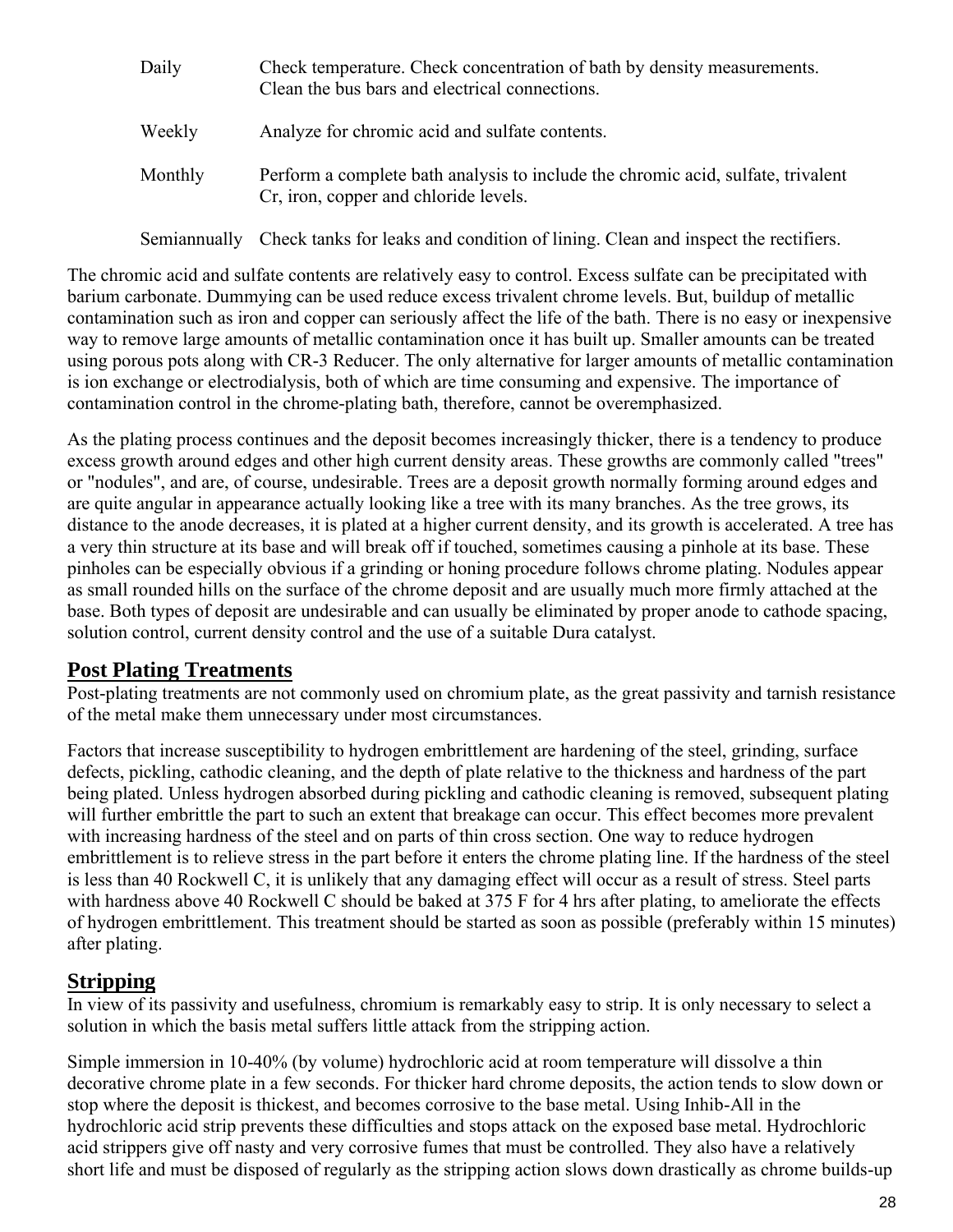| Daily   | Check temperature. Check concentration of bath by density measurements.<br>Clean the bus bars and electrical connections. |
|---------|---------------------------------------------------------------------------------------------------------------------------|
| Weekly  | Analyze for chromic acid and sulfate contents.                                                                            |
| Monthly | Perform a complete bath analysis to include the chromic acid, sulfate, trivalent<br>Cr, iron, copper and chloride levels. |

Semiannually Check tanks for leaks and condition of lining. Clean and inspect the rectifiers.

The chromic acid and sulfate contents are relatively easy to control. Excess sulfate can be precipitated with barium carbonate. Dummying can be used reduce excess trivalent chrome levels. But, buildup of metallic contamination such as iron and copper can seriously affect the life of the bath. There is no easy or inexpensive way to remove large amounts of metallic contamination once it has built up. Smaller amounts can be treated using porous pots along with CR-3 Reducer. The only alternative for larger amounts of metallic contamination is ion exchange or electrodialysis, both of which are time consuming and expensive. The importance of contamination control in the chrome-plating bath, therefore, cannot be overemphasized.

As the plating process continues and the deposit becomes increasingly thicker, there is a tendency to produce excess growth around edges and other high current density areas. These growths are commonly called "trees" or "nodules", and are, of course, undesirable. Trees are a deposit growth normally forming around edges and are quite angular in appearance actually looking like a tree with its many branches. As the tree grows, its distance to the anode decreases, it is plated at a higher current density, and its growth is accelerated. A tree has a very thin structure at its base and will break off if touched, sometimes causing a pinhole at its base. These pinholes can be especially obvious if a grinding or honing procedure follows chrome plating. Nodules appear as small rounded hills on the surface of the chrome deposit and are usually much more firmly attached at the base. Both types of deposit are undesirable and can usually be eliminated by proper anode to cathode spacing, solution control, current density control and the use of a suitable Dura catalyst.

## **Post Plating Treatments**

Post-plating treatments are not commonly used on chromium plate, as the great passivity and tarnish resistance of the metal make them unnecessary under most circumstances.

Factors that increase susceptibility to hydrogen embrittlement are hardening of the steel, grinding, surface defects, pickling, cathodic cleaning, and the depth of plate relative to the thickness and hardness of the part being plated. Unless hydrogen absorbed during pickling and cathodic cleaning is removed, subsequent plating will further embrittle the part to such an extent that breakage can occur. This effect becomes more prevalent with increasing hardness of the steel and on parts of thin cross section. One way to reduce hydrogen embrittlement is to relieve stress in the part before it enters the chrome plating line. If the hardness of the steel is less than 40 Rockwell C, it is unlikely that any damaging effect will occur as a result of stress. Steel parts with hardness above 40 Rockwell C should be baked at 375 F for 4 hrs after plating, to ameliorate the effects of hydrogen embrittlement. This treatment should be started as soon as possible (preferably within 15 minutes) after plating.

## **Stripping**

In view of its passivity and usefulness, chromium is remarkably easy to strip. It is only necessary to select a solution in which the basis metal suffers little attack from the stripping action.

Simple immersion in 10-40% (by volume) hydrochloric acid at room temperature will dissolve a thin decorative chrome plate in a few seconds. For thicker hard chrome deposits, the action tends to slow down or stop where the deposit is thickest, and becomes corrosive to the base metal. Using Inhib-All in the hydrochloric acid strip prevents these difficulties and stops attack on the exposed base metal. Hydrochloric acid strippers give off nasty and very corrosive fumes that must be controlled. They also have a relatively short life and must be disposed of regularly as the stripping action slows down drastically as chrome builds-up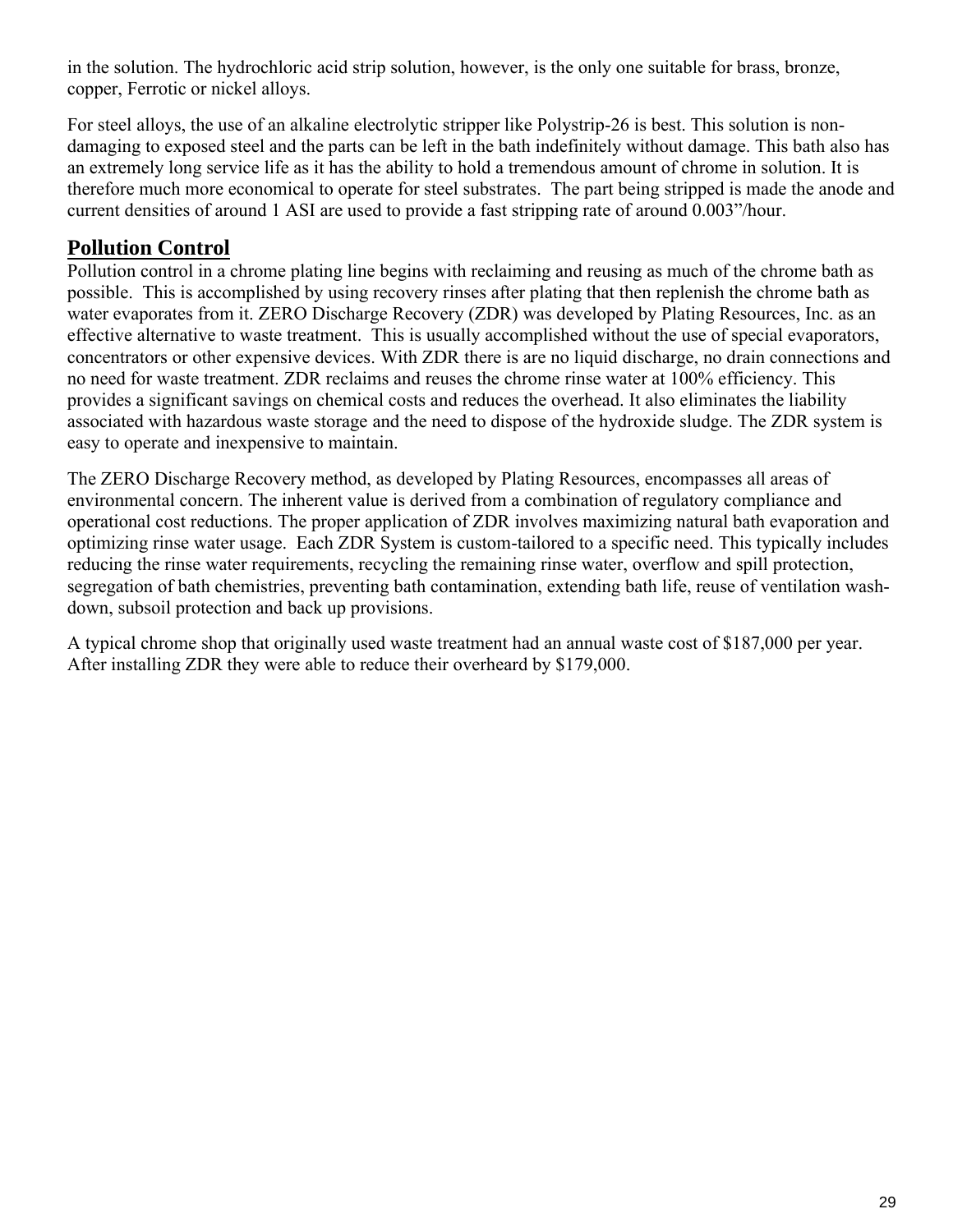in the solution. The hydrochloric acid strip solution, however, is the only one suitable for brass, bronze, copper, Ferrotic or nickel alloys.

For steel alloys, the use of an alkaline electrolytic stripper like Polystrip-26 is best. This solution is nondamaging to exposed steel and the parts can be left in the bath indefinitely without damage. This bath also has an extremely long service life as it has the ability to hold a tremendous amount of chrome in solution. It is therefore much more economical to operate for steel substrates. The part being stripped is made the anode and current densities of around 1 ASI are used to provide a fast stripping rate of around 0.003"/hour.

## **Pollution Control**

Pollution control in a chrome plating line begins with reclaiming and reusing as much of the chrome bath as possible. This is accomplished by using recovery rinses after plating that then replenish the chrome bath as water evaporates from it. ZERO Discharge Recovery (ZDR) was developed by Plating Resources, Inc. as an effective alternative to waste treatment. This is usually accomplished without the use of special evaporators, concentrators or other expensive devices. With ZDR there is are no liquid discharge, no drain connections and no need for waste treatment. ZDR reclaims and reuses the chrome rinse water at 100% efficiency. This provides a significant savings on chemical costs and reduces the overhead. It also eliminates the liability associated with hazardous waste storage and the need to dispose of the hydroxide sludge. The ZDR system is easy to operate and inexpensive to maintain.

The ZERO Discharge Recovery method, as developed by Plating Resources, encompasses all areas of environmental concern. The inherent value is derived from a combination of regulatory compliance and operational cost reductions. The proper application of ZDR involves maximizing natural bath evaporation and optimizing rinse water usage. Each ZDR System is custom-tailored to a specific need. This typically includes reducing the rinse water requirements, recycling the remaining rinse water, overflow and spill protection, segregation of bath chemistries, preventing bath contamination, extending bath life, reuse of ventilation washdown, subsoil protection and back up provisions.

A typical chrome shop that originally used waste treatment had an annual waste cost of \$187,000 per year. After installing ZDR they were able to reduce their overheard by \$179,000.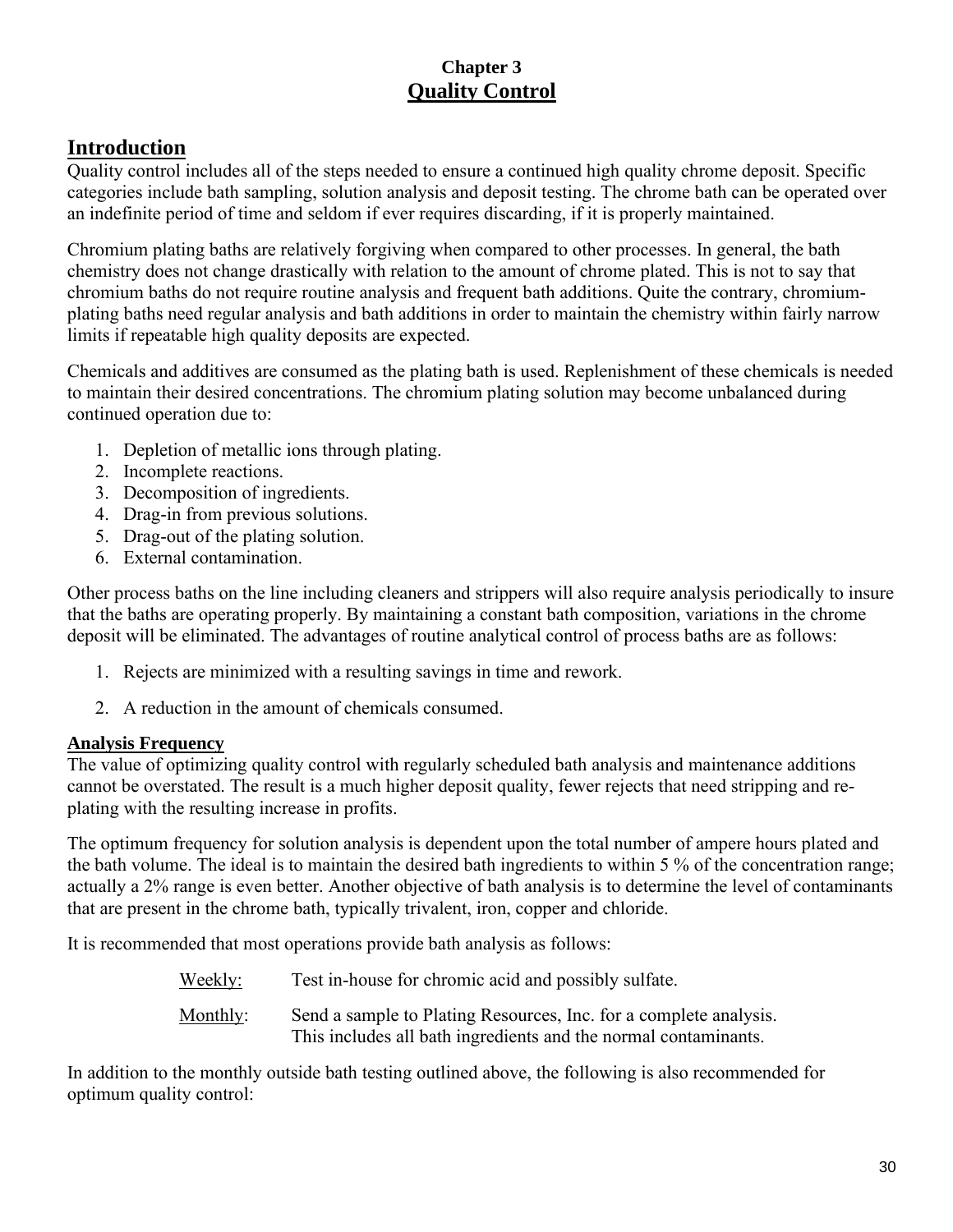### **Chapter 3 Quality Control**

## **Introduction**

Quality control includes all of the steps needed to ensure a continued high quality chrome deposit. Specific categories include bath sampling, solution analysis and deposit testing. The chrome bath can be operated over an indefinite period of time and seldom if ever requires discarding, if it is properly maintained.

Chromium plating baths are relatively forgiving when compared to other processes. In general, the bath chemistry does not change drastically with relation to the amount of chrome plated. This is not to say that chromium baths do not require routine analysis and frequent bath additions. Quite the contrary, chromiumplating baths need regular analysis and bath additions in order to maintain the chemistry within fairly narrow limits if repeatable high quality deposits are expected.

Chemicals and additives are consumed as the plating bath is used. Replenishment of these chemicals is needed to maintain their desired concentrations. The chromium plating solution may become unbalanced during continued operation due to:

- 1. Depletion of metallic ions through plating.
- 2. Incomplete reactions.
- 3. Decomposition of ingredients.
- 4. Drag-in from previous solutions.
- 5. Drag-out of the plating solution.
- 6. External contamination.

Other process baths on the line including cleaners and strippers will also require analysis periodically to insure that the baths are operating properly. By maintaining a constant bath composition, variations in the chrome deposit will be eliminated. The advantages of routine analytical control of process baths are as follows:

- 1. Rejects are minimized with a resulting savings in time and rework.
- 2. A reduction in the amount of chemicals consumed.

### **Analysis Frequency**

The value of optimizing quality control with regularly scheduled bath analysis and maintenance additions cannot be overstated. The result is a much higher deposit quality, fewer rejects that need stripping and replating with the resulting increase in profits.

The optimum frequency for solution analysis is dependent upon the total number of ampere hours plated and the bath volume. The ideal is to maintain the desired bath ingredients to within 5 % of the concentration range; actually a 2% range is even better. Another objective of bath analysis is to determine the level of contaminants that are present in the chrome bath, typically trivalent, iron, copper and chloride.

It is recommended that most operations provide bath analysis as follows:

Weekly: Test in-house for chromic acid and possibly sulfate. Monthly: Send a sample to Plating Resources, Inc. for a complete analysis. This includes all bath ingredients and the normal contaminants.

In addition to the monthly outside bath testing outlined above, the following is also recommended for optimum quality control: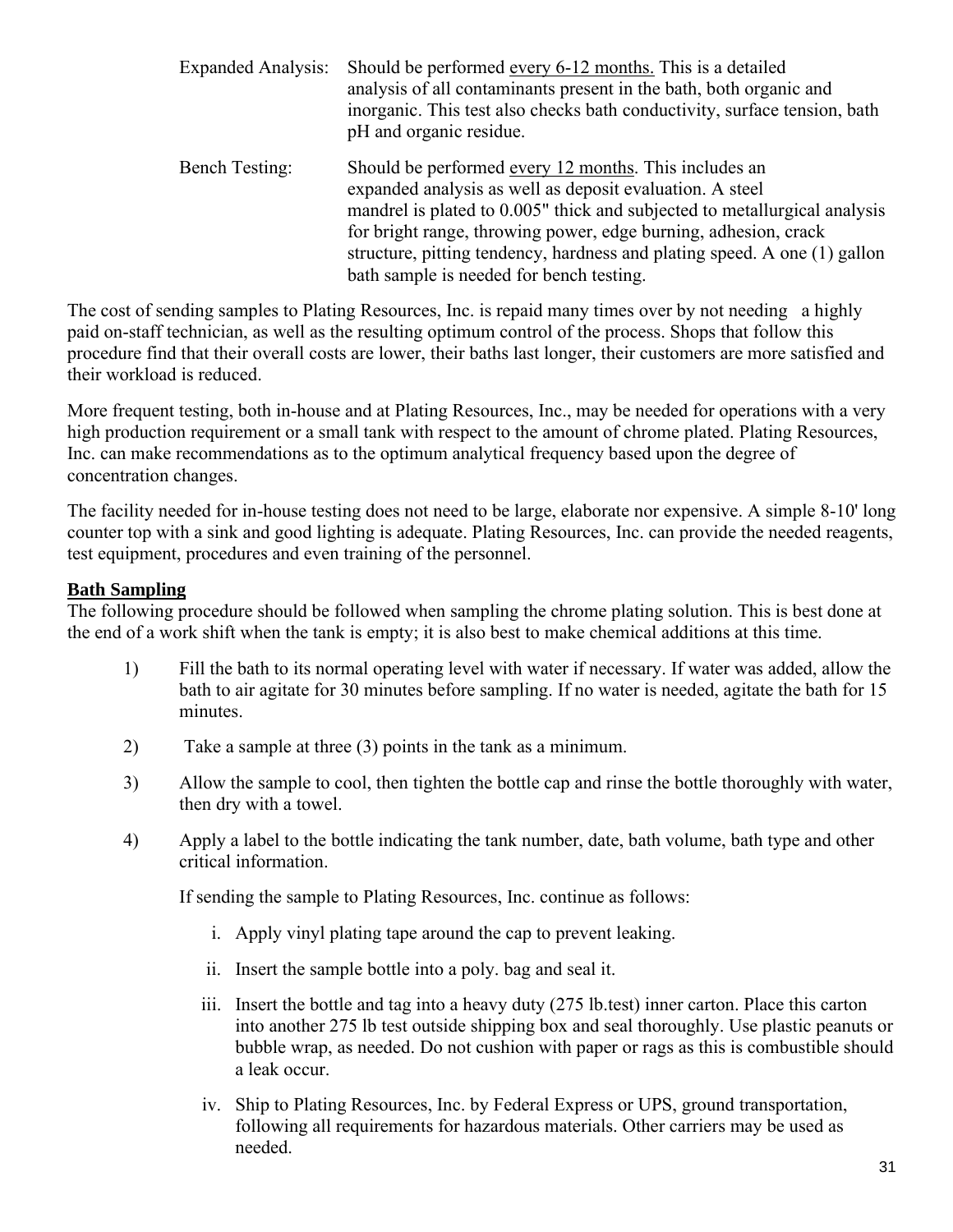| <b>Expanded Analysis:</b> | Should be performed every 6-12 months. This is a detailed<br>analysis of all contaminants present in the bath, both organic and<br>inorganic. This test also checks bath conductivity, surface tension, bath<br>pH and organic residue.                                                                                                                                                    |
|---------------------------|--------------------------------------------------------------------------------------------------------------------------------------------------------------------------------------------------------------------------------------------------------------------------------------------------------------------------------------------------------------------------------------------|
| <b>Bench Testing:</b>     | Should be performed every 12 months. This includes an<br>expanded analysis as well as deposit evaluation. A steel<br>mandrel is plated to 0.005" thick and subjected to metallurgical analysis<br>for bright range, throwing power, edge burning, adhesion, crack<br>structure, pitting tendency, hardness and plating speed. A one (1) gallon<br>bath sample is needed for bench testing. |

The cost of sending samples to Plating Resources, Inc. is repaid many times over by not needing a highly paid on-staff technician, as well as the resulting optimum control of the process. Shops that follow this procedure find that their overall costs are lower, their baths last longer, their customers are more satisfied and their workload is reduced.

More frequent testing, both in-house and at Plating Resources, Inc., may be needed for operations with a very high production requirement or a small tank with respect to the amount of chrome plated. Plating Resources, Inc. can make recommendations as to the optimum analytical frequency based upon the degree of concentration changes.

The facility needed for in-house testing does not need to be large, elaborate nor expensive. A simple 8-10' long counter top with a sink and good lighting is adequate. Plating Resources, Inc. can provide the needed reagents, test equipment, procedures and even training of the personnel.

#### **Bath Sampling**

The following procedure should be followed when sampling the chrome plating solution. This is best done at the end of a work shift when the tank is empty; it is also best to make chemical additions at this time.

- 1) Fill the bath to its normal operating level with water if necessary. If water was added, allow the bath to air agitate for 30 minutes before sampling. If no water is needed, agitate the bath for 15 minutes.
- 2) Take a sample at three (3) points in the tank as a minimum.
- 3) Allow the sample to cool, then tighten the bottle cap and rinse the bottle thoroughly with water, then dry with a towel.
- 4) Apply a label to the bottle indicating the tank number, date, bath volume, bath type and other critical information.

If sending the sample to Plating Resources, Inc. continue as follows:

- i. Apply vinyl plating tape around the cap to prevent leaking.
- ii. Insert the sample bottle into a poly. bag and seal it.
- iii. Insert the bottle and tag into a heavy duty (275 lb.test) inner carton. Place this carton into another 275 lb test outside shipping box and seal thoroughly. Use plastic peanuts or bubble wrap, as needed. Do not cushion with paper or rags as this is combustible should a leak occur.
- iv. Ship to Plating Resources, Inc. by Federal Express or UPS, ground transportation, following all requirements for hazardous materials. Other carriers may be used as needed.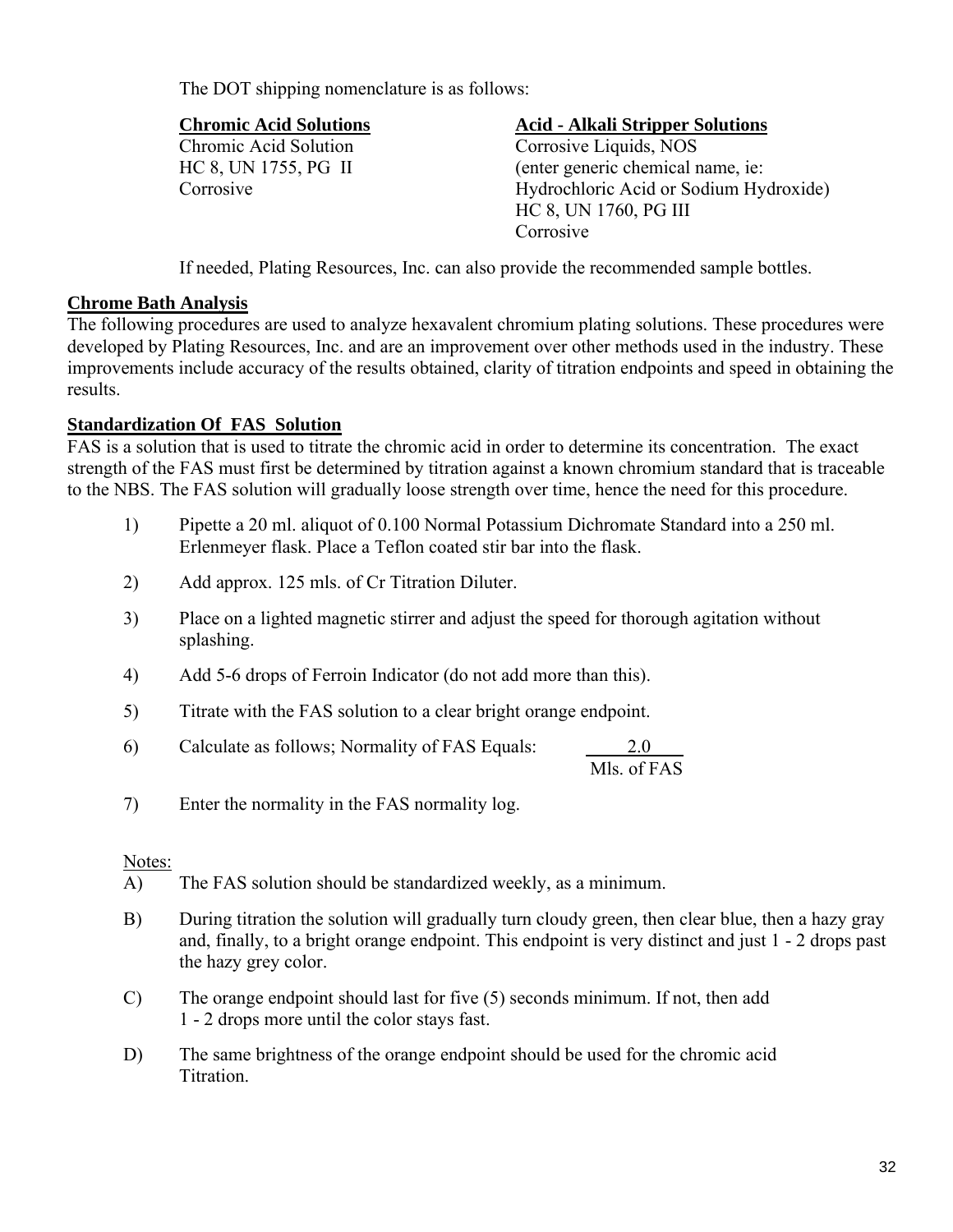The DOT shipping nomenclature is as follows:

#### **Chromic Acid Solutions Acid - Alkali Stripper Solutions**

Chromic Acid Solution Corrosive Liquids, NOS HC 8, UN 1755, PG II (enter generic chemical name, ie: Corrosive Hydrochloric Acid or Sodium Hydroxide) HC 8, UN 1760, PG III Corrosive

If needed, Plating Resources, Inc. can also provide the recommended sample bottles.

#### **Chrome Bath Analysis**

The following procedures are used to analyze hexavalent chromium plating solutions. These procedures were developed by Plating Resources, Inc. and are an improvement over other methods used in the industry. These improvements include accuracy of the results obtained, clarity of titration endpoints and speed in obtaining the results.

### **Standardization Of FAS Solution**

FAS is a solution that is used to titrate the chromic acid in order to determine its concentration. The exact strength of the FAS must first be determined by titration against a known chromium standard that is traceable to the NBS. The FAS solution will gradually loose strength over time, hence the need for this procedure.

- 1) Pipette a 20 ml. aliquot of 0.100 Normal Potassium Dichromate Standard into a 250 ml. Erlenmeyer flask. Place a Teflon coated stir bar into the flask.
- 2) Add approx. 125 mls. of Cr Titration Diluter.
- 3) Place on a lighted magnetic stirrer and adjust the speed for thorough agitation without splashing.
- 4) Add 5-6 drops of Ferroin Indicator (do not add more than this).
- 5) Titrate with the FAS solution to a clear bright orange endpoint.
- 6) Calculate as follows; Normality of FAS Equals: 2.0

Mls. of FAS

7) Enter the normality in the FAS normality log.

### Notes:

- A) The FAS solution should be standardized weekly, as a minimum.
- B) During titration the solution will gradually turn cloudy green, then clear blue, then a hazy gray and, finally, to a bright orange endpoint. This endpoint is very distinct and just 1 - 2 drops past the hazy grey color.
- C) The orange endpoint should last for five (5) seconds minimum. If not, then add 1 - 2 drops more until the color stays fast.
- D) The same brightness of the orange endpoint should be used for the chromic acid Titration.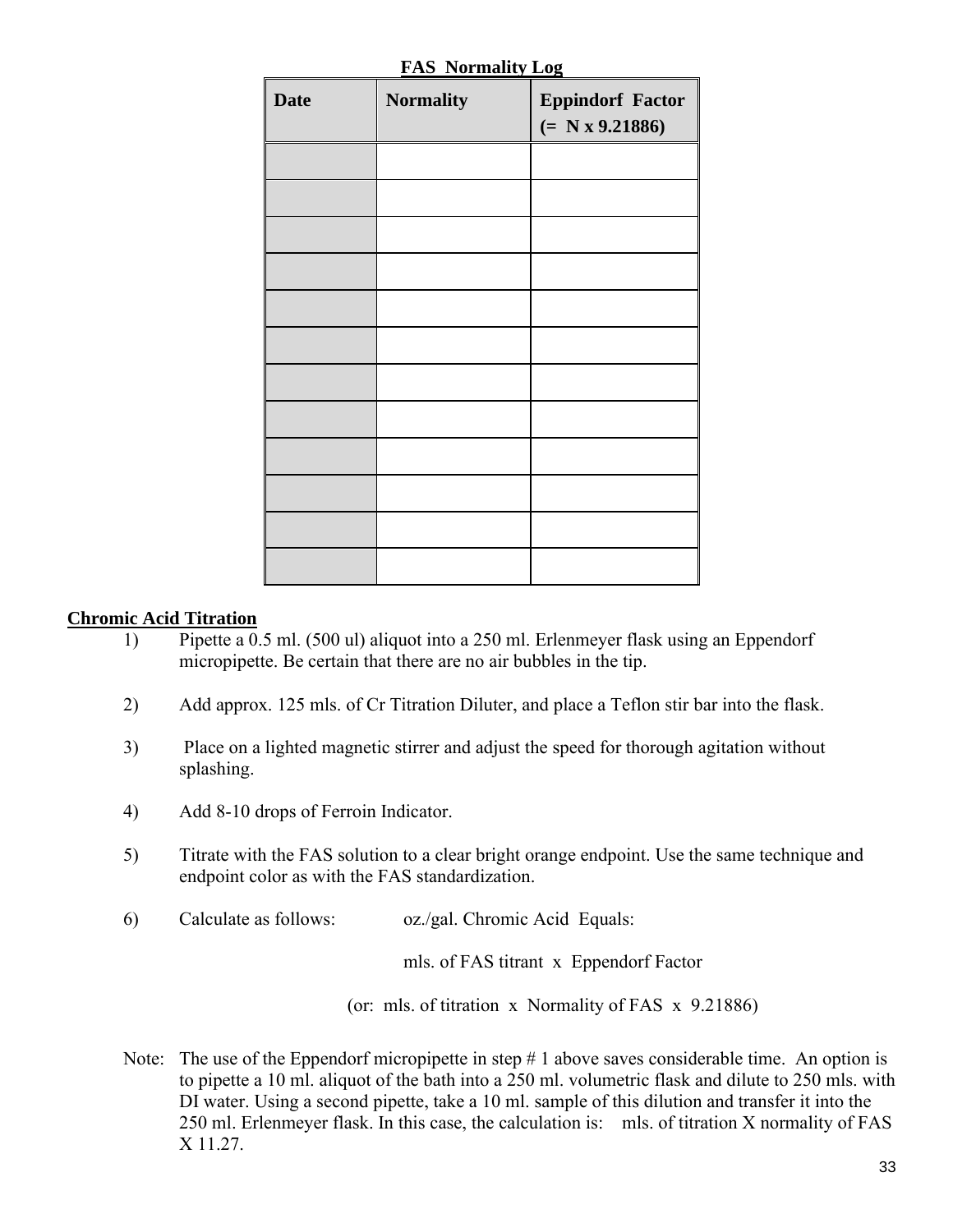| <b>Date</b> | <b>Normality</b> | <b>Eppindorf Factor</b><br>$(= N x 9.21886)$ |
|-------------|------------------|----------------------------------------------|
|             |                  |                                              |
|             |                  |                                              |
|             |                  |                                              |
|             |                  |                                              |
|             |                  |                                              |
|             |                  |                                              |
|             |                  |                                              |
|             |                  |                                              |
|             |                  |                                              |
|             |                  |                                              |
|             |                  |                                              |
|             |                  |                                              |

**FAS Normality Log**

#### **Chromic Acid Titration**

- 1) Pipette a 0.5 ml. (500 ul) aliquot into a 250 ml. Erlenmeyer flask using an Eppendorf micropipette. Be certain that there are no air bubbles in the tip.
- 2) Add approx. 125 mls. of Cr Titration Diluter, and place a Teflon stir bar into the flask.
- 3) Place on a lighted magnetic stirrer and adjust the speed for thorough agitation without splashing.
- 4) Add 8-10 drops of Ferroin Indicator.
- 5) Titrate with the FAS solution to a clear bright orange endpoint. Use the same technique and endpoint color as with the FAS standardization.
- 6) Calculate as follows: oz./gal. Chromic Acid Equals:

mls. of FAS titrant x Eppendorf Factor

(or: mls. of titration x Normality of FAS x 9.21886)

Note: The use of the Eppendorf micropipette in step # 1 above saves considerable time. An option is to pipette a 10 ml. aliquot of the bath into a 250 ml. volumetric flask and dilute to 250 mls. with DI water. Using a second pipette, take a 10 ml. sample of this dilution and transfer it into the 250 ml. Erlenmeyer flask. In this case, the calculation is: mls. of titration X normality of FAS X 11.27.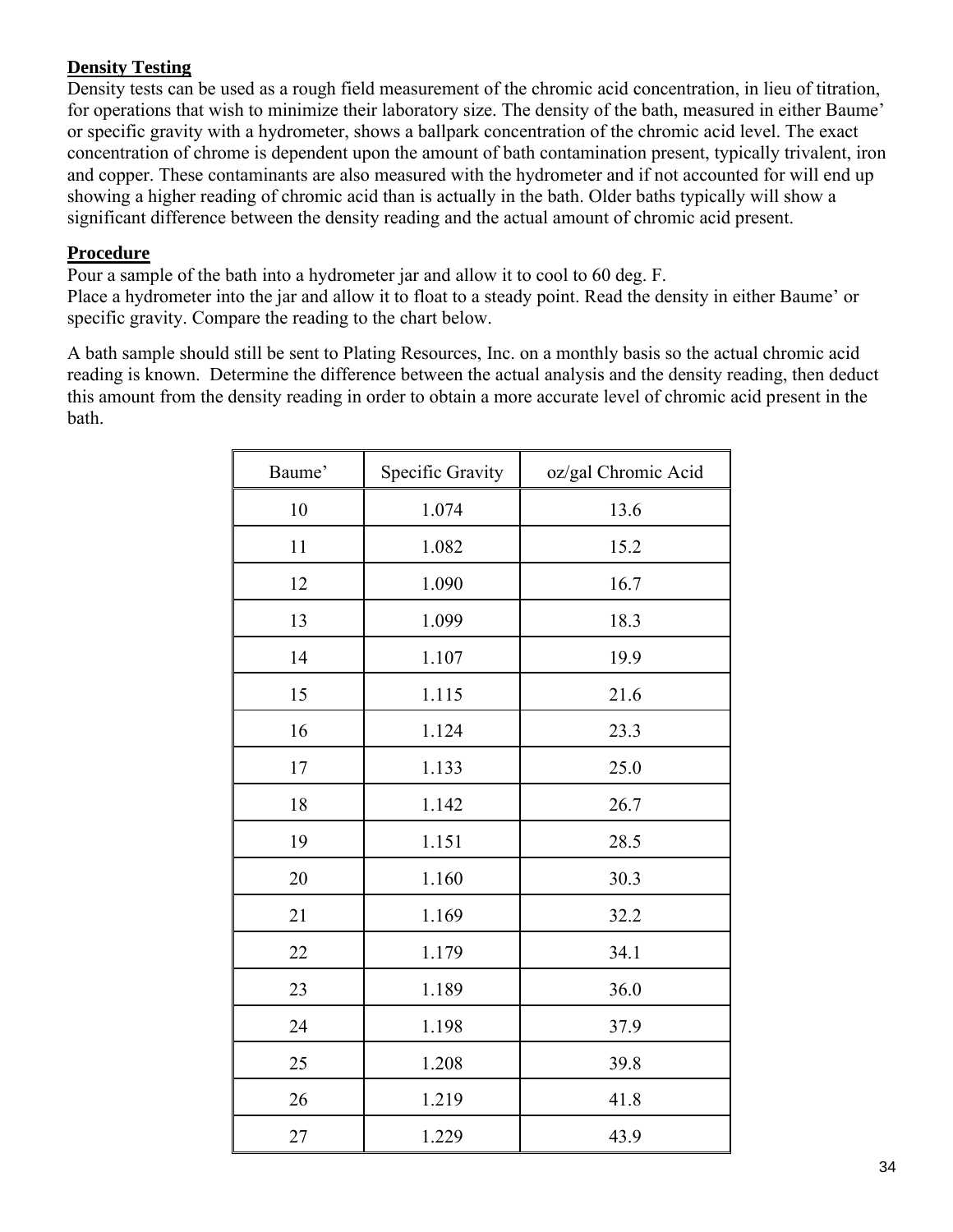### **Density Testing**

Density tests can be used as a rough field measurement of the chromic acid concentration, in lieu of titration, for operations that wish to minimize their laboratory size. The density of the bath, measured in either Baume' or specific gravity with a hydrometer, shows a ballpark concentration of the chromic acid level. The exact concentration of chrome is dependent upon the amount of bath contamination present, typically trivalent, iron and copper. These contaminants are also measured with the hydrometer and if not accounted for will end up showing a higher reading of chromic acid than is actually in the bath. Older baths typically will show a significant difference between the density reading and the actual amount of chromic acid present.

#### **Procedure**

Pour a sample of the bath into a hydrometer jar and allow it to cool to 60 deg. F.

Place a hydrometer into the jar and allow it to float to a steady point. Read the density in either Baume' or specific gravity. Compare the reading to the chart below.

A bath sample should still be sent to Plating Resources, Inc. on a monthly basis so the actual chromic acid reading is known. Determine the difference between the actual analysis and the density reading, then deduct this amount from the density reading in order to obtain a more accurate level of chromic acid present in the bath.

| Baume' | Specific Gravity | oz/gal Chromic Acid |
|--------|------------------|---------------------|
| 10     | 1.074            | 13.6                |
| 11     | 1.082            | 15.2                |
| 12     | 1.090            | 16.7                |
| 13     | 1.099            | 18.3                |
| 14     | 1.107            | 19.9                |
| 15     | 1.115            | 21.6                |
| 16     | 1.124            | 23.3                |
| 17     | 1.133            | 25.0                |
| 18     | 1.142            | 26.7                |
| 19     | 1.151            | 28.5                |
| 20     | 1.160            | 30.3                |
| 21     | 1.169            | 32.2                |
| 22     | 1.179            | 34.1                |
| 23     | 1.189            | 36.0                |
| 24     | 1.198            | 37.9                |
| 25     | 1.208            | 39.8                |
| 26     | 1.219            | 41.8                |
| 27     | 1.229            | 43.9                |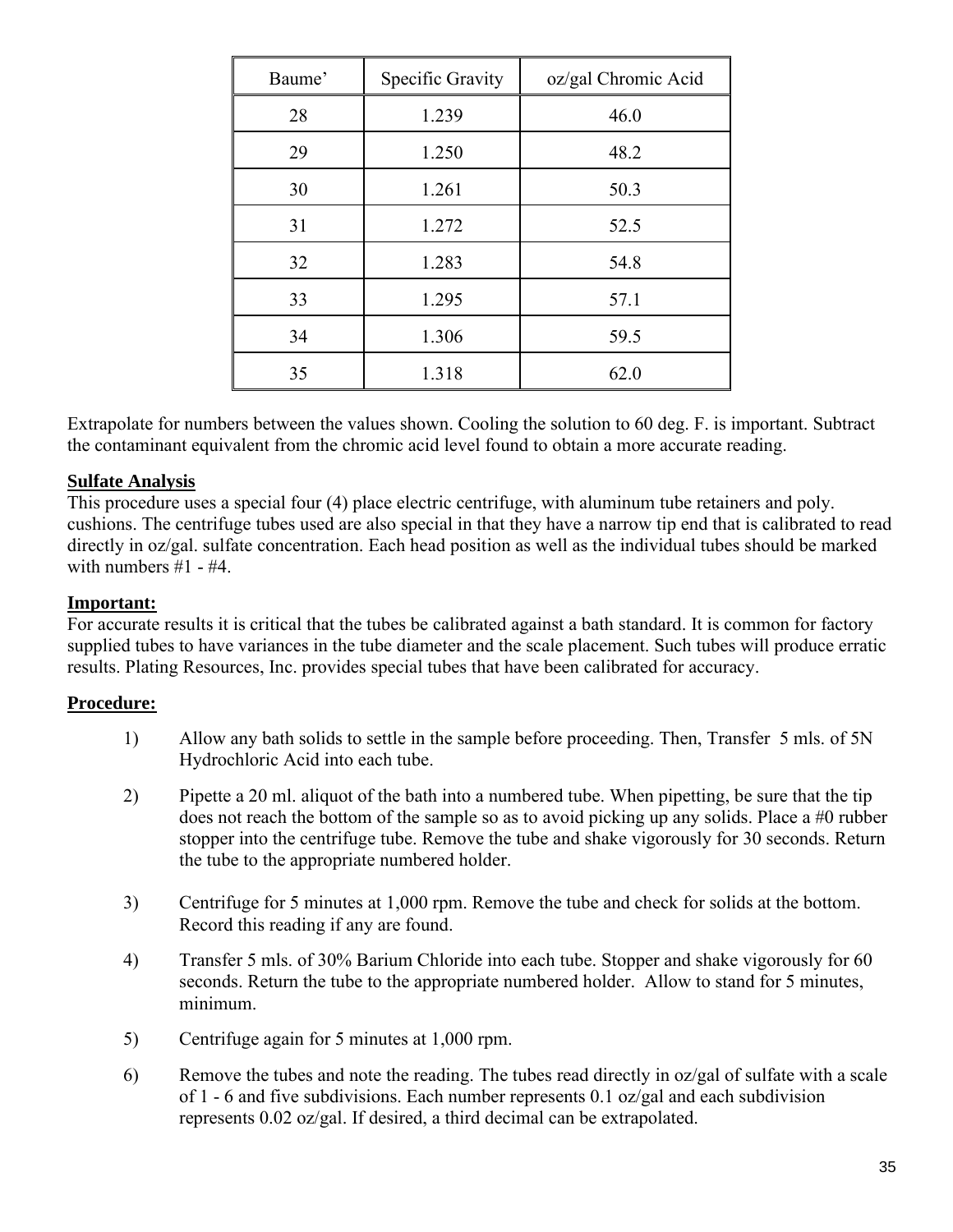| Baume' | Specific Gravity | oz/gal Chromic Acid |
|--------|------------------|---------------------|
| 28     | 1.239            | 46.0                |
| 29     | 1.250            | 48.2                |
| 30     | 1.261            | 50.3                |
| 31     | 1.272            | 52.5                |
| 32     | 1.283            | 54.8                |
| 33     | 1.295            | 57.1                |
| 34     | 1.306            | 59.5                |
| 35     | 1.318            | 62.0                |

Extrapolate for numbers between the values shown. Cooling the solution to 60 deg. F. is important. Subtract the contaminant equivalent from the chromic acid level found to obtain a more accurate reading.

#### **Sulfate Analysis**

This procedure uses a special four (4) place electric centrifuge, with aluminum tube retainers and poly. cushions. The centrifuge tubes used are also special in that they have a narrow tip end that is calibrated to read directly in oz/gal. sulfate concentration. Each head position as well as the individual tubes should be marked with numbers  $#1 - #4$ .

#### **Important:**

For accurate results it is critical that the tubes be calibrated against a bath standard. It is common for factory supplied tubes to have variances in the tube diameter and the scale placement. Such tubes will produce erratic results. Plating Resources, Inc. provides special tubes that have been calibrated for accuracy.

#### **Procedure:**

- 1) Allow any bath solids to settle in the sample before proceeding. Then, Transfer 5 mls. of 5N Hydrochloric Acid into each tube.
- 2) Pipette a 20 ml. aliquot of the bath into a numbered tube. When pipetting, be sure that the tip does not reach the bottom of the sample so as to avoid picking up any solids. Place a #0 rubber stopper into the centrifuge tube. Remove the tube and shake vigorously for 30 seconds. Return the tube to the appropriate numbered holder.
- 3) Centrifuge for 5 minutes at 1,000 rpm. Remove the tube and check for solids at the bottom. Record this reading if any are found.
- 4) Transfer 5 mls. of 30% Barium Chloride into each tube. Stopper and shake vigorously for 60 seconds. Return the tube to the appropriate numbered holder. Allow to stand for 5 minutes, minimum.
- 5) Centrifuge again for 5 minutes at 1,000 rpm.
- 6) Remove the tubes and note the reading. The tubes read directly in oz/gal of sulfate with a scale of 1 - 6 and five subdivisions. Each number represents 0.1 oz/gal and each subdivision represents 0.02 oz/gal. If desired, a third decimal can be extrapolated.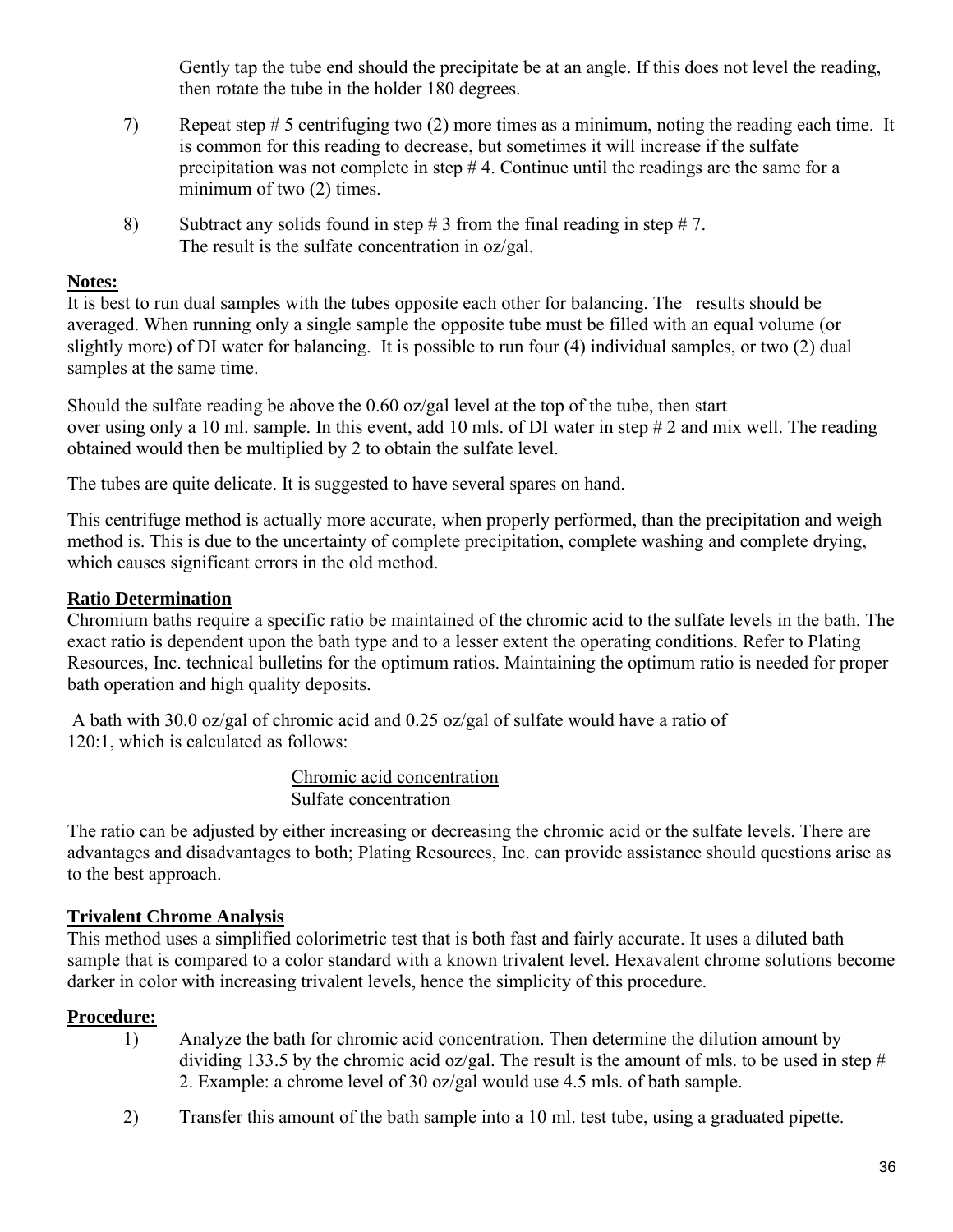Gently tap the tube end should the precipitate be at an angle. If this does not level the reading, then rotate the tube in the holder 180 degrees.

- 7) Repeat step # 5 centrifuging two (2) more times as a minimum, noting the reading each time. It is common for this reading to decrease, but sometimes it will increase if the sulfate precipitation was not complete in step # 4. Continue until the readings are the same for a minimum of two (2) times.
- 8) Subtract any solids found in step  $\# 3$  from the final reading in step  $\# 7$ . The result is the sulfate concentration in oz/gal.

#### **Notes:**

It is best to run dual samples with the tubes opposite each other for balancing. The results should be averaged. When running only a single sample the opposite tube must be filled with an equal volume (or slightly more) of DI water for balancing. It is possible to run four (4) individual samples, or two (2) dual samples at the same time.

Should the sulfate reading be above the 0.60 oz/gal level at the top of the tube, then start over using only a 10 ml. sample. In this event, add 10 mls. of DI water in step # 2 and mix well. The reading obtained would then be multiplied by 2 to obtain the sulfate level.

The tubes are quite delicate. It is suggested to have several spares on hand.

This centrifuge method is actually more accurate, when properly performed, than the precipitation and weigh method is. This is due to the uncertainty of complete precipitation, complete washing and complete drying, which causes significant errors in the old method.

#### **Ratio Determination**

Chromium baths require a specific ratio be maintained of the chromic acid to the sulfate levels in the bath. The exact ratio is dependent upon the bath type and to a lesser extent the operating conditions. Refer to Plating Resources, Inc. technical bulletins for the optimum ratios. Maintaining the optimum ratio is needed for proper bath operation and high quality deposits.

A bath with 30.0 oz/gal of chromic acid and 0.25 oz/gal of sulfate would have a ratio of 120:1, which is calculated as follows:

> Chromic acid concentration Sulfate concentration

The ratio can be adjusted by either increasing or decreasing the chromic acid or the sulfate levels. There are advantages and disadvantages to both; Plating Resources, Inc. can provide assistance should questions arise as to the best approach.

#### **Trivalent Chrome Analysis**

This method uses a simplified colorimetric test that is both fast and fairly accurate. It uses a diluted bath sample that is compared to a color standard with a known trivalent level. Hexavalent chrome solutions become darker in color with increasing trivalent levels, hence the simplicity of this procedure.

#### **Procedure:**

- 1) Analyze the bath for chromic acid concentration. Then determine the dilution amount by dividing 133.5 by the chromic acid oz/gal. The result is the amount of mls. to be used in step # 2. Example: a chrome level of 30 oz/gal would use 4.5 mls. of bath sample.
- 2) Transfer this amount of the bath sample into a 10 ml. test tube, using a graduated pipette.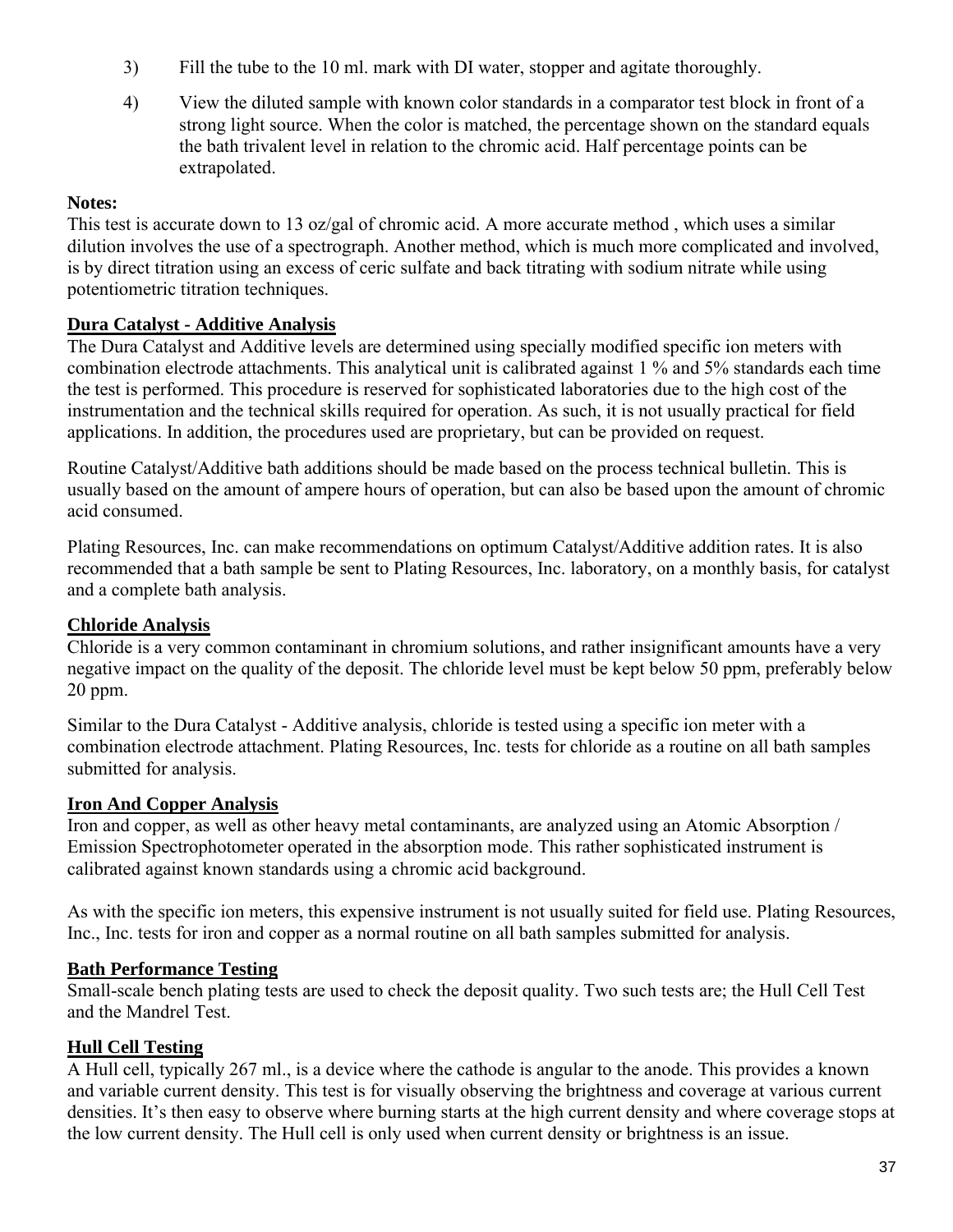- 3) Fill the tube to the 10 ml. mark with DI water, stopper and agitate thoroughly.
- 4) View the diluted sample with known color standards in a comparator test block in front of a strong light source. When the color is matched, the percentage shown on the standard equals the bath trivalent level in relation to the chromic acid. Half percentage points can be extrapolated.

#### **Notes:**

This test is accurate down to 13 oz/gal of chromic acid. A more accurate method , which uses a similar dilution involves the use of a spectrograph. Another method, which is much more complicated and involved, is by direct titration using an excess of ceric sulfate and back titrating with sodium nitrate while using potentiometric titration techniques.

### **Dura Catalyst - Additive Analysis**

The Dura Catalyst and Additive levels are determined using specially modified specific ion meters with combination electrode attachments. This analytical unit is calibrated against 1 % and 5% standards each time the test is performed. This procedure is reserved for sophisticated laboratories due to the high cost of the instrumentation and the technical skills required for operation. As such, it is not usually practical for field applications. In addition, the procedures used are proprietary, but can be provided on request.

Routine Catalyst/Additive bath additions should be made based on the process technical bulletin. This is usually based on the amount of ampere hours of operation, but can also be based upon the amount of chromic acid consumed.

Plating Resources, Inc. can make recommendations on optimum Catalyst/Additive addition rates. It is also recommended that a bath sample be sent to Plating Resources, Inc. laboratory, on a monthly basis, for catalyst and a complete bath analysis.

### **Chloride Analysis**

Chloride is a very common contaminant in chromium solutions, and rather insignificant amounts have a very negative impact on the quality of the deposit. The chloride level must be kept below 50 ppm, preferably below 20 ppm.

Similar to the Dura Catalyst - Additive analysis, chloride is tested using a specific ion meter with a combination electrode attachment. Plating Resources, Inc. tests for chloride as a routine on all bath samples submitted for analysis.

### **Iron And Copper Analysis**

Iron and copper, as well as other heavy metal contaminants, are analyzed using an Atomic Absorption / Emission Spectrophotometer operated in the absorption mode. This rather sophisticated instrument is calibrated against known standards using a chromic acid background.

As with the specific ion meters, this expensive instrument is not usually suited for field use. Plating Resources, Inc., Inc. tests for iron and copper as a normal routine on all bath samples submitted for analysis.

### **Bath Performance Testing**

Small-scale bench plating tests are used to check the deposit quality. Two such tests are; the Hull Cell Test and the Mandrel Test.

### **Hull Cell Testing**

A Hull cell, typically 267 ml., is a device where the cathode is angular to the anode. This provides a known and variable current density. This test is for visually observing the brightness and coverage at various current densities. It's then easy to observe where burning starts at the high current density and where coverage stops at the low current density. The Hull cell is only used when current density or brightness is an issue.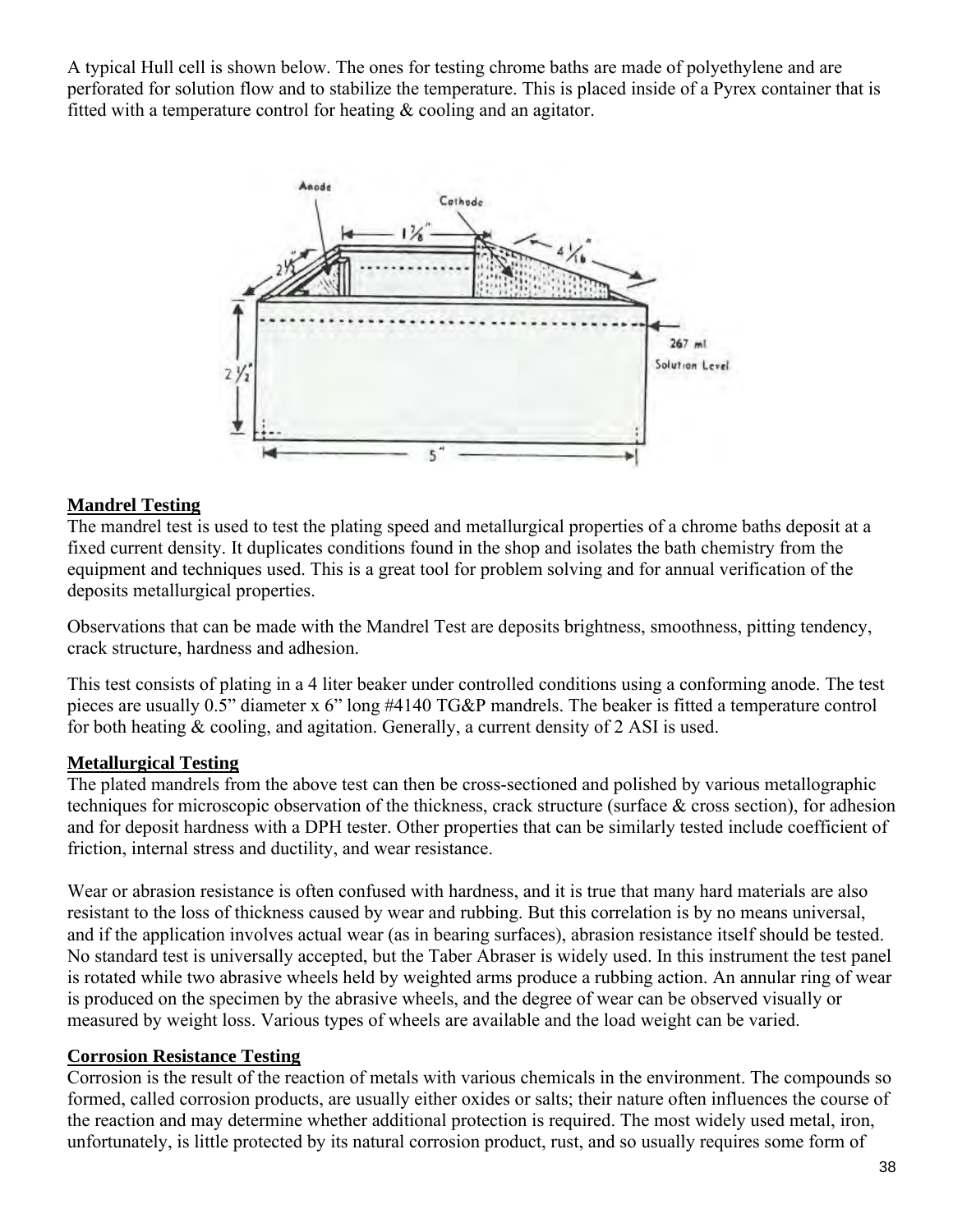A typical Hull cell is shown below. The ones for testing chrome baths are made of polyethylene and are perforated for solution flow and to stabilize the temperature. This is placed inside of a Pyrex container that is fitted with a temperature control for heating & cooling and an agitator.



### **Mandrel Testing**

The mandrel test is used to test the plating speed and metallurgical properties of a chrome baths deposit at a fixed current density. It duplicates conditions found in the shop and isolates the bath chemistry from the equipment and techniques used. This is a great tool for problem solving and for annual verification of the deposits metallurgical properties.

Observations that can be made with the Mandrel Test are deposits brightness, smoothness, pitting tendency, crack structure, hardness and adhesion.

This test consists of plating in a 4 liter beaker under controlled conditions using a conforming anode. The test pieces are usually 0.5" diameter x 6" long #4140 TG&P mandrels. The beaker is fitted a temperature control for both heating & cooling, and agitation. Generally, a current density of 2 ASI is used.

#### **Metallurgical Testing**

The plated mandrels from the above test can then be cross-sectioned and polished by various metallographic techniques for microscopic observation of the thickness, crack structure (surface & cross section), for adhesion and for deposit hardness with a DPH tester. Other properties that can be similarly tested include coefficient of friction, internal stress and ductility, and wear resistance.

Wear or abrasion resistance is often confused with hardness, and it is true that many hard materials are also resistant to the loss of thickness caused by wear and rubbing. But this correlation is by no means universal, and if the application involves actual wear (as in bearing surfaces), abrasion resistance itself should be tested. No standard test is universally accepted, but the Taber Abraser is widely used. In this instrument the test panel is rotated while two abrasive wheels held by weighted arms produce a rubbing action. An annular ring of wear is produced on the specimen by the abrasive wheels, and the degree of wear can be observed visually or measured by weight loss. Various types of wheels are available and the load weight can be varied.

#### **Corrosion Resistance Testing**

Corrosion is the result of the reaction of metals with various chemicals in the environment. The compounds so formed, called corrosion products, are usually either oxides or salts; their nature often influences the course of the reaction and may determine whether additional protection is required. The most widely used metal, iron, unfortunately, is little protected by its natural corrosion product, rust, and so usually requires some form of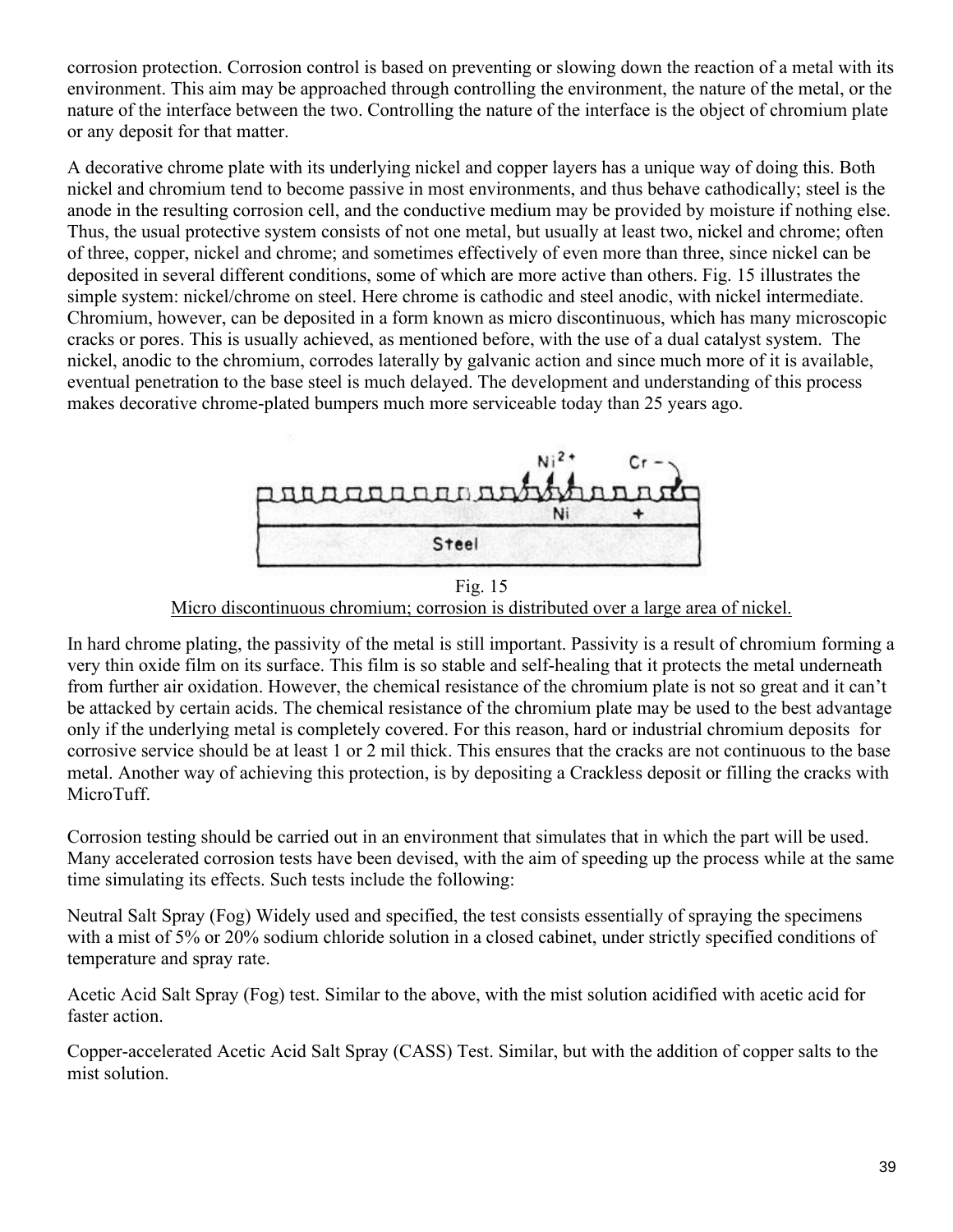corrosion protection. Corrosion control is based on preventing or slowing down the reaction of a metal with its environment. This aim may be approached through controlling the environment, the nature of the metal, or the nature of the interface between the two. Controlling the nature of the interface is the object of chromium plate or any deposit for that matter.

A decorative chrome plate with its underlying nickel and copper layers has a unique way of doing this. Both nickel and chromium tend to become passive in most environments, and thus behave cathodically; steel is the anode in the resulting corrosion cell, and the conductive medium may be provided by moisture if nothing else. Thus, the usual protective system consists of not one metal, but usually at least two, nickel and chrome; often of three, copper, nickel and chrome; and sometimes effectively of even more than three, since nickel can be deposited in several different conditions, some of which are more active than others. Fig. 15 illustrates the simple system: nickel/chrome on steel. Here chrome is cathodic and steel anodic, with nickel intermediate. Chromium, however, can be deposited in a form known as micro discontinuous, which has many microscopic cracks or pores. This is usually achieved, as mentioned before, with the use of a dual catalyst system. The nickel, anodic to the chromium, corrodes laterally by galvanic action and since much more of it is available, eventual penetration to the base steel is much delayed. The development and understanding of this process makes decorative chrome-plated bumpers much more serviceable today than 25 years ago.



Fig. 15 Micro discontinuous chromium; corrosion is distributed over a large area of nickel.

In hard chrome plating, the passivity of the metal is still important. Passivity is a result of chromium forming a very thin oxide film on its surface. This film is so stable and self-healing that it protects the metal underneath from further air oxidation. However, the chemical resistance of the chromium plate is not so great and it can't be attacked by certain acids. The chemical resistance of the chromium plate may be used to the best advantage only if the underlying metal is completely covered. For this reason, hard or industrial chromium deposits for corrosive service should be at least 1 or 2 mil thick. This ensures that the cracks are not continuous to the base metal. Another way of achieving this protection, is by depositing a Crackless deposit or filling the cracks with MicroTuff.

Corrosion testing should be carried out in an environment that simulates that in which the part will be used. Many accelerated corrosion tests have been devised, with the aim of speeding up the process while at the same time simulating its effects. Such tests include the following:

Neutral Salt Spray (Fog) Widely used and specified, the test consists essentially of spraying the specimens with a mist of 5% or 20% sodium chloride solution in a closed cabinet, under strictly specified conditions of temperature and spray rate.

Acetic Acid Salt Spray (Fog) test. Similar to the above, with the mist solution acidified with acetic acid for faster action.

Copper-accelerated Acetic Acid Salt Spray (CASS) Test. Similar, but with the addition of copper salts to the mist solution.